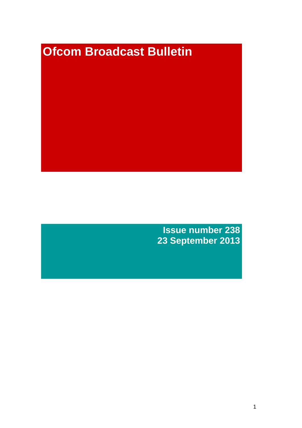# **Ofcom Broadcast Bulletin**

**Issue number 238 23 September 2013**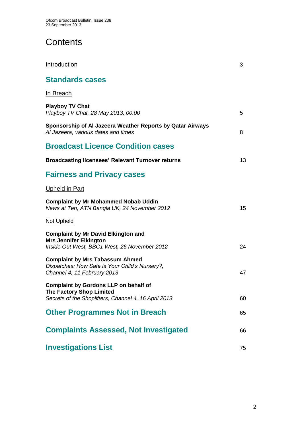# **Contents**

| Introduction                                                                                                                            | 3  |
|-----------------------------------------------------------------------------------------------------------------------------------------|----|
| <b>Standards cases</b>                                                                                                                  |    |
| <u>In Breach</u>                                                                                                                        |    |
| <b>Playboy TV Chat</b><br>Playboy TV Chat, 28 May 2013, 00:00                                                                           | 5  |
| Sponsorship of Al Jazeera Weather Reports by Qatar Airways<br>Al Jazeera, various dates and times                                       | 8  |
| <b>Broadcast Licence Condition cases</b>                                                                                                |    |
| <b>Broadcasting licensees' Relevant Turnover returns</b>                                                                                | 13 |
| <b>Fairness and Privacy cases</b>                                                                                                       |    |
| <u>Upheld in Part</u>                                                                                                                   |    |
| <b>Complaint by Mr Mohammed Nobab Uddin</b><br>News at Ten, ATN Bangla UK, 24 November 2012                                             | 15 |
| <u>Not Upheld</u>                                                                                                                       |    |
| <b>Complaint by Mr David Elkington and</b><br><b>Mrs Jennifer Elkington</b><br>Inside Out West, BBC1 West, 26 November 2012             | 24 |
| <b>Complaint by Mrs Tabassum Ahmed</b><br>Dispatches: How Safe is Your Child's Nursery?,<br>Channel 4, 11 February 2013                 | 47 |
| <b>Complaint by Gordons LLP on behalf of</b><br><b>The Factory Shop Limited</b><br>Secrets of the Shoplifters, Channel 4, 16 April 2013 | 60 |
| <b>Other Programmes Not in Breach</b>                                                                                                   | 65 |
| <b>Complaints Assessed, Not Investigated</b>                                                                                            | 66 |
| <b>Investigations List</b>                                                                                                              | 75 |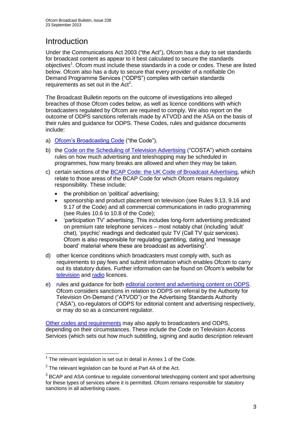# **Introduction**

Under the Communications Act 2003 ("the Act"), Ofcom has a duty to set standards for broadcast content as appear to it best calculated to secure the standards objectives<sup>1</sup>. Ofcom must include these standards in a code or codes. These are listed below. Ofcom also has a duty to secure that every provider of a notifiable On Demand Programme Services ("ODPS") complies with certain standards requirements as set out in the  $Act<sup>2</sup>$ .

The Broadcast Bulletin reports on the outcome of investigations into alleged breaches of those Ofcom codes below, as well as licence conditions with which broadcasters regulated by Ofcom are required to comply. We also report on the outcome of ODPS sanctions referrals made by ATVOD and the ASA on the basis of their rules and guidance for ODPS. These Codes, rules and guidance documents include:

- a) [Ofcom's Broadcasting Code](http://stakeholders.ofcom.org.uk/broadcasting/broadcast-codes/broadcast-code/) ("the Code").
- b) the [Code on the Scheduling of Television Advertising](http://stakeholders.ofcom.org.uk/broadcasting/broadcast-codes/advert-code/) ("COSTA") which contains rules on how much advertising and teleshopping may be scheduled in programmes, how many breaks are allowed and when they may be taken.
- c) certain sections of the [BCAP Code: the UK Code of Broadcast Advertising,](http://www.bcap.org.uk/Advertising-Codes/Broadcast-HTML.aspx) which relate to those areas of the BCAP Code for which Ofcom retains regulatory responsibility. These include:
	- the prohibition on 'political' advertising:
	- sponsorship and product placement on television (see Rules 9.13, 9.16 and 9.17 of the Code) and all commercial communications in radio programming (see Rules 10.6 to 10.8 of the Code);
	- 'participation TV' advertising. This includes long-form advertising predicated on premium rate telephone services – most notably chat (including 'adult' chat), 'psychic' readings and dedicated quiz TV (Call TV quiz services). Ofcom is also responsible for regulating gambling, dating and 'message board' material where these are broadcast as advertising<sup>3</sup>.
- d) other licence conditions which broadcasters must comply with, such as requirements to pay fees and submit information which enables Ofcom to carry out its statutory duties. Further information can be found on Ofcom's website for [television](http://licensing.ofcom.org.uk/tv-broadcast-licences/) and [radio](http://licensing.ofcom.org.uk/radio-broadcast-licensing/) licences.
- e) rules and guidance for both [editorial content and advertising content on ODPS.](http://www.atvod.co.uk/uploads/files/ATVOD_Rules_and_Guidance_Ed_2.0_May_2012.pdf) Ofcom considers sanctions in relation to ODPS on referral by the Authority for Television On-Demand ("ATVOD") or the Advertising Standards Authority ("ASA"), co-regulators of ODPS for editorial content and advertising respectively, or may do so as a concurrent regulator.

[Other codes and requirements](http://stakeholders.ofcom.org.uk/broadcasting/broadcast-codes/) may also apply to broadcasters and ODPS, depending on their circumstances. These include the Code on Television Access Services (which sets out how much subtitling, signing and audio description relevant

<sup>1</sup>  $1$  The relevant legislation is set out in detail in Annex 1 of the Code.

 $2$  The relevant legislation can be found at Part 4A of the Act.

 $3$  BCAP and ASA continue to regulate conventional teleshopping content and spot advertising for these types of services where it is permitted. Ofcom remains responsible for statutory sanctions in all advertising cases.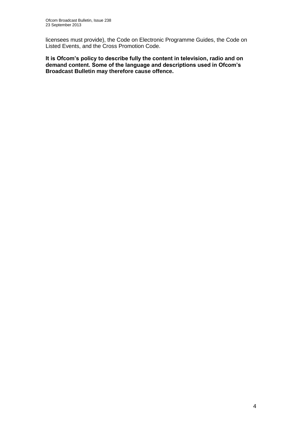licensees must provide), the Code on Electronic Programme Guides, the Code on Listed Events, and the Cross Promotion Code.

**It is Ofcom's policy to describe fully the content in television, radio and on demand content. Some of the language and descriptions used in Ofcom's Broadcast Bulletin may therefore cause offence.**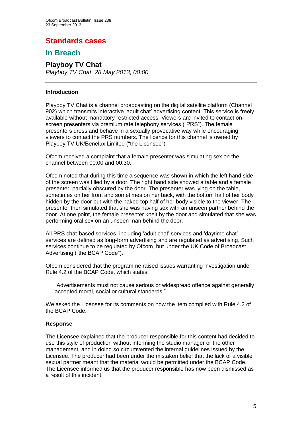# **Standards cases**

## **In Breach**

# **Playboy TV Chat**

*Playboy TV Chat, 28 May 2013, 00:00*

## **Introduction**

Playboy TV Chat is a channel broadcasting on the digital satellite platform (Channel 902) which transmits interactive 'adult chat' advertising content. This service is freely available without mandatory restricted access. Viewers are invited to contact onscreen presenters via premium rate telephony services ("PRS"). The female presenters dress and behave in a sexually provocative way while encouraging viewers to contact the PRS numbers. The licence for this channel is owned by Playboy TV UK/Benelux Limited ("the Licensee").

Ofcom received a complaint that a female presenter was simulating sex on the channel between 00:00 and 00:30.

Ofcom noted that during this time a sequence was shown in which the left hand side of the screen was filled by a door. The right hand side showed a table and a female presenter, partially obscured by the door. The presenter was lying on the table, sometimes on her front and sometimes on her back, with the bottom half of her body hidden by the door but with the naked top half of her body visible to the viewer. The presenter then simulated that she was having sex with an unseen partner behind the door. At one point, the female presenter knelt by the door and simulated that she was performing oral sex on an unseen man behind the door.

All PRS chat-based services, including 'adult chat' services and 'daytime chat' services are defined as long-form advertising and are regulated as advertising. Such services continue to be regulated by Ofcom, but under the UK Code of Broadcast Advertising ("the BCAP Code").

Ofcom considered that the programme raised issues warranting investigation under Rule 4.2 of the BCAP Code, which states:

"Advertisements must not cause serious or widespread offence against generally accepted moral, social or cultural standards."

We asked the Licensee for its comments on how the item complied with Rule 4.2 of the BCAP Code.

## **Response**

The Licensee explained that the producer responsible for this content had decided to use this style of production without informing the studio manager or the other management, and in doing so circumvented the internal guidelines issued by the Licensee. The producer had been under the mistaken belief that the lack of a visible sexual partner meant that the material would be permitted under the BCAP Code. The Licensee informed us that the producer responsible has now been dismissed as a result of this incident.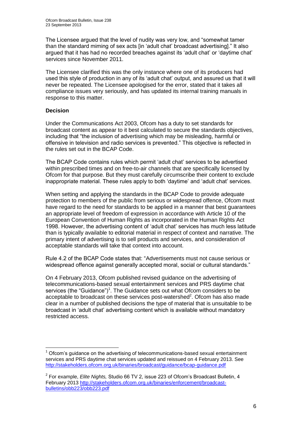The Licensee argued that the level of nudity was very low, and "somewhat tamer than the standard miming of sex acts [in 'adult chat' broadcast advertising]." It also argued that it has had no recorded breaches against its 'adult chat' or 'daytime chat' services since November 2011.

The Licensee clarified this was the only instance where one of its producers had used this style of production in any of its 'adult chat' output, and assured us that it will never be repeated. The Licensee apologised for the error, stated that it takes all compliance issues very seriously, and has updated its internal training manuals in response to this matter.

## **Decision**

1

Under the Communications Act 2003, Ofcom has a duty to set standards for broadcast content as appear to it best calculated to secure the standards objectives, including that "the inclusion of advertising which may be misleading, harmful or offensive in television and radio services is prevented." This objective is reflected in the rules set out in the BCAP Code.

The BCAP Code contains rules which permit 'adult chat' services to be advertised within prescribed times and on free-to-air channels that are specifically licensed by Ofcom for that purpose. But they must carefully circumscribe their content to exclude inappropriate material. These rules apply to both 'daytime' and 'adult chat' services.

When setting and applying the standards in the BCAP Code to provide adequate protection to members of the public from serious or widespread offence, Ofcom must have regard to the need for standards to be applied in a manner that best guarantees an appropriate level of freedom of expression in accordance with Article 10 of the European Convention of Human Rights as incorporated in the Human Rights Act 1998. However, the advertising content of 'adult chat' services has much less latitude than is typically available to editorial material in respect of context and narrative. The primary intent of advertising is to sell products and services, and consideration of acceptable standards will take that context into account.

Rule 4.2 of the BCAP Code states that: "Advertisements must not cause serious or widespread offence against generally accepted moral, social or cultural standards."

On 4 February 2013, Ofcom published revised guidance on the advertising of telecommunications-based sexual entertainment services and PRS daytime chat services (the "Guidance")<sup>1</sup>. The Guidance sets out what Ofcom considers to be acceptable to broadcast on these services post-watershed $2$ . Ofcom has also made clear in a number of published decisions the type of material that is unsuitable to be broadcast in 'adult chat' advertising content which is available without mandatory restricted access.

<sup>1</sup> Ofcom's guidance on the advertising of telecommunications-based sexual entertainment services and PRS daytime chat services updated and reissued on 4 February 2013. See <http://stakeholders.ofcom.org.uk/binaries/broadcast/guidance/bcap-guidance.pdf>

<sup>2</sup> For example, *Elite Nights,* Studio 66 TV 2, issue 223 of Ofcom's Broadcast Bulletin, 4 February 2013 [http://stakeholders.ofcom.org.uk/binaries/enforcement/broadcast](http://stakeholders.ofcom.org.uk/binaries/enforcement/broadcast-bulletins/obb223/obb223.pdf)[bulletins/obb223/obb223.pdf](http://stakeholders.ofcom.org.uk/binaries/enforcement/broadcast-bulletins/obb223/obb223.pdf)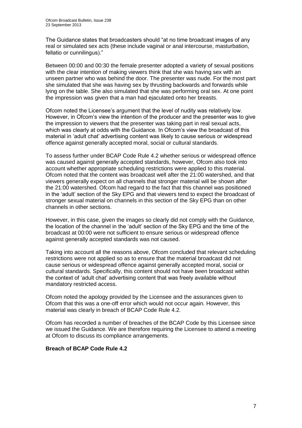The Guidance states that broadcasters should "at no time broadcast images of any real or simulated sex acts (these include vaginal or anal intercourse, masturbation, fellatio or cunnilingus)."

Between 00:00 and 00:30 the female presenter adopted a variety of sexual positions with the clear intention of making viewers think that she was having sex with an unseen partner who was behind the door. The presenter was nude. For the most part she simulated that she was having sex by thrusting backwards and forwards while lying on the table. She also simulated that she was performing oral sex. At one point the impression was given that a man had ejaculated onto her breasts.

Ofcom noted the Licensee's argument that the level of nudity was relatively low. However, in Ofcom's view the intention of the producer and the presenter was to give the impression to viewers that the presenter was taking part in real sexual acts, which was clearly at odds with the Guidance. In Ofcom's view the broadcast of this material in 'adult chat' advertising content was likely to cause serious or widespread offence against generally accepted moral, social or cultural standards.

To assess further under BCAP Code Rule 4.2 whether serious or widespread offence was caused against generally accepted standards, however, Ofcom also took into account whether appropriate scheduling restrictions were applied to this material. Ofcom noted that the content was broadcast well after the 21:00 watershed, and that viewers generally expect on all channels that stronger material will be shown after the 21:00 watershed. Ofcom had regard to the fact that this channel was positioned in the 'adult' section of the Sky EPG and that viewers tend to expect the broadcast of stronger sexual material on channels in this section of the Sky EPG than on other channels in other sections.

However, in this case, given the images so clearly did not comply with the Guidance, the location of the channel in the 'adult' section of the Sky EPG and the time of the broadcast at 00:00 were not sufficient to ensure serious or widespread offence against generally accepted standards was not caused.

Taking into account all the reasons above, Ofcom concluded that relevant scheduling restrictions were not applied so as to ensure that the material broadcast did not cause serious or widespread offence against generally accepted moral, social or cultural standards. Specifically, this content should not have been broadcast within the context of 'adult chat' advertising content that was freely available without mandatory restricted access.

Ofcom noted the apology provided by the Licensee and the assurances given to Ofcom that this was a one-off error which would not occur again. However, this material was clearly in breach of BCAP Code Rule 4.2.

Ofcom has recorded a number of breaches of the BCAP Code by this Licensee since we issued the Guidance. We are therefore requiring the Licensee to attend a meeting at Ofcom to discuss its compliance arrangements.

## **Breach of BCAP Code Rule 4.2**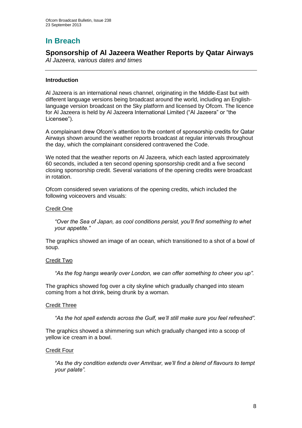# **In Breach**

## **Sponsorship of Al Jazeera Weather Reports by Qatar Airways**

*Al Jazeera, various dates and times*

## **Introduction**

Al Jazeera is an international news channel, originating in the Middle-East but with different language versions being broadcast around the world, including an Englishlanguage version broadcast on the Sky platform and licensed by Ofcom. The licence for Al Jazeera is held by Al Jazeera International Limited ("Al Jazeera" or "the Licensee").

A complainant drew Ofcom's attention to the content of sponsorship credits for Qatar Airways shown around the weather reports broadcast at regular intervals throughout the day, which the complainant considered contravened the Code.

We noted that the weather reports on Al Jazeera, which each lasted approximately 60 seconds, included a ten second opening sponsorship credit and a five second closing sponsorship credit. Several variations of the opening credits were broadcast in rotation.

Ofcom considered seven variations of the opening credits, which included the following voiceovers and visuals:

## Credit One

*"Over the Sea of Japan, as cool conditions persist, you'll find something to whet your appetite."*

The graphics showed an image of an ocean, which transitioned to a shot of a bowl of soup.

## Credit Two

*"As the fog hangs wearily over London, we can offer something to cheer you up".*

The graphics showed fog over a city skyline which gradually changed into steam coming from a hot drink, being drunk by a woman.

## Credit Three

*"As the hot spell extends across the Gulf, we'll still make sure you feel refreshed".*

The graphics showed a shimmering sun which gradually changed into a scoop of yellow ice cream in a bowl.

## Credit Four

*"As the dry condition extends over Amritsar, we'll find a blend of flavours to tempt your palate".*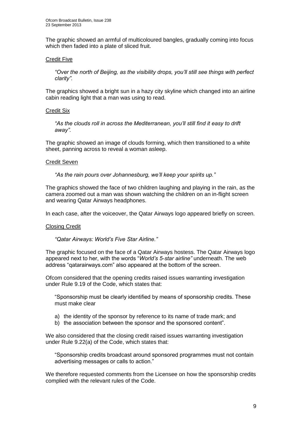The graphic showed an armful of multicoloured bangles, gradually coming into focus which then faded into a plate of sliced fruit.

### Credit Five

*"Over the north of Beijing, as the visibility drops, you'll still see things with perfect clarity".*

The graphics showed a bright sun in a hazy city skyline which changed into an airline cabin reading light that a man was using to read.

#### Credit Six

*"As the clouds roll in across the Mediterranean, you'll still find it easy to drift away".* 

The graphic showed an image of clouds forming, which then transitioned to a white sheet, panning across to reveal a woman asleep.

#### Credit Seven

*"As the rain pours over Johannesburg, we'll keep your spirits up."*

The graphics showed the face of two children laughing and playing in the rain, as the camera zoomed out a man was shown watching the children on an in-flight screen and wearing Qatar Airways headphones.

In each case, after the voiceover, the Qatar Airways logo appeared briefly on screen.

#### Closing Credit

*"Qatar Airways: World's Five Star Airline."*

The graphic focused on the face of a Qatar Airways hostess. The Qatar Airways logo appeared next to her, with the words "*World's 5-star airline"* underneath. The web address "qatarairways.com" also appeared at the bottom of the screen.

Ofcom considered that the opening credits raised issues warranting investigation under Rule 9.19 of the Code, which states that:

"Sponsorship must be clearly identified by means of sponsorship credits. These must make clear

- a) the identity of the sponsor by reference to its name of trade mark; and
- b) the association between the sponsor and the sponsored content".

We also considered that the closing credit raised issues warranting investigation under Rule 9.22(a) of the Code, which states that:

"Sponsorship credits broadcast around sponsored programmes must not contain advertising messages or calls to action."

We therefore requested comments from the Licensee on how the sponsorship credits complied with the relevant rules of the Code.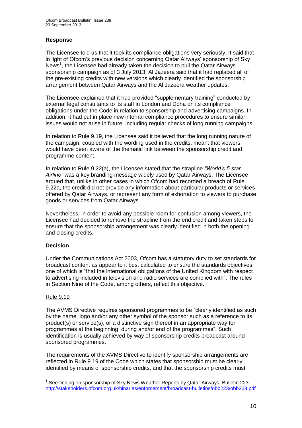## **Response**

The Licensee told us that it took its compliance obligations very seriously. It said that in light of Ofcom's previous decision concerning Qatar Airways' sponsorship of Sky News<sup>1</sup>, the Licensee had already taken the decision to pull the Qatar Airways sponsorship campaign as of 3 July 2013. Al Jazeera said that it had replaced all of the pre-existing credits with new versions which clearly identified the sponsorship arrangement between Qatar Airways and the Al Jazeera weather updates.

The Licensee explained that it had provided "supplementary training" conducted by external legal consultants to its staff in London and Doha on its compliance obligations under the Code in relation to sponsorship and advertising campaigns. In addition, it had put in place new internal compliance procedures to ensure similar issues would not arise in future, including regular checks of long running campaigns.

In relation to Rule 9.19, the Licensee said it believed that the long running nature of the campaign, coupled with the wording used in the credits, meant that viewers would have been aware of the thematic link between the sponsorship credit and programme content.

In relation to Rule 9.22(a), the Licensee stated that the strapline *"World's 5-star Airline"* was a key branding message widely used by Qatar Airways. The Licensee argued that, unlike in other cases in which Ofcom had recorded a breach of Rule 9.22a, the credit did not provide any information about particular products or services offered by Qatar Airways, or represent any form of exhortation to viewers to purchase goods or services from Qatar Airways.

Nevertheless, in order to avoid any possible room for confusion among viewers, the Licensee had decided to remove the strapline from the end credit and taken steps to ensure that the sponsorship arrangement was clearly identified in both the opening and closing credits.

## **Decision**

Under the Communications Act 2003, Ofcom has a statutory duty to set standards for broadcast content as appear to it best calculated to ensure the standards objectives, one of which is "that the international obligations of the United Kingdom with respect to advertising included in television and radio services are complied with". The rules in Section Nine of the Code, among others, reflect this objective.

## Rule 9.19

The AVMS Directive requires sponsored programmes to be "clearly identified as such by the name, logo and/or any other symbol of the sponsor such as a reference to its product(s) or service(s), or a distinctive sign thereof in an appropriate way for programmes at the beginning, during and/or end of the programmes". Such identification is usually achieved by way of sponsorship credits broadcast around sponsored programmes.

The requirements of the AVMS Directive to identify sponsorship arrangements are reflected in Rule 9.19 of the Code which states that sponsorship must be clearly identified by means of sponsorship credits, and that the sponsorship credits must

<sup>1</sup> <sup>1</sup> See finding on sponsorship of Sky News Weather Reports by Qatar Airways, Bulletin 223 <http://stakeholders.ofcom.org.uk/binaries/enforcement/broadcast-bulletins/obb223/obb223.pdf>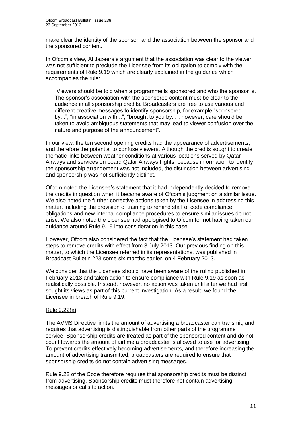make clear the identity of the sponsor, and the association between the sponsor and the sponsored content.

In Ofcom's view, Al Jazeera's argument that the association was clear to the viewer was not sufficient to preclude the Licensee from its obligation to comply with the requirements of Rule 9.19 which are clearly explained in the guidance which accompanies the rule:

"Viewers should be told when a programme is sponsored and who the sponsor is. The sponsor's association with the sponsored content must be clear to the audience in all sponsorship credits. Broadcasters are free to use various and different creative messages to identify sponsorship, for example "sponsored by..."; "in association with..."; "brought to you by...", however, care should be taken to avoid ambiguous statements that may lead to viewer confusion over the nature and purpose of the announcement".

In our view, the ten second opening credits had the appearance of advertisements, and therefore the potential to confuse viewers. Although the credits sought to create thematic links between weather conditions at various locations served by Qatar Airways and services on board Qatar Airways flights, because information to identify the sponsorship arrangement was not included, the distinction between advertising and sponsorship was not sufficiently distinct.

Ofcom noted the Licensee's statement that it had independently decided to remove the credits in question when it became aware of Ofcom's judgment on a similar issue. We also noted the further corrective actions taken by the Licensee in addressing this matter, including the provision of training to remind staff of code compliance obligations and new internal compliance procedures to ensure similar issues do not arise. We also noted the Licensee had apologised to Ofcom for not having taken our guidance around Rule 9.19 into consideration in this case.

However, Ofcom also considered the fact that the Licensee's statement had taken steps to remove credits with effect from 3 July 2013. Our previous finding on this matter, to which the Licensee referred in its representations, was published in Broadcast Bulletin 223 some six months earlier, on 4 February 2013.

We consider that the Licensee should have been aware of the ruling published in February 2013 and taken action to ensure compliance with Rule 9.19 as soon as realistically possible. Instead, however, no action was taken until after we had first sought its views as part of this current investigation. As a result, we found the Licensee in breach of Rule 9.19.

## Rule 9.22(a)

The AVMS Directive limits the amount of advertising a broadcaster can transmit, and requires that advertising is distinguishable from other parts of the programme service. Sponsorship credits are treated as part of the sponsored content and do not count towards the amount of airtime a broadcaster is allowed to use for advertising. To prevent credits effectively becoming advertisements, and therefore increasing the amount of advertising transmitted, broadcasters are required to ensure that sponsorship credits do not contain advertising messages.

Rule 9.22 of the Code therefore requires that sponsorship credits must be distinct from advertising. Sponsorship credits must therefore not contain advertising messages or calls to action.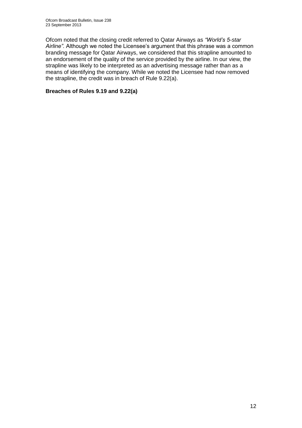Ofcom noted that the closing credit referred to Qatar Airways as *"World's 5-star Airline".* Although we noted the Licensee's argument that this phrase was a common branding message for Qatar Airways, we considered that this strapline amounted to an endorsement of the quality of the service provided by the airline. In our view, the strapline was likely to be interpreted as an advertising message rather than as a means of identifying the company. While we noted the Licensee had now removed the strapline, the credit was in breach of Rule 9.22(a).

## **Breaches of Rules 9.19 and 9.22(a)**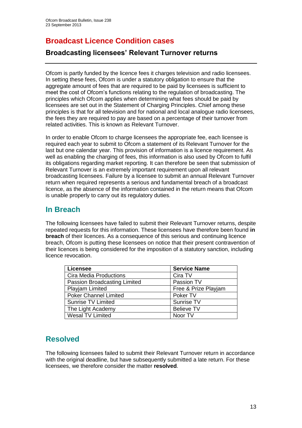# **Broadcast Licence Condition cases**

## **Broadcasting licensees' Relevant Turnover returns**

Ofcom is partly funded by the licence fees it charges television and radio licensees. In setting these fees, Ofcom is under a statutory obligation to ensure that the aggregate amount of fees that are required to be paid by licensees is sufficient to meet the cost of Ofcom's functions relating to the regulation of broadcasting. The principles which Ofcom applies when determining what fees should be paid by licensees are set out in the Statement of Charging Principles. Chief among these principles is that for all television and for national and local analogue radio licensees, the fees they are required to pay are based on a percentage of their turnover from related activities. This is known as Relevant Turnover.

In order to enable Ofcom to charge licensees the appropriate fee, each licensee is required each vear to submit to Ofcom a statement of its Relevant Turnover for the last but one calendar year. This provision of information is a licence requirement. As well as enabling the charging of fees, this information is also used by Ofcom to fulfil its obligations regarding market reporting. It can therefore be seen that submission of Relevant Turnover is an extremely important requirement upon all relevant broadcasting licensees. Failure by a licensee to submit an annual Relevant Turnover return when required represents a serious and fundamental breach of a broadcast licence, as the absence of the information contained in the return means that Ofcom is unable properly to carry out its regulatory duties.

## **In Breach**

The following licensees have failed to submit their Relevant Turnover returns, despite repeated requests for this information. These licensees have therefore been found **in breach** of their licences. As a consequence of this serious and continuing licence breach, Ofcom is putting these licensees on notice that their present contravention of their licences is being considered for the imposition of a statutory sanction, including licence revocation.

| <b>Licensee</b>               | <b>Service Name</b>  |
|-------------------------------|----------------------|
| <b>Cira Media Productions</b> | Cira TV              |
| Passion Broadcasting Limited  | Passion TV           |
| Playjam Limited               | Free & Prize Playjam |
| <b>Poker Channel Limited</b>  | Poker TV             |
| <b>Sunrise TV Limited</b>     | Sunrise TV           |
| The Light Academy             | <b>Believe TV</b>    |
| <b>Wesal TV Limited</b>       | Noor TV              |

## **Resolved**

The following licensees failed to submit their Relevant Turnover return in accordance with the original deadline, but have subsequently submitted a late return. For these licensees, we therefore consider the matter **resolved**.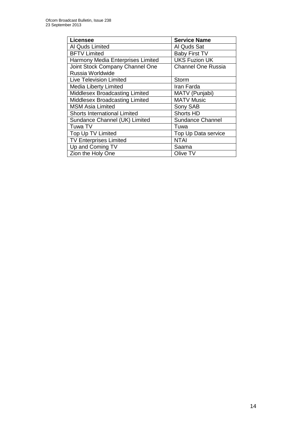| <b>Licensee</b>                   | <b>Service Name</b>       |
|-----------------------------------|---------------------------|
| Al Quds Limited                   | Al Quds Sat               |
| <b>BFTV Limited</b>               | <b>Baby First TV</b>      |
| Harmony Media Enterprises Limited | <b>UKS Fuzion UK</b>      |
| Joint Stock Company Channel One   | <b>Channel One Russia</b> |
| Russia Worldwide                  |                           |
| <b>Live Television Limited</b>    | Storm                     |
| <b>Media Liberty Limited</b>      | Iran Farda                |
| Middlesex Broadcasting Limited    | MATV (Punjabi)            |
| Middlesex Broadcasting Limited    | <b>MATV Music</b>         |
| <b>MSM Asia Limited</b>           | Sony SAB                  |
| Shorts International Limited      | <b>Shorts HD</b>          |
| Sundance Channel (UK) Limited     | <b>Sundance Channel</b>   |
| Tuwa TV                           | Tuwa                      |
| Top Up TV Limited                 | Top Up Data service       |
| <b>TV Enterprises Limited</b>     | <b>NTAI</b>               |
| Up and Coming TV                  | Saama                     |
| Zion the Holy One                 | Olive TV                  |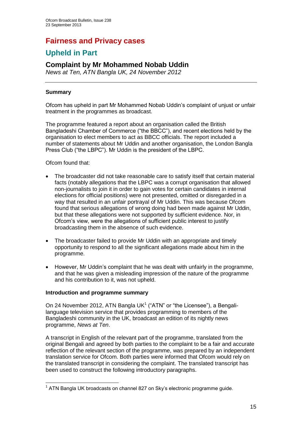# **Fairness and Privacy cases**

## **Upheld in Part**

## **Complaint by Mr Mohammed Nobab Uddin**

*News at Ten, ATN Bangla UK, 24 November 2012*

## **Summary**

Ofcom has upheld in part Mr Mohammed Nobab Uddin's complaint of unjust or unfair treatment in the programmes as broadcast.

The programme featured a report about an organisation called the British Bangladeshi Chamber of Commerce ("the BBCC"), and recent elections held by the organisation to elect members to act as BBCC officials. The report included a number of statements about Mr Uddin and another organisation, the London Bangla Press Club ("the LBPC"). Mr Uddin is the president of the LBPC.

Ofcom found that:

- The broadcaster did not take reasonable care to satisfy itself that certain material facts (notably allegations that the LBPC was a corrupt organisation that allowed non-journalists to join it in order to gain votes for certain candidates in internal elections for official positions) were not presented, omitted or disregarded in a way that resulted in an unfair portrayal of Mr Uddin. This was because Ofcom found that serious allegations of wrong doing had been made against Mr Uddin, but that these allegations were not supported by sufficient evidence. Nor, in Ofcom's view, were the allegations of sufficient public interest to justify broadcasting them in the absence of such evidence.
- The broadcaster failed to provide Mr Uddin with an appropriate and timely opportunity to respond to all the significant allegations made about him in the programme.
- However, Mr Uddin's complaint that he was dealt with unfairly in the programme, and that he was given a misleading impression of the nature of the programme and his contribution to it, was not upheld.

## **Introduction and programme summary**

On 24 November 2012, ATN Bangla UK $1$  ("ATN" or "the Licensee"), a Bengalilanguage television service that provides programming to members of the Bangladeshi community in the UK, broadcast an edition of its nightly news programme, *News at Ten*.

A transcript in English of the relevant part of the programme, translated from the original Bengali and agreed by both parties to the complaint to be a fair and accurate reflection of the relevant section of the programme, was prepared by an independent translation service for Ofcom. Both parties were informed that Ofcom would rely on the translated transcript in considering the complaint. The translated transcript has been used to construct the following introductory paragraphs.

<sup>1</sup> <sup>1</sup> ATN Bangla UK broadcasts on channel 827 on Sky's electronic programme guide.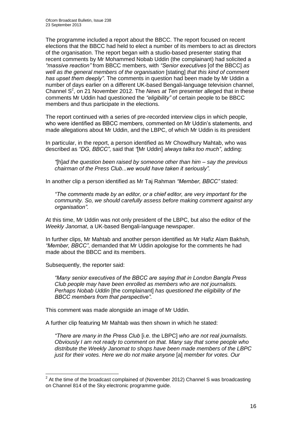The programme included a report about the BBCC. The report focused on recent elections that the BBCC had held to elect a number of its members to act as directors of the organisation. The report began with a studio-based presenter stating that recent comments by Mr Mohammed Nobab Uddin (the complainant) had solicited a *"massive reaction"* from BBCC members, with *"Senior executives* [of the BBCC] *as well as the general members of the organisation* [stating] *that this kind of comment has upset them deeply"*. The comments in question had been made by Mr Uddin a number of days earlier on a different UK-based Bengali-language television channel, Channel S<sup>2</sup>, on 21 November 2012. The *News at Ten* presenter alleged that in these comments Mr Uddin had questioned the *"eligibility"* of certain people to be BBCC members and thus participate in the elections.

The report continued with a series of pre-recorded interview clips in which people, who were identified as BBCC members, commented on Mr Uddin's statements, and made allegations about Mr Uddin, and the LBPC, of which Mr Uddin is its president

In particular, in the report, a person identified as Mr Chowdhury Mahtab, who was described as *"DG, BBCC"*, said that *"*[Mr Uddin] *always talks too much"*, adding:

*"*[h]*ad the question been raised by someone other than him – say the previous chairman of the Press Club...we would have taken it seriously".*

In another clip a person identified as Mr Taj Rahman *"Member, BBCC"* stated:

*"The comments made by an editor, or a chief editor, are very important for the community. So, we should carefully assess before making comment against any organisation".*

At this time, Mr Uddin was not only president of the LBPC, but also the editor of the *Weekly Janomat*, a UK-based Bengali-language newspaper.

In further clips, Mr Mahtab and another person identified as Mr Hafiz Alam Bakhsh*, "Member, BBCC"*, demanded that Mr Uddin apologise for the comments he had made about the BBCC and its members.

Subsequently, the reporter said:

*"Many senior executives of the BBCC are saying that in London Bangla Press Club people may have been enrolled as members who are not journalists. Perhaps Nobab Uddin* [the complainant] *has questioned the eligibility of the BBCC members from that perspective".* 

This comment was made alongside an image of Mr Uddin.

A further clip featuring Mr Mahtab was then shown in which he stated:

*"There are many in the Press Club* [i.e. the LBPC] *who are not real journalists. Obviously I am not ready to comment on that. Many say that some people who distribute the Weekly Janomat to shops have been made members of the LBPC just for their votes. Here we do not make anyone* [a] *member for votes. Our* 

 2 At the time of the broadcast complained of (November 2012) Channel S was broadcasting on Channel 814 of the Sky electronic programme guide.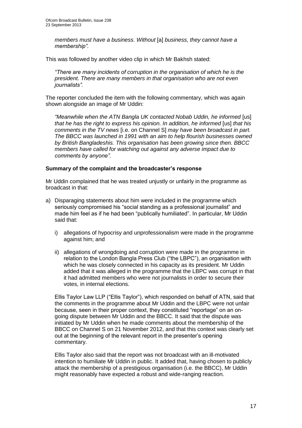*members must have a business. Without* [a] *business, they cannot have a membership".*

This was followed by another video clip in which Mr Bakhsh stated:

*"There are many incidents of corruption in the organisation of which he is the president. There are many members in that organisation who are not even journalists".*

The reporter concluded the item with the following commentary, which was again shown alongside an image of Mr Uddin:

*"Meanwhile when the ATN Bangla UK contacted Nobab Uddin, he informed* [us] *that he has the right to express his opinion. In addition, he informed [us] that his comments in the TV news* [i.e. on Channel S] *may have been broadcast in part. The BBCC was launched in 1991 with an aim to help flourish businesses owned by British Bangladeshis. This organisation has been growing since then. BBCC members have called for watching out against any adverse impact due to comments by anyone".*

## **Summary of the complaint and the broadcaster's response**

Mr Uddin complained that he was treated unjustly or unfairly in the programme as broadcast in that:

- a) Disparaging statements about him were included in the programme which seriously compromised his "social standing as a professional journalist" and made him feel as if he had been "publically humiliated". In particular, Mr Uddin said that:
	- i) allegations of hypocrisy and unprofessionalism were made in the programme against him; and
	- ii) allegations of wrongdoing and corruption were made in the programme in relation to the London Bangla Press Club ("the LBPC"), an organisation with which he was closely connected in his capacity as its president. Mr Uddin added that it was alleged in the programme that the LBPC was corrupt in that it had admitted members who were not journalists in order to secure their votes, in internal elections.

Ellis Taylor Law LLP ("Ellis Taylor"), which responded on behalf of ATN, said that the comments in the programme about Mr Uddin and the LBPC were not unfair because, seen in their proper context, they constituted "reportage" on an ongoing dispute between Mr Uddin and the BBCC. It said that the dispute was initiated by Mr Uddin when he made comments about the membership of the BBCC on Channel S on 21 November 2012, and that this context was clearly set out at the beginning of the relevant report in the presenter's opening commentary.

Ellis Taylor also said that the report was not broadcast with an ill-motivated intention to humiliate Mr Uddin in public. It added that, having chosen to publicly attack the membership of a prestigious organisation (i.e. the BBCC), Mr Uddin might reasonably have expected a robust and wide-ranging reaction.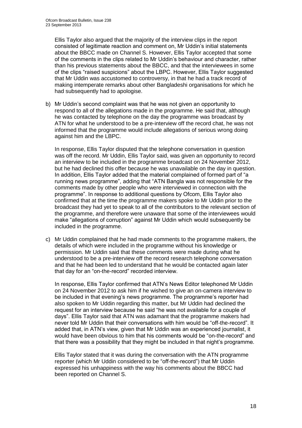Ellis Taylor also argued that the majority of the interview clips in the report consisted of legitimate reaction and comment on, Mr Uddin's initial statements about the BBCC made on Channel S. However, Ellis Taylor accepted that some of the comments in the clips related to Mr Uddin's behaviour and character, rather than his previous statements about the BBCC, and that the interviewees in some of the clips "raised suspicions" about the LBPC. However, Ellis Taylor suggested that Mr Uddin was accustomed to controversy, in that he had a track record of making intemperate remarks about other Bangladeshi organisations for which he had subsequently had to apologise.

b) Mr Uddin's second complaint was that he was not given an opportunity to respond to all of the allegations made in the programme. He said that, although he was contacted by telephone on the day the programme was broadcast by ATN for what he understood to be a pre-interview off the record chat, he was not informed that the programme would include allegations of serious wrong doing against him and the LBPC.

In response, Ellis Taylor disputed that the telephone conversation in question was off the record. Mr Uddin, Ellis Taylor said, was given an opportunity to record an interview to be included in the programme broadcast on 24 November 2012, but he had declined this offer because he was unavailable on the day in question. In addition, Ellis Taylor added that the material complained of formed part of "a running news programme", adding that "ATN Bangla was not responsible for the comments made by other people who were interviewed in connection with the programme". In response to additional questions by Ofcom, Ellis Taylor also confirmed that at the time the programme makers spoke to Mr Uddin prior to the broadcast they had yet to speak to all of the contributors to the relevant section of the programme, and therefore were unaware that some of the interviewees would make "allegations of corruption" against Mr Uddin which would subsequently be included in the programme.

c) Mr Uddin complained that he had made comments to the programme makers, the details of which were included in the programme without his knowledge or permission. Mr Uddin said that these comments were made during what he understood to be a pre-interview off the record research telephone conversation and that he had been led to understand that he would be contacted again later that day for an "on-the-record" recorded interview.

In response, Ellis Taylor confirmed that ATN's News Editor telephoned Mr Uddin on 24 November 2012 to ask him if he wished to give an on-camera interview to be included in that evening's news programme. The programme's reporter had also spoken to Mr Uddin regarding this matter, but Mr Uddin had declined the request for an interview because he said "he was not available for a couple of days". Ellis Taylor said that ATN was adamant that the programme makers had never told Mr Uddin that their conversations with him would be "off-the-record". It added that, in ATN's view, given that Mr Uddin was an experienced journalist, it would have been obvious to him that his comments would be "on-the-record" and that there was a possibility that they might be included in that night's programme.

Ellis Taylor stated that it was during the conversation with the ATN programme reporter (which Mr Uddin considered to be "off-the-record") that Mr Uddin expressed his unhappiness with the way his comments about the BBCC had been reported on Channel S.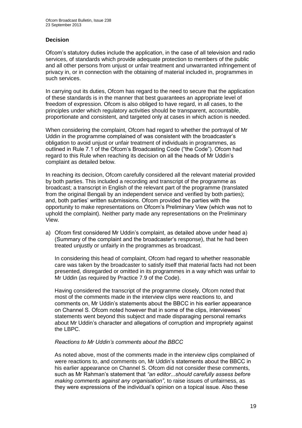## **Decision**

Ofcom's statutory duties include the application, in the case of all television and radio services, of standards which provide adequate protection to members of the public and all other persons from unjust or unfair treatment and unwarranted infringement of privacy in, or in connection with the obtaining of material included in, programmes in such services.

In carrying out its duties, Ofcom has regard to the need to secure that the application of these standards is in the manner that best guarantees an appropriate level of freedom of expression. Ofcom is also obliged to have regard, in all cases, to the principles under which regulatory activities should be transparent, accountable, proportionate and consistent, and targeted only at cases in which action is needed.

When considering the complaint, Ofcom had regard to whether the portrayal of Mr Uddin in the programme complained of was consistent with the broadcaster's obligation to avoid unjust or unfair treatment of individuals in programmes, as outlined in Rule 7.1 of the Ofcom's Broadcasting Code ("the Code"). Ofcom had regard to this Rule when reaching its decision on all the heads of Mr Uddin's complaint as detailed below.

In reaching its decision, Ofcom carefully considered all the relevant material provided by both parties. This included a recording and transcript of the programme as broadcast; a transcript in English of the relevant part of the programme (translated from the original Bengali by an independent service and verified by both parties); and, both parties' written submissions. Ofcom provided the parties with the opportunity to make representations on Ofcom's Preliminary View (which was not to uphold the complaint). Neither party made any representations on the Preliminary View.

a) Ofcom first considered Mr Uddin's complaint, as detailed above under head a) (Summary of the complaint and the broadcaster's response), that he had been treated unjustly or unfairly in the programmes as broadcast.

In considering this head of complaint, Ofcom had regard to whether reasonable care was taken by the broadcaster to satisfy itself that material facts had not been presented, disregarded or omitted in its programmes in a way which was unfair to Mr Uddin (as required by Practice 7.9 of the Code).

Having considered the transcript of the programme closely, Ofcom noted that most of the comments made in the interview clips were reactions to, and comments on, Mr Uddin's statements about the BBCC in his earlier appearance on Channel S. Ofcom noted however that in some of the clips, interviewees' statements went beyond this subject and made disparaging personal remarks about Mr Uddin's character and allegations of corruption and impropriety against the LBPC.

## *Reactions to Mr Uddin's comments about the BBCC*

As noted above, most of the comments made in the interview clips complained of were reactions to, and comments on, Mr Uddin's statements about the BBCC in his earlier appearance on Channel S. Ofcom did not consider these comments, such as Mr Rahman's statement that *"an editor...should carefully assess before making comments against any organisation"*, to raise issues of unfairness, as they were expressions of the individual's opinion on a topical issue. Also these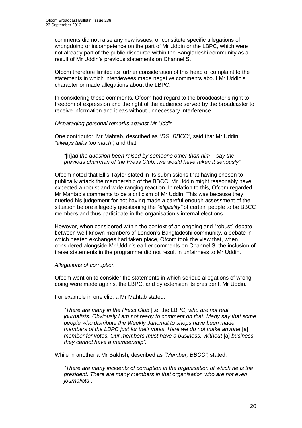comments did not raise any new issues, or constitute specific allegations of wrongdoing or incompetence on the part of Mr Uddin or the LBPC, which were not already part of the public discourse within the Bangladeshi community as a result of Mr Uddin's previous statements on Channel S.

Ofcom therefore limited its further consideration of this head of complaint to the statements in which interviewees made negative comments about Mr Uddin's character or made allegations about the LBPC.

In considering these comments, Ofcom had regard to the broadcaster's right to freedom of expression and the right of the audience served by the broadcaster to receive information and ideas without unnecessary interference.

#### *Disparaging personal remarks against Mr Uddin*

One contributor, Mr Mahtab, described as *"DG, BBCC"*, said that Mr Uddin *"always talks too much"*, and that:

#### *"*[h]*ad the question been raised by someone other than him – say the previous chairman of the Press Club...we would have taken it seriously".*

Ofcom noted that Ellis Taylor stated in its submissions that having chosen to publically attack the membership of the BBCC, Mr Uddin might reasonably have expected a robust and wide-ranging reaction. In relation to this, Ofcom regarded Mr Mahtab's comments to be a criticism of Mr Uddin. This was because they queried his judgement for not having made a careful enough assessment of the situation before allegedly questioning the *"eligibility"* of certain people to be BBCC members and thus participate in the organisation's internal elections.

However, when considered within the context of an ongoing and "robust" debate between well-known members of London's Bangladeshi community, a debate in which heated exchanges had taken place, Ofcom took the view that, when considered alongside Mr Uddin's earlier comments on Channel S, the inclusion of these statements in the programme did not result in unfairness to Mr Uddin.

## *Allegations of corruption*

Ofcom went on to consider the statements in which serious allegations of wrong doing were made against the LBPC, and by extension its president, Mr Uddin.

For example in one clip, a Mr Mahtab stated:

*"There are many in the Press Club* [i.e. the LBPC] *who are not real journalists. Obviously I am not ready to comment on that. Many say that some people who distribute the Weekly Janomat to shops have been made members of the LBPC just for their votes. Here we do not make anyone* [a] *member for votes. Our members must have a business. Without* [a] *business, they cannot have a membership".*

While in another a Mr Bakhsh, described as *"Member, BBCC"*, stated:

*"There are many incidents of corruption in the organisation of which he is the president. There are many members in that organisation who are not even journalists".*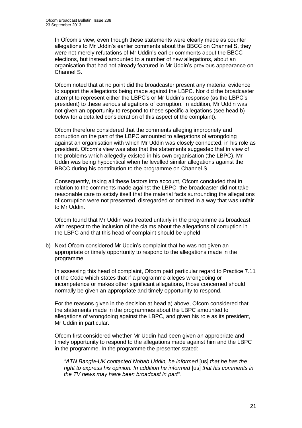In Ofcom's view, even though these statements were clearly made as counter allegations to Mr Uddin's earlier comments about the BBCC on Channel S, they were not merely refutations of Mr Uddin's earlier comments about the BBCC elections, but instead amounted to a number of new allegations, about an organisation that had not already featured in Mr Uddin's previous appearance on Channel S.

Ofcom noted that at no point did the broadcaster present any material evidence to support the allegations being made against the LBPC. Nor did the broadcaster attempt to represent either the LBPC's or Mr Uddin's response (as the LBPC's president) to these serious allegations of corruption. In addition, Mr Uddin was not given an opportunity to respond to these specific allegations (see head b) below for a detailed consideration of this aspect of the complaint).

Ofcom therefore considered that the comments alleging impropriety and corruption on the part of the LBPC amounted to allegations of wrongdoing against an organisation with which Mr Uddin was closely connected, in his role as president. Ofcom's view was also that the statements suggested that in view of the problems which allegedly existed in his own organisation (the LBPC), Mr Uddin was being hypocritical when he levelled similar allegations against the BBCC during his contribution to the programme on Channel S.

Consequently, taking all these factors into account, Ofcom concluded that in relation to the comments made against the LBPC, the broadcaster did not take reasonable care to satisfy itself that the material facts surrounding the allegations of corruption were not presented, disregarded or omitted in a way that was unfair to Mr Uddin.

Ofcom found that Mr Uddin was treated unfairly in the programme as broadcast with respect to the inclusion of the claims about the allegations of corruption in the LBPC and that this head of complaint should be upheld.

b) Next Ofcom considered Mr Uddin's complaint that he was not given an appropriate or timely opportunity to respond to the allegations made in the programme.

In assessing this head of complaint, Ofcom paid particular regard to Practice 7.11 of the Code which states that if a programme alleges wrongdoing or incompetence or makes other significant allegations, those concerned should normally be given an appropriate and timely opportunity to respond.

For the reasons given in the decision at head a) above, Ofcom considered that the statements made in the programmes about the LBPC amounted to allegations of wrongdoing against the LBPC, and given his role as its president, Mr Uddin in particular.

Ofcom first considered whether Mr Uddin had been given an appropriate and timely opportunity to respond to the allegations made against him and the LBPC in the programme. In the programme the presenter stated:

*"ATN Bangla-UK contacted Nobab Uddin, he informed* [us] *that he has the right to express his opinion. In addition he informed* [us] *that his comments in the TV news may have been broadcast in part".*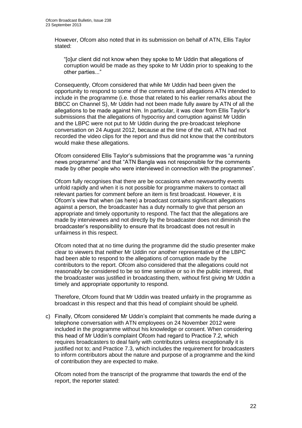However, Ofcom also noted that in its submission on behalf of ATN, Ellis Taylor stated:

"[o]ur client did not know when they spoke to Mr Uddin that allegations of corruption would be made as they spoke to Mr Uddin prior to speaking to the other parties..."

Consequently, Ofcom considered that while Mr Uddin had been given the opportunity to respond to some of the comments and allegations ATN intended to include in the programme (i.e. those that related to his earlier remarks about the BBCC on Channel S), Mr Uddin had not been made fully aware by ATN of all the allegations to be made against him. In particular, it was clear from Ellis Taylor's submissions that the allegations of hypocrisy and corruption against Mr Uddin and the LBPC were not put to Mr Uddin during the pre-broadcast telephone conversation on 24 August 2012, because at the time of the call, ATN had not recorded the video clips for the report and thus did not know that the contributors would make these allegations.

Ofcom considered Ellis Taylor's submissions that the programme was "a running news programme" and that "ATN Bangla was not responsible for the comments made by other people who were interviewed in connection with the programmes".

Ofcom fully recognises that there are be occasions when newsworthy events unfold rapidly and when it is not possible for programme makers to contact all relevant parties for comment before an item is first broadcast. However, it is Ofcom's view that when (as here) a broadcast contains significant allegations against a person, the broadcaster has a duty normally to give that person an appropriate and timely opportunity to respond. The fact that the allegations are made by interviewees and not directly by the broadcaster does not diminish the broadcaster's responsibility to ensure that its broadcast does not result in unfairness in this respect.

Ofcom noted that at no time during the programme did the studio presenter make clear to viewers that neither Mr Uddin nor another representative of the LBPC had been able to respond to the allegations of corruption made by the contributors to the report. Ofcom also considered that the allegations could not reasonably be considered to be so time sensitive or so in the public interest, that the broadcaster was justified in broadcasting them, without first giving Mr Uddin a timely and appropriate opportunity to respond.

Therefore, Ofcom found that Mr Uddin was treated unfairly in the programme as broadcast in this respect and that this head of complaint should be upheld.

c) Finally, Ofcom considered Mr Uddin's complaint that comments he made during a telephone conversation with ATN employees on 24 November 2012 were included in the programme without his knowledge or consent. When considering this head of Mr Uddin's complaint Ofcom had regard to Practice 7.2, which requires broadcasters to deal fairly with contributors unless exceptionally it is justified not to; and Practice 7.3, which includes the requirement for broadcasters to inform contributors about the nature and purpose of a programme and the kind of contribution they are expected to make.

Ofcom noted from the transcript of the programme that towards the end of the report, the reporter stated: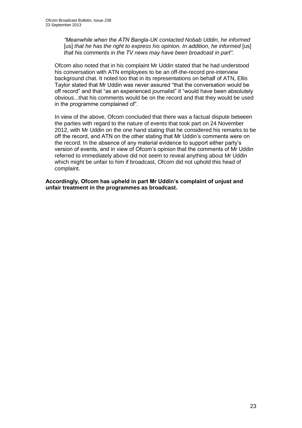*"Meanwhile when the ATN Bangla-UK contacted Nobab Uddin, he informed* [us] *that he has the right to express his opinion. In addition, he informed* [us] *that his comments in the TV news may have been broadcast in part"*.

Ofcom also noted that in his complaint Mr Uddin stated that he had understood his conversation with ATN employees to be an off-the-record pre-interview background chat. It noted too that in its representations on behalf of ATN, Ellis Taylor stated that Mr Uddin was never assured "that the conversation would be off record" and that "as an experienced journalist" it "would have been absolutely obvious...that his comments would be on the record and that they would be used in the programme complained of".

In view of the above, Ofcom concluded that there was a factual dispute between the parties with regard to the nature of events that took part on 24 November 2012, with Mr Uddin on the one hand stating that he considered his remarks to be off the record, and ATN on the other stating that Mr Uddin's comments were on the record. In the absence of any material evidence to support either party's version of events, and in view of Ofcom's opinion that the comments of Mr Uddin referred to immediately above did not seem to reveal anything about Mr Uddin which might be unfair to him if broadcast, Ofcom did not uphold this head of complaint.

**Accordingly, Ofcom has upheld in part Mr Uddin's complaint of unjust and unfair treatment in the programmes as broadcast.**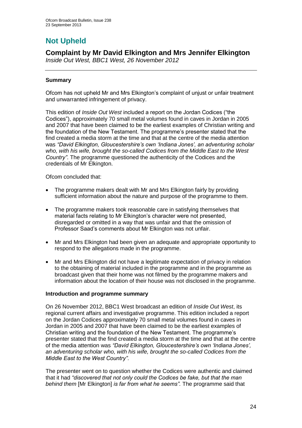# **Not Upheld**

## **Complaint by Mr David Elkington and Mrs Jennifer Elkington**

*Inside Out West, BBC1 West, 26 November 2012*

## **Summary**

Ofcom has not upheld Mr and Mrs Elkington's complaint of unjust or unfair treatment and unwarranted infringement of privacy.

This edition of *Inside Out West* included a report on the Jordan Codices ("the Codices"), approximately 70 small metal volumes found in caves in Jordan in 2005 and 2007 that have been claimed to be the earliest examples of Christian writing and the foundation of the New Testament. The programme's presenter stated that the find created a media storm at the time and that at the centre of the media attention was *"David Elkington, Gloucestershire's own 'Indiana Jones', an adventuring scholar who, with his wife, brought the so-called Codices from the Middle East to the West Country"*. The programme questioned the authenticity of the Codices and the credentials of Mr Elkington.

Ofcom concluded that:

- The programme makers dealt with Mr and Mrs Elkington fairly by providing sufficient information about the nature and purpose of the programme to them.
- The programme makers took reasonable care in satisfying themselves that material facts relating to Mr Elkington's character were not presented, disregarded or omitted in a way that was unfair and that the omission of Professor Saad's comments about Mr Elkington was not unfair.
- Mr and Mrs Elkington had been given an adequate and appropriate opportunity to respond to the allegations made in the programme.
- Mr and Mrs Elkington did not have a legitimate expectation of privacy in relation to the obtaining of material included in the programme and in the programme as broadcast given that their home was not filmed by the programme makers and information about the location of their house was not disclosed in the programme.

## **Introduction and programme summary**

On 26 November 2012, BBC1 West broadcast an edition of *Inside Out West*, its regional current affairs and investigative programme. This edition included a report on the Jordan Codices approximately 70 small metal volumes found in caves in Jordan in 2005 and 2007 that have been claimed to be the earliest examples of Christian writing and the foundation of the New Testament. The programme's presenter stated that the find created a media storm at the time and that at the centre of the media attention was *"David Elkington, Gloucestershire's own 'Indiana Jones', an adventuring scholar who, with his wife, brought the so-called Codices from the Middle East to the West Country"*.

The presenter went on to question whether the Codices were authentic and claimed that it had *"discovered that not only could the Codices be fake, but that the man behind them* [Mr Elkington] *is far from what he seems".* The programme said that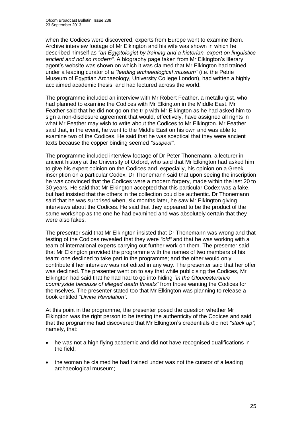when the Codices were discovered, experts from Europe went to examine them. Archive interview footage of Mr Elkington and his wife was shown in which he described himself as *"an Egyptologist by training and a historian, expert on linguistics ancient and not so modern".* A biography page taken from Mr Elkington's literary agent's website was shown on which it was claimed that Mr Elkington had trained under a leading curator of a *"leading archaeological museum"* (i.e. the Petrie Museum of Egyptian Archaeology, University College London), had written a highly acclaimed academic thesis, and had lectured across the world.

The programme included an interview with Mr Robert Feather, a metallurgist, who had planned to examine the Codices with Mr Elkington in the Middle East. Mr Feather said that he did not go on the trip with Mr Elkington as he had asked him to sign a non-disclosure agreement that would, effectively, have assigned all rights in what Mr Feather may wish to write about the Codices to Mr Elkington. Mr Feather said that, in the event, he went to the Middle East on his own and was able to examine two of the Codices. He said that he was sceptical that they were ancient texts because the copper binding seemed *"suspect"*.

The programme included interview footage of Dr Peter Thonemann, a lecturer in ancient history at the University of Oxford, who said that Mr Elkington had asked him to give his expert opinion on the Codices and, especially, his opinion on a Greek inscription on a particular Codex. Dr Thonemann said that upon seeing the inscription he was convinced that the Codices were a modern forgery, made within the last 20 to 30 years. He said that Mr Elkington accepted that this particular Codex was a fake, but had insisted that the others in the collection could be authentic. Dr Thonemann said that he was surprised when, six months later, he saw Mr Elkington giving interviews about the Codices. He said that they appeared to be the product of the same workshop as the one he had examined and was absolutely certain that they were also fakes.

The presenter said that Mr Elkington insisted that Dr Thonemann was wrong and that testing of the Codices revealed that they were *"old"* and that he was working with a team of international experts carrying out further work on them. The presenter said that Mr Elkington provided the programme with the names of two members of his team: one declined to take part in the programme; and the other would only contribute if her interview was not edited in any way. The presenter said that her offer was declined. The presenter went on to say that while publicising the Codices, Mr Elkington had said that he had had to go into hiding *"in the Gloucestershire countryside because of alleged death threats"* from those wanting the Codices for themselves. The presenter stated too that Mr Elkington was planning to release a book entitled *"Divine Revelation"*.

At this point in the programme, the presenter posed the question whether Mr Elkington was the right person to be testing the authenticity of the Codices and said that the programme had discovered that Mr Elkington's credentials did not *"stack up"*, namely, that:

- he was not a high flying academic and did not have recognised qualifications in the field;
- the woman he claimed he had trained under was not the curator of a leading archaeological museum;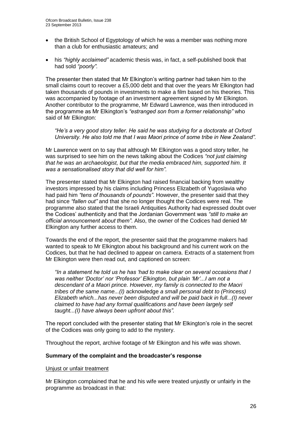- the British School of Egyptology of which he was a member was nothing more than a club for enthusiastic amateurs; and
- his *"highly acclaimed"* academic thesis was, in fact, a self-published book that had sold *"poorly".*

The presenter then stated that Mr Elkington's writing partner had taken him to the small claims court to recover a £5,000 debt and that over the years Mr Elkington had taken thousands of pounds in investments to make a film based on his theories. This was accompanied by footage of an investment agreement signed by Mr Elkington. Another contributor to the programme, Mr Edward Lawrence, was then introduced in the programme as Mr Elkington's *"estranged son from a former relationship"* who said of Mr Elkington:

*"He's a very good story teller. He said he was studying for a doctorate at Oxford University. He also told me that I was Maori prince of some tribe in New Zealand".*

Mr Lawrence went on to say that although Mr Elkington was a good story teller, he was surprised to see him on the news talking about the Codices *"not just claiming that he was an archaeologist, but that the media embraced him, supported him. It was a sensationalised story that did well for him".*

The presenter stated that Mr Elkington had raised financial backing from wealthy investors impressed by his claims including Princess Elizabeth of Yugoslavia who had paid him *"tens of thousands of pounds"*. However, the presenter said that they had since *"fallen out"* and that she no longer thought the Codices were real. The programme also stated that the Israeli Antiquities Authority had expressed doubt over the Codices' authenticity and that the Jordanian Government was *"still to make an official announcement about them"*. Also, the owner of the Codices had denied Mr Elkington any further access to them.

Towards the end of the report, the presenter said that the programme makers had wanted to speak to Mr Elkington about his background and his current work on the Codices, but that he had declined to appear on camera. Extracts of a statement from Mr Elkington were then read out, and captioned on screen:

*"In a statement he told us he has 'had to make clear on several occasions that I was neither 'Doctor' nor 'Professor' Elkington, but plain 'Mr'...I am not a descendant of a Maori prince. However, my family is connected to the Maori tribes of the same name...(I)* acknowledge *a small personal debt to (Princess) Elizabeth which...has never been disputed and will be paid back in full...(I) never claimed to have had any formal qualifications and have been largely self taught...(I) have always been upfront about this".*

The report concluded with the presenter stating that Mr Elkington's role in the secret of the Codices was only going to add to the mystery.

Throughout the report, archive footage of Mr Elkington and his wife was shown.

#### **Summary of the complaint and the broadcaster's response**

Unjust or unfair treatment

Mr Elkington complained that he and his wife were treated unjustly or unfairly in the programme as broadcast in that: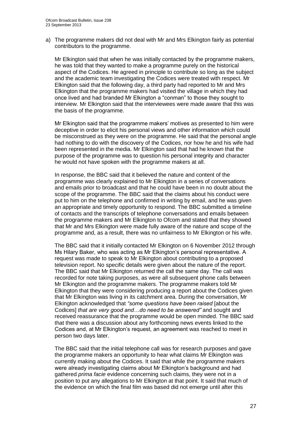a) The programme makers did not deal with Mr and Mrs Elkington fairly as potential contributors to the programme.

Mr Elkington said that when he was initially contacted by the programme makers, he was told that they wanted to make a programme purely on the historical aspect of the Codices. He agreed in principle to contribute so long as the subject and the academic team investigating the Codices were treated with respect. Mr Elkington said that the following day, a third party had reported to Mr and Mrs Elkington that the programme makers had visited the village in which they had once lived and had branded Mr Elkington a "conman" to those they sought to interview. Mr Elkington said that the interviewees were made aware that this was the basis of the programme.

Mr Elkington said that the programme makers' motives as presented to him were deceptive in order to elicit his personal views and other information which could be misconstrued as they were on the programme. He said that the personal angle had nothing to do with the discovery of the Codices, nor how he and his wife had been represented in the media. Mr Elkington said that had he known that the purpose of the programme was to question his personal integrity and character he would not have spoken with the programme makers at all.

In response, the BBC said that it believed the nature and content of the programme was clearly explained to Mr Elkington in a series of conversations and emails prior to broadcast and that he could have been in no doubt about the scope of the programme. The BBC said that the claims about his conduct were put to him on the telephone and confirmed in writing by email, and he was given an appropriate and timely opportunity to respond. The BBC submitted a timeline of contacts and the transcripts of telephone conversations and emails between the programme makers and Mr Elkington to Ofcom and stated that they showed that Mr and Mrs Elkington were made fully aware of the nature and scope of the programme and, as a result, there was no unfairness to Mr Elkington or his wife.

The BBC said that it initially contacted Mr Elkington on 6 November 2012 through Ms Hilary Baker, who was acting as Mr Elkington's personal representative. A request was made to speak to Mr Elkington about contributing to a proposed television report. No specific details were given about the nature of the report. The BBC said that Mr Elkington returned the call the same day. The call was recorded for note taking purposes, as were all subsequent phone calls between Mr Elkington and the programme makers. The programme makers told Mr Elkington that they were considering producing a report about the Codices given that Mr Elkington was living in its catchment area. During the conversation, Mr Elkington acknowledged that *"some questions have been raised* [about the Codices] *that are very good and…do need to be answered"* and sought and received reassurance that the programme would be open minded. The BBC said that there was a discussion about any forthcoming news events linked to the Codices and, at Mr Elkington's request, an agreement was reached to meet in person two days later.

The BBC said that the initial telephone call was for research purposes and gave the programme makers an opportunity to hear what claims Mr Elkington was currently making about the Codices. It said that while the programme makers were already investigating claims about Mr Elkington's background and had gathered *prima facie* evidence concerning such claims, they were not in a position to put any allegations to Mr Elkington at that point. It said that much of the evidence on which the final film was based did not emerge until after this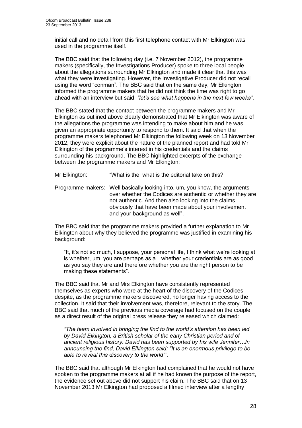initial call and no detail from this first telephone contact with Mr Elkington was used in the programme itself.

The BBC said that the following day (i.e. 7 November 2012), the programme makers (specifically, the Investigations Producer) spoke to three local people about the allegations surrounding Mr Elkington and made it clear that this was what they were investigating. However, the Investigative Producer did not recall using the word "conman". The BBC said that on the same day, Mr Elkington informed the programme makers that he did not think the time was right to go ahead with an interview but said: *"let's see what happens in the next few weeks"*.

The BBC stated that the contact between the programme makers and Mr Elkington as outlined above clearly demonstrated that Mr Elkington was aware of the allegations the programme was intending to make about him and he was given an appropriate opportunity to respond to them. It said that when the programme makers telephoned Mr Elkington the following week on 13 November 2012, they were explicit about the nature of the planned report and had told Mr Elkington of the programme's interest in his credentials and the claims surrounding his background. The BBC highlighted excerpts of the exchange between the programme makers and Mr Elkington:

Mr Elkington: "What is the, what is the editorial take on this?

Programme makers: Well basically looking into, um, you know, the arguments over whether the Codices are authentic or whether they are not authentic. And then also looking into the claims obviously that have been made about your involvement and your background as well".

The BBC said that the programme makers provided a further explanation to Mr Elkington about why they believed the programme was justified in examining his background:

"It, it's not so much, I suppose, your personal life, I think what we're looking at is whether, um, you are perhaps as a…whether your credentials are as good as you say they are and therefore whether you are the right person to be making these statements".

The BBC said that Mr and Mrs Elkington have consistently represented themselves as experts who were at the heart of the discovery of the Codices despite, as the programme makers discovered, no longer having access to the collection. It said that their involvement was, therefore, relevant to the story. The BBC said that much of the previous media coverage had focused on the couple as a direct result of the original press release they released which claimed:

*"The team involved in bringing the find to the world's attention has been led by David Elkington, a British scholar of the early Christian period and of ancient religious history. David has been supported by his wife Jennifer…In announcing the find, David Elkington said: "It is an enormous privilege to be able to reveal this discovery to the world"".*

The BBC said that although Mr Elkington had complained that he would not have spoken to the programme makers at all if he had known the purpose of the report, the evidence set out above did not support his claim. The BBC said that on 13 November 2013 Mr Elkington had proposed a filmed interview after a lengthy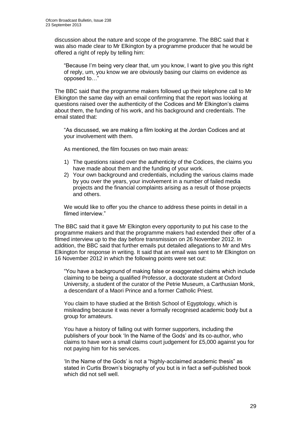discussion about the nature and scope of the programme. The BBC said that it was also made clear to Mr Elkington by a programme producer that he would be offered a right of reply by telling him:

"Because I'm being very clear that, um you know, I want to give you this right of reply, um, you know we are obviously basing our claims on evidence as opposed to…"

The BBC said that the programme makers followed up their telephone call to Mr Elkington the same day with an email confirming that the report was looking at questions raised over the authenticity of the Codices and Mr Elkington's claims about them, the funding of his work, and his background and credentials. The email stated that:

"As discussed, we are making a film looking at the Jordan Codices and at your involvement with them.

As mentioned, the film focuses on two main areas:

- 1) The questions raised over the authenticity of the Codices, the claims you have made about them and the funding of your work.
- 2) Your own background and credentials, including the various claims made by you over the years, your involvement in a number of failed media projects and the financial complaints arising as a result of those projects and others.

We would like to offer you the chance to address these points in detail in a filmed interview."

The BBC said that it gave Mr Elkington every opportunity to put his case to the programme makers and that the programme makers had extended their offer of a filmed interview up to the day before transmission on 26 November 2012. In addition, the BBC said that further emails put detailed allegations to Mr and Mrs Elkington for response in writing. It said that an email was sent to Mr Elkington on 16 November 2012 in which the following points were set out:

"You have a background of making false or exaggerated claims which include claiming to be being a qualified Professor, a doctorate student at Oxford University, a student of the curator of the Petrie Museum, a Carthusian Monk, a descendant of a Maori Prince and a former Catholic Priest.

You claim to have studied at the British School of Egyptology, which is misleading because it was never a formally recognised academic body but a group for amateurs.

You have a history of falling out with former supporters, including the publishers of your book 'In the Name of the Gods' and its co-author, who claims to have won a small claims court judgement for £5,000 against you for not paying him for his services.

'In the Name of the Gods' is not a "highly-acclaimed academic thesis" as stated in Curtis Brown's biography of you but is in fact a self-published book which did not sell well.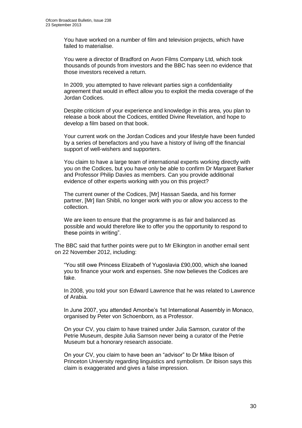You have worked on a number of film and television projects, which have failed to materialise.

You were a director of Bradford on Avon Films Company Ltd, which took thousands of pounds from investors and the BBC has seen no evidence that those investors received a return.

In 2009, you attempted to have relevant parties sign a confidentiality agreement that would in effect allow you to exploit the media coverage of the Jordan Codices.

Despite criticism of your experience and knowledge in this area, you plan to release a book about the Codices, entitled Divine Revelation, and hope to develop a film based on that book.

Your current work on the Jordan Codices and your lifestyle have been funded by a series of benefactors and you have a history of living off the financial support of well-wishers and supporters.

You claim to have a large team of international experts working directly with you on the Codices, but you have only be able to confirm Dr Margaret Barker and Professor Philip Davies as members. Can you provide additional evidence of other experts working with you on this project?

The current owner of the Codices, [Mr] Hassan Saeda, and his former partner, [Mr] Ilan Shibli, no longer work with you or allow you access to the collection.

We are keen to ensure that the programme is as fair and balanced as possible and would therefore like to offer you the opportunity to respond to these points in writing".

The BBC said that further points were put to Mr Elkington in another email sent on 22 November 2012, including:

"You still owe Princess Elizabeth of Yugoslavia £90,000, which she loaned you to finance your work and expenses. She now believes the Codices are fake.

In 2008, you told your son Edward Lawrence that he was related to Lawrence of Arabia.

In June 2007, you attended Amonbe's 1st International Assembly in Monaco, organised by Peter von Schoenborn, as a Professor.

On your CV, you claim to have trained under Julia Samson, curator of the Petrie Museum, despite Julia Samson never being a curator of the Petrie Museum but a honorary research associate.

On your CV, you claim to have been an "advisor" to Dr Mike Ibison of Princeton University regarding linguistics and symbolism. Dr Ibison says this claim is exaggerated and gives a false impression.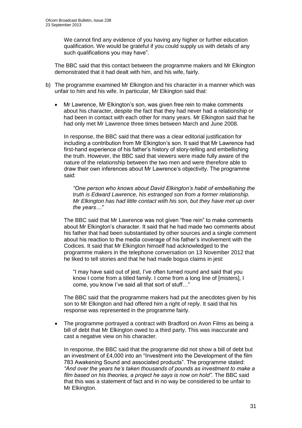We cannot find any evidence of you having any higher or further education qualification. We would be grateful if you could supply us with details of any such qualifications you may have".

The BBC said that this contact between the programme makers and Mr Elkington demonstrated that it had dealt with him, and his wife, fairly.

- b) The programme examined Mr Elkington and his character in a manner which was unfair to him and his wife. In particular, Mr Elkington said that:
	- Mr Lawrence, Mr Elkington's son, was given free rein to make comments about his character, despite the fact that they had never had a relationship or had been in contact with each other for many years. Mr Elkington said that he had only met Mr Lawrence three times between March and June 2008.

In response, the BBC said that there was a clear editorial justification for including a contribution from Mr Elkington's son. It said that Mr Lawrence had first-hand experience of his father's history of story-telling and embellishing the truth. However, the BBC said that viewers were made fully aware of the nature of the relationship between the two men and were therefore able to draw their own inferences about Mr Lawrence's objectivity. The programme said:

*"One person who knows about David Elkington's habit of embellishing the truth is Edward Lawrence, his estranged son from a former relationship. Mr Elkington has had little contact with his son, but they have met up over the years…"*

The BBC said that Mr Lawrence was not given "free rein" to make comments about Mr Elkington's character. It said that he had made two comments about his father that had been substantiated by other sources and a single comment about his reaction to the media coverage of his father's involvement with the Codices. It said that Mr Elkington himself had acknowledged to the programme makers in the telephone conversation on 13 November 2012 that he liked to tell stories and that he had made bogus claims in jest:

"I may have said out of jest, I've often turned round and said that you know I come from a titled family. I come from a long line of [misters], I come, you know I've said all that sort of stuff…"

The BBC said that the programme makers had put the anecdotes given by his son to Mr Elkington and had offered him a right of reply. It said that his response was represented in the programme fairly.

 The programme portrayed a contract with Bradford on Avon Films as being a bill of debt that Mr Elkington owed to a third party. This was inaccurate and cast a negative view on his character.

In response, the BBC said that the programme did not show a bill of debt but an investment of £4,000 into an "Investment into the Development of the film 783 Awakening Sound and associated products". The programme stated: *"And over the years he's taken thousands of pounds as investment to make a film based on his theories, a project he says is now on hold".* The BBC said that this was a statement of fact and in no way be considered to be unfair to Mr Elkington.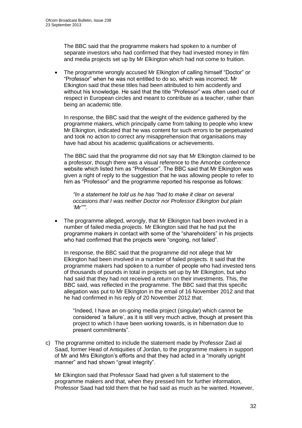The BBC said that the programme makers had spoken to a number of separate investors who had confirmed that they had invested money in film and media projects set up by Mr Elkington which had not come to fruition.

 The programme wrongly accused Mr Elkington of calling himself "Doctor" or "Professor" when he was not entitled to do so, which was incorrect. Mr Elkington said that these titles had been attributed to him accidently and without his knowledge. He said that the title "Professor" was often used out of respect in European circles and meant to contribute as a teacher, rather than being an academic title.

In response, the BBC said that the weight of the evidence gathered by the programme makers, which principally came from talking to people who knew Mr Elkington, indicated that he was content for such errors to be perpetuated and took no action to correct any misapprehension that organisations may have had about his academic qualifications or achievements.

The BBC said that the programme did not say that Mr Elkington claimed to be a professor, though there was a visual reference to the Amonbe conference website which listed him as "Professor". The BBC said that Mr Elkington was given a right of reply to the suggestion that he was allowing people to refer to him as "Professor" and the programme reported his response as follows:

*"In a statement he told us he has "had to make it clear on several occasions that I was neither Doctor nor Professor Elkington but plain 'Mr'"".* 

 The programme alleged, wrongly, that Mr Elkington had been involved in a number of failed media projects. Mr Elkington said that he had put the programme makers in contact with some of the "shareholders" in his projects who had confirmed that the projects were "ongoing, not failed".

In response, the BBC said that the programme did not allege that Mr Elkington had been involved in a number of failed projects. It said that the programme makers had spoken to a number of people who had invested tens of thousands of pounds in total in projects set up by Mr Elkington, but who had said that they had not received a return on their investments. This, the BBC said, was reflected in the programme. The BBC said that this specific allegation was put to Mr Elkington in the email of 16 November 2012 and that he had confirmed in his reply of 20 November 2012 that:

"Indeed, I have an on-going media project (singular) which cannot be considered 'a failure', as it is still very much active, though at present this project to which I have been working towards, is in hibernation due to present commitments".

c) The programme omitted to include the statement made by Professor Zaid al Saad, former Head of Antiquities of Jordan, to the programme makers in support of Mr and Mrs Elkington's efforts and that they had acted in a "morally upright manner" and had shown "great integrity".

Mr Elkington said that Professor Saad had given a full statement to the programme makers and that, when they pressed him for further information, Professor Saad had told them that he had said as much as he wanted. However,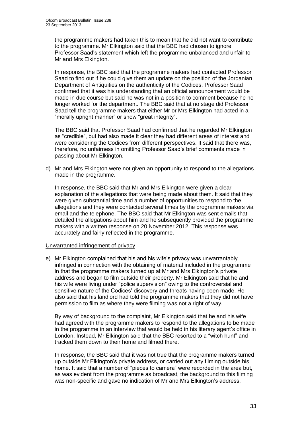the programme makers had taken this to mean that he did not want to contribute to the programme. Mr Elkington said that the BBC had chosen to ignore Professor Saad's statement which left the programme unbalanced and unfair to Mr and Mrs Elkington.

In response, the BBC said that the programme makers had contacted Professor Saad to find out if he could give them an update on the position of the Jordanian Department of Antiquities on the authenticity of the Codices. Professor Saad confirmed that it was his understanding that an official announcement would be made in due course but said he was not in a position to comment because he no longer worked for the department. The BBC said that at no stage did Professor Saad tell the programme makers that either Mr or Mrs Elkington had acted in a "morally upright manner" or show "great integrity".

The BBC said that Professor Saad had confirmed that he regarded Mr Elkington as "credible", but had also made it clear they had different areas of interest and were considering the Codices from different perspectives. It said that there was, therefore, no unfairness in omitting Professor Saad's brief comments made in passing about Mr Elkington.

d) Mr and Mrs Elkington were not given an opportunity to respond to the allegations made in the programme.

In response, the BBC said that Mr and Mrs Elkington were given a clear explanation of the allegations that were being made about them. It said that they were given substantial time and a number of opportunities to respond to the allegations and they were contacted several times by the programme makers via email and the telephone. The BBC said that Mr Elkington was sent emails that detailed the allegations about him and he subsequently provided the programme makers with a written response on 20 November 2012. This response was accurately and fairly reflected in the programme.

#### Unwarranted infringement of privacy

e) Mr Elkington complained that his and his wife's privacy was unwarrantably infringed in connection with the obtaining of material included in the programme in that the programme makers turned up at Mr and Mrs Elkington's private address and began to film outside their property. Mr Elkington said that he and his wife were living under "police supervision" owing to the controversial and sensitive nature of the Codices' discovery and threats having been made. He also said that his landlord had told the programme makers that they did not have permission to film as where they were filming was not a right of way.

By way of background to the complaint, Mr Elkington said that he and his wife had agreed with the programme makers to respond to the allegations to be made in the programme in an interview that would be held in his literary agent's office in London. Instead, Mr Elkington said that the BBC resorted to a "witch hunt" and tracked them down to their home and filmed there.

In response, the BBC said that it was not true that the programme makers turned up outside Mr Elkington's private address, or carried out any filming outside his home. It said that a number of "pieces to camera" were recorded in the area but, as was evident from the programme as broadcast, the background to this filming was non-specific and gave no indication of Mr and Mrs Elkington's address.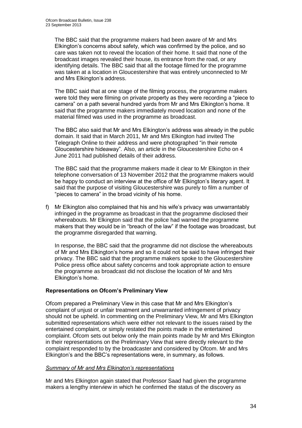The BBC said that the programme makers had been aware of Mr and Mrs Elkington's concerns about safety, which was confirmed by the police, and so care was taken not to reveal the location of their home. It said that none of the broadcast images revealed their house, its entrance from the road, or any identifying details. The BBC said that all the footage filmed for the programme was taken at a location in Gloucestershire that was entirely unconnected to Mr and Mrs Elkington's address.

The BBC said that at one stage of the filming process, the programme makers were told they were filming on private property as they were recording a "piece to camera" on a path several hundred yards from Mr and Mrs Elkington's home. It said that the programme makers immediately moved location and none of the material filmed was used in the programme as broadcast.

The BBC also said that Mr and Mrs Elkington's address was already in the public domain. It said that in March 2011, Mr and Mrs Elkington had invited The Telegraph Online to their address and were photographed "in their remote Gloucestershire hideaway"*.* Also, an article in the Gloucestershire Echo on 4 June 2011 had published details of their address.

The BBC said that the programme makers made it clear to Mr Elkington in their telephone conversation of 13 November 2012 that the programme makers would be happy to conduct an interview at the office of Mr Elkington's literary agent. It said that the purpose of visiting Gloucestershire was purely to film a number of "pieces to camera" in the broad vicinity of his home.

f) Mr Elkington also complained that his and his wife's privacy was unwarrantably infringed in the programme as broadcast in that the programme disclosed their whereabouts. Mr Elkington said that the police had warned the programme makers that they would be in "breach of the law" if the footage was broadcast, but the programme disregarded that warning.

In response, the BBC said that the programme did not disclose the whereabouts of Mr and Mrs Elkington's home and so it could not be said to have infringed their privacy. The BBC said that the programme makers spoke to the Gloucestershire Police press office about safety concerns and took appropriate action to ensure the programme as broadcast did not disclose the location of Mr and Mrs Elkington's home.

## **Representations on Ofcom's Preliminary View**

Ofcom prepared a Preliminary View in this case that Mr and Mrs Elkington's complaint of unjust or unfair treatment and unwarranted infringement of privacy should not be upheld. In commenting on the Preliminary View, Mr and Mrs Elkington submitted representations which were either not relevant to the issues raised by the entertained complaint, or simply restated the points made in the entertained complaint. Ofcom sets out below only the main points made by Mr and Mrs Elkington in their representations on the Preliminary View that were directly relevant to the complaint responded to by the broadcaster and considered by Ofcom. Mr and Mrs Elkington's and the BBC's representations were, in summary, as follows.

#### *Summary of Mr and Mrs Elkington's representations*

Mr and Mrs Elkington again stated that Professor Saad had given the programme makers a lengthy interview in which he confirmed the status of the discovery as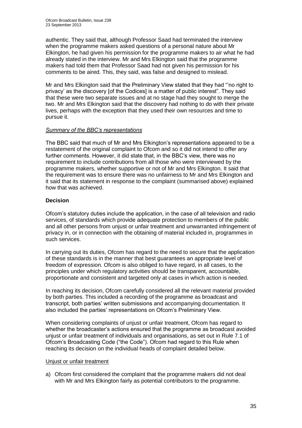authentic. They said that, although Professor Saad had terminated the interview when the programme makers asked questions of a personal nature about Mr Elkington, he had given his permission for the programme makers to air what he had already stated in the interview. Mr and Mrs Elkington said that the programme makers had told them that Professor Saad had not given his permission for his comments to be aired. This, they said, was false and designed to mislead.

Mr and Mrs Elkington said that the Preliminary View stated that they had "'no right to privacy' as the discovery [of the Codices] is a matter of public interest". They said that these were two separate issues and at no stage had they sought to merge the two. Mr and Mrs Elkington said that the discovery had nothing to do with their private lives, perhaps with the exception that they used their own resources and time to pursue it.

## *Summary of the BBC's representations*

The BBC said that much of Mr and Mrs Elkington's representations appeared to be a restatement of the original complaint to Ofcom and so it did not intend to offer any further comments. However, it did state that, in the BBC's view, there was no requirement to include contributions from all those who were interviewed by the programme makers, whether supportive or not of Mr and Mrs Elkington. It said that the requirement was to ensure there was no unfairness to Mr and Mrs Elkington and it said that its statement in response to the complaint (summarised above) explained how that was achieved.

## **Decision**

Ofcom's statutory duties include the application, in the case of all television and radio services, of standards which provide adequate protection to members of the public and all other persons from unjust or unfair treatment and unwarranted infringement of privacy in, or in connection with the obtaining of material included in, programmes in such services.

In carrying out its duties, Ofcom has regard to the need to secure that the application of these standards is in the manner that best guarantees an appropriate level of freedom of expression. Ofcom is also obliged to have regard, in all cases, to the principles under which regulatory activities should be transparent, accountable, proportionate and consistent and targeted only at cases in which action is needed.

In reaching its decision, Ofcom carefully considered all the relevant material provided by both parties. This included a recording of the programme as broadcast and transcript, both parties' written submissions and accompanying documentation. It also included the parties' representations on Ofcom's Preliminary View.

When considering complaints of unjust or unfair treatment, Ofcom has regard to whether the broadcaster's actions ensured that the programme as broadcast avoided unjust or unfair treatment of individuals and organisations, as set out in Rule 7.1 of Ofcom's Broadcasting Code ("the Code"). Ofcom had regard to this Rule when reaching its decision on the individual heads of complaint detailed below.

## Unjust or unfair treatment

a) Ofcom first considered the complaint that the programme makers did not deal with Mr and Mrs Elkington fairly as potential contributors to the programme.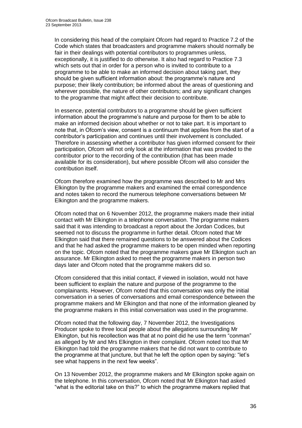In considering this head of the complaint Ofcom had regard to Practice 7.2 of the Code which states that broadcasters and programme makers should normally be fair in their dealings with potential contributors to programmes unless, exceptionally, it is justified to do otherwise. It also had regard to Practice 7.3 which sets out that in order for a person who is invited to contribute to a programme to be able to make an informed decision about taking part, they should be given sufficient information about: the programme's nature and purpose; their likely contribution; be informed about the areas of questioning and wherever possible, the nature of other contributors; and any significant changes to the programme that might affect their decision to contribute.

In essence, potential contributors to a programme should be given sufficient information about the programme's nature and purpose for them to be able to make an informed decision about whether or not to take part. It is important to note that, in Ofcom's view, consent is a continuum that applies from the start of a contributor's participation and continues until their involvement is concluded. Therefore in assessing whether a contributor has given informed consent for their participation, Ofcom will not only look at the information that was provided to the contributor prior to the recording of the contribution (that has been made available for its consideration), but where possible Ofcom will also consider the contribution itself.

Ofcom therefore examined how the programme was described to Mr and Mrs Elkington by the programme makers and examined the email correspondence and notes taken to record the numerous telephone conversations between Mr Elkington and the programme makers.

Ofcom noted that on 6 November 2012, the programme makers made their initial contact with Mr Elkington in a telephone conversation. The programme makers said that it was intending to broadcast a report about the Jordan Codices, but seemed not to discuss the programme in further detail. Ofcom noted that Mr Elkington said that there remained questions to be answered about the Codices and that he had asked the programme makers to be open minded when reporting on the topic. Ofcom noted that the programme makers gave Mr Elkington such an assurance. Mr Elkington asked to meet the programme makers in person two days later and Ofcom noted that the programme makers did so.

Ofcom considered that this initial contact, if viewed in isolation, would not have been sufficient to explain the nature and purpose of the programme to the complainants. However, Ofcom noted that this conversation was only the initial conversation in a series of conversations and email correspondence between the programme makers and Mr Elkington and that none of the information gleaned by the programme makers in this initial conversation was used in the programme.

Ofcom noted that the following day, 7 November 2012, the Investigations Producer spoke to three local people about the allegations surrounding Mr Elkington, but his recollection was that at no point did he use the term "conman" as alleged by Mr and Mrs Elkington in their complaint. Ofcom noted too that Mr Elkington had told the programme makers that he did not want to contribute to the programme at that juncture, but that he left the option open by saying: "let's see what happens in the next few weeks".

On 13 November 2012, the programme makers and Mr Elkington spoke again on the telephone. In this conversation, Ofcom noted that Mr Elkington had asked "what is the editorial take on this?" to which the programme makers replied that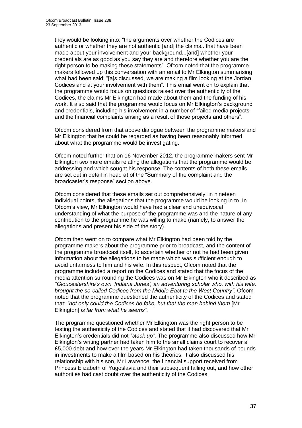they would be looking into: "the arguments over whether the Codices are authentic or whether they are not authentic [and] the claims...that have been made about your involvement and your background...[and] whether your credentials are as good as you say they are and therefore whether you are the right person to be making these statements". Ofcom noted that the programme makers followed up this conversation with an email to Mr Elkington summarising what had been said: "[a]s discussed, we are making a film looking at the Jordan Codices and at your involvement with them". This email went on to explain that the programme would focus on questions raised over the authenticity of the Codices, the claims Mr Elkington had made about them and the funding of his work. It also said that the programme would focus on Mr Elkington's background and credentials, including his involvement in a number of "failed media projects and the financial complaints arising as a result of those projects and others".

Ofcom considered from that above dialogue between the programme makers and Mr Elkington that he could be regarded as having been reasonably informed about what the programme would be investigating.

Ofcom noted further that on 16 November 2012, the programme makers sent Mr Elkington two more emails relating the allegations that the programme would be addressing and which sought his response. The contents of both these emails are set out in detail in head a) of the "Summary of the complaint and the broadcaster's response" section above.

Ofcom considered that these emails set out comprehensively, in nineteen individual points, the allegations that the programme would be looking in to. In Ofcom's view, Mr Elkington would have had a clear and unequivocal understanding of what the purpose of the programme was and the nature of any contribution to the programme he was willing to make (namely, to answer the allegations and present his side of the story).

Ofcom then went on to compare what Mr Elkington had been told by the programme makers about the programme prior to broadcast, and the content of the programme broadcast itself, to ascertain whether or not he had been given information about the allegations to be made which was sufficient enough to avoid unfairness to him and his wife. In this respect, Ofcom noted that the programme included a report on the Codices and stated that the focus of the media attention surrounding the Codices was on Mr Elkington who it described as *"Gloucestershire's own 'Indiana Jones', an adventuring scholar who, with his wife, brought the so-called Codices from the Middle East to the West Country"*. Ofcom noted that the programme questioned the authenticity of the Codices and stated that: *"not only could the Codices be fake, but that the man behind them* [Mr Elkington] *is far from what he seems".* 

The programme questioned whether Mr Elkington was the right person to be testing the authenticity of the Codices and stated that it had discovered that Mr Elkington's credentials did not *"stack up"*. The programme also discussed how Mr Elkington's writing partner had taken him to the small claims court to recover a £5,000 debt and how over the years Mr Elkington had taken thousands of pounds in investments to make a film based on his theories. It also discussed his relationship with his son, Mr Lawrence, the financial support received from Princess Elizabeth of Yugoslavia and their subsequent falling out, and how other authorities had cast doubt over the authenticity of the Codices.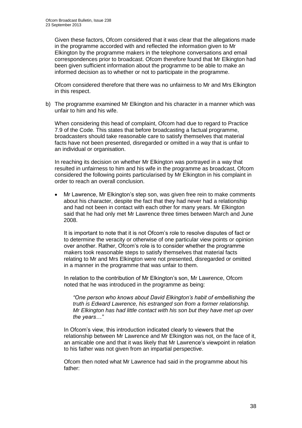Given these factors, Ofcom considered that it was clear that the allegations made in the programme accorded with and reflected the information given to Mr Elkington by the programme makers in the telephone conversations and email correspondences prior to broadcast. Ofcom therefore found that Mr Elkington had been given sufficient information about the programme to be able to make an informed decision as to whether or not to participate in the programme.

Ofcom considered therefore that there was no unfairness to Mr and Mrs Elkington in this respect.

b) The programme examined Mr Elkington and his character in a manner which was unfair to him and his wife.

When considering this head of complaint, Ofcom had due to regard to Practice 7.9 of the Code. This states that before broadcasting a factual programme, broadcasters should take reasonable care to satisfy themselves that material facts have not been presented, disregarded or omitted in a way that is unfair to an individual or organisation.

In reaching its decision on whether Mr Elkington was portrayed in a way that resulted in unfairness to him and his wife in the programme as broadcast, Ofcom considered the following points particularised by Mr Elkington in his complaint in order to reach an overall conclusion.

 Mr Lawrence, Mr Elkington's step son, was given free rein to make comments about his character, despite the fact that they had never had a relationship and had not been in contact with each other for many years. Mr Elkington said that he had only met Mr Lawrence three times between March and June 2008.

It is important to note that it is not Ofcom's role to resolve disputes of fact or to determine the veracity or otherwise of one particular view points or opinion over another. Rather, Ofcom's role is to consider whether the programme makers took reasonable steps to satisfy themselves that material facts relating to Mr and Mrs Elkington were not presented, disregarded or omitted in a manner in the programme that was unfair to them.

In relation to the contribution of Mr Elkington's son, Mr Lawrence, Ofcom noted that he was introduced in the programme as being:

*"One person who knows about David Elkington's habit of embellishing the truth is Edward Lawrence, his estranged son from a former relationship. Mr Elkington has had little contact with his son but they have met up over the years…"* 

In Ofcom's view, this introduction indicated clearly to viewers that the relationship between Mr Lawrence and Mr Elkington was not, on the face of it, an amicable one and that it was likely that Mr Lawrence's viewpoint in relation to his father was not given from an impartial perspective.

Ofcom then noted what Mr Lawrence had said in the programme about his father: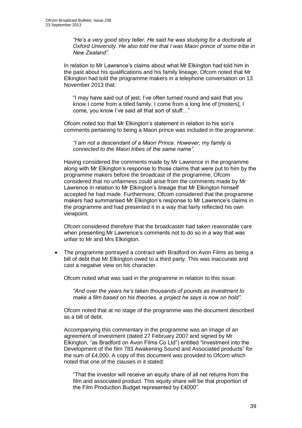*"He's a very good story teller. He said he was studying for a doctorate at Oxford University. He also told me that I was Maori prince of some tribe in New Zealand".*

In relation to Mr Lawrence's claims about what Mr Elkington had told him in the past about his qualifications and his family lineage, Ofcom noted that Mr Elkington had told the programme makers in a telephone conversation on 13 November 2013 that:

"I may have said out of jest, I've often turned round and said that you know I come from a titled family. I come from a long line of [misters], I come, you know I've said all that sort of stuff…"

Ofcom noted too that Mr Elkington's statement in relation to his son's comments pertaining to being a Maori prince was included in the programme:

*"I am not a descendant of a Maori Prince. However, my family is connected to the Maori tribes of the same name".*

Having considered the comments made by Mr Lawrence in the programme along with Mr Elkington's response to those claims that were put to him by the programme makers before the broadcast of the programme, Ofcom considered that no unfairness could arise from the comments made by Mr Lawrence in relation to Mr Elkington's lineage that Mr Elkington himself accepted he had made. Furthermore, Ofcom considered that the programme makers had summarised Mr Elkington's response to Mr Lawrence's claims in the programme and had presented it in a way that fairly reflected his own viewpoint.

Ofcom considered therefore that the broadcaster had taken reasonable care when presenting Mr Lawrence's comments not to do so in a way that was unfair to Mr and Mrs Elkington.

 The programme portrayed a contract with Bradford on Avon Films as being a bill of debt that Mr Elkington owed to a third party. This was inaccurate and cast a negative view on his character.

Ofcom noted what was said in the programme in relation to this issue:

*"And over the years he's taken thousands of pounds as investment to make a film based on his theories, a project he says is now on hold".*

Ofcom noted that at no stage of the programme was the document described as a bill of debt.

Accompanying this commentary in the programme was an image of an agreement of investment (dated 27 February 2007 and signed by Mr Elkington, "as Bradford on Avon Films Co Ltd") entitled "Investment into the Development of the film 783 Awakening Sound and Associated products" for the sum of £4,000. A copy of this document was provided to Ofcom which noted that one of the clauses in it stated:

"That the investor will receive an equity share of all net returns from the film and associated product. This equity share will be that proportion of the Film Production Budget represented by £4000".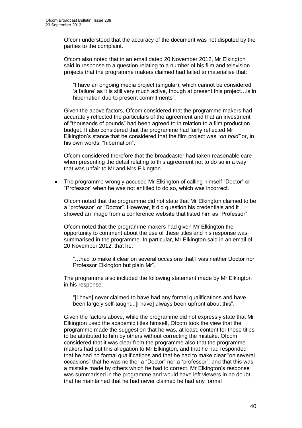Ofcom understood that the accuracy of the document was not disputed by the parties to the complaint.

Ofcom also noted that in an email dated 20 November 2012, Mr Elkington said in response to a question relating to a number of his film and television projects that the programme makers claimed had failed to materialise that:

"I have an ongoing media project (singular), which cannot be considered 'a failure' as it is still very much active, though at present this project…is in hibernation due to present commitments".

Given the above factors, Ofcom considered that the programme makers had accurately reflected the particulars of the agreement and that an investment of "thousands of pounds" had been agreed to in relation to a film production budget. It also considered that the programme had fairly reflected Mr Elkington's stance that he considered that the film project was *"on hold"* or, in his own words, "hibernation".

Ofcom considered therefore that the broadcaster had taken reasonable care when presenting the detail relating to this agreement not to do so in a way that was unfair to Mr and Mrs Elkington.

 The programme wrongly accused Mr Elkington of calling himself "Doctor" or "Professor" when he was not entitled to do so, which was incorrect.

Ofcom noted that the programme did not state that Mr Elkington claimed to be a "professor" or "Doctor". However, it did question his credentials and it showed an image from a conference website that listed him as "Professor".

Ofcom noted that the programme makers had given Mr Elkington the opportunity to comment about the use of these titles and his response was summarised in the programme. In particular, Mr Elkington said in an email of 20 November 2012, that he:

"…had to make it clear on several occasions that I was neither Doctor nor Professor Elkington but plain Mr".

The programme also included the following statement made by Mr Elkington in his response:

"[I have] never claimed to have had any formal qualifications and have been largely self-taught...[I have] always been upfront about this".

Given the factors above, while the programme did not expressly state that Mr Elkington used the academic titles himself, Ofcom took the view that the programme made the suggestion that he was, at least, content for those titles to be attributed to him by others without correcting the mistake. Ofcom considered that it was clear from the programme also that the programme makers had put this allegation to Mr Elkington, and that he had responded that he had no formal qualifications and that he had to make clear "on several occasions" that he was neither a "Doctor" nor a "professor", and that this was a mistake made by others which he had to correct. Mr Elkington's response was summarised in the programme and would have left viewers in no doubt that he maintained that he had never claimed he had any formal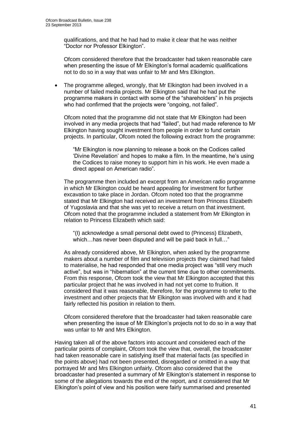qualifications, and that he had had to make it clear that he was neither "Doctor nor Professor Elkington".

Ofcom considered therefore that the broadcaster had taken reasonable care when presenting the issue of Mr Elkington's formal academic qualifications not to do so in a way that was unfair to Mr and Mrs Elkington.

 The programme alleged, wrongly, that Mr Elkington had been involved in a number of failed media projects. Mr Elkington said that he had put the programme makers in contact with some of the "shareholders" in his projects who had confirmed that the projects were "ongoing, not failed".

Ofcom noted that the programme did not state that Mr Elkington had been involved in any media projects that had "failed", but had made reference to Mr Elkington having sought investment from people in order to fund certain projects. In particular, Ofcom noted the following extract from the programme:

"Mr Elkington is now planning to release a book on the Codices called 'Divine Revelation' and hopes to make a film. In the meantime, he's using the Codices to raise money to support him in his work. He even made a direct appeal on American radio".

The programme then included an excerpt from an American radio programme in which Mr Elkington could be heard appealing for investment for further excavation to take place in Jordan. Ofcom noted too that the programme stated that Mr Elkington had received an investment from Princess Elizabeth of Yugoslavia and that she was yet to receive a return on that investment. Ofcom noted that the programme included a statement from Mr Elkington in relation to Princess Elizabeth which said:

"(I) acknowledge a small personal debt owed to (Princess) Elizabeth, which…has never been disputed and will be paid back in full…"

As already considered above, Mr Elkington, when asked by the programme makers about a number of film and television projects they claimed had failed to materialise, he had responded that one media project was "still very much active", but was in "hibernation" at the current time due to other commitments. From this response, Ofcom took the view that Mr Elkington accepted that this particular project that he was involved in had not yet come to fruition. It considered that it was reasonable, therefore, for the programme to refer to the investment and other projects that Mr Elkington was involved with and it had fairly reflected his position in relation to them.

Ofcom considered therefore that the broadcaster had taken reasonable care when presenting the issue of Mr Elkington's projects not to do so in a way that was unfair to Mr and Mrs Elkington.

Having taken all of the above factors into account and considered each of the particular points of complaint, Ofcom took the view that, overall, the broadcaster had taken reasonable care in satisfying itself that material facts (as specified in the points above) had not been presented, disregarded or omitted in a way that portrayed Mr and Mrs Elkington unfairly. Ofcom also considered that the broadcaster had presented a summary of Mr Elkington's statement in response to some of the allegations towards the end of the report, and it considered that Mr Elkington's point of view and his position were fairly summarised and presented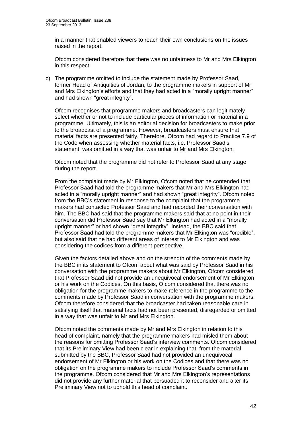in a manner that enabled viewers to reach their own conclusions on the issues raised in the report.

Ofcom considered therefore that there was no unfairness to Mr and Mrs Elkington in this respect.

c) The programme omitted to include the statement made by Professor Saad, former Head of Antiquities of Jordan, to the programme makers in support of Mr and Mrs Elkington's efforts and that they had acted in a "morally upright manner" and had shown "great integrity".

Ofcom recognises that programme makers and broadcasters can legitimately select whether or not to include particular pieces of information or material in a programme. Ultimately, this is an editorial decision for broadcasters to make prior to the broadcast of a programme. However, broadcasters must ensure that material facts are presented fairly. Therefore, Ofcom had regard to Practice 7.9 of the Code when assessing whether material facts, i.e. Professor Saad's statement, was omitted in a way that was unfair to Mr and Mrs Elkington.

Ofcom noted that the programme did not refer to Professor Saad at any stage during the report.

From the complaint made by Mr Elkington, Ofcom noted that he contended that Professor Saad had told the programme makers that Mr and Mrs Elkington had acted in a "morally upright manner" and had shown "great integrity". Ofcom noted from the BBC's statement in response to the complaint that the programme makers had contacted Professor Saad and had recorded their conversation with him. The BBC had said that the programme makers said that at no point in their conversation did Professor Saad say that Mr Elkington had acted in a "morally upright manner" or had shown "great integrity". Instead, the BBC said that Professor Saad had told the programme makers that Mr Elkington was "credible", but also said that he had different areas of interest to Mr Elkington and was considering the codices from a different perspective.

Given the factors detailed above and on the strength of the comments made by the BBC in its statement to Ofcom about what was said by Professor Saad in his conversation with the programme makers about Mr Elkington, Ofcom considered that Professor Saad did not provide an unequivocal endorsement of Mr Elkington or his work on the Codices. On this basis, Ofcom considered that there was no obligation for the programme makers to make reference in the programme to the comments made by Professor Saad in conversation with the programme makers. Ofcom therefore considered that the broadcaster had taken reasonable care in satisfying itself that material facts had not been presented, disregarded or omitted in a way that was unfair to Mr and Mrs Elkington.

Ofcom noted the comments made by Mr and Mrs Elkington in relation to this head of complaint, namely that the programme makers had misled them about the reasons for omitting Professor Saad's interview comments. Ofcom considered that its Preliminary View had been clear in explaining that, from the material submitted by the BBC, Professor Saad had not provided an unequivocal endorsement of Mr Elkington or his work on the Codices and that there was no obligation on the programme makers to include Professor Saad's comments in the programme. Ofcom considered that Mr and Mrs Elkington's representations did not provide any further material that persuaded it to reconsider and alter its Preliminary View not to uphold this head of complaint.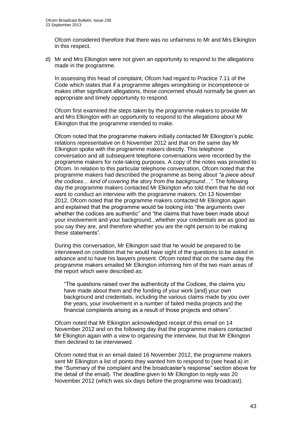Ofcom considered therefore that there was no unfairness to Mr and Mrs Elkington in this respect.

d) Mr and Mrs Elkington were not given an opportunity to respond to the allegations made in the programme.

In assessing this head of complaint, Ofcom had regard to Practice 7.11 of the Code which states that if a programme alleges wrongdoing or incompetence or makes other significant allegations, those concerned should normally be given an appropriate and timely opportunity to respond.

Ofcom first examined the steps taken by the programme makers to provide Mr and Mrs Elkington with an opportunity to respond to the allegations about Mr Elkington that the programme intended to make.

Ofcom noted that the programme makers initially contacted Mr Elkington's public relations representative on 6 November 2012 and that on the same day Mr Elkington spoke with the programme makers directly. This telephone conversation and all subsequent telephone conversations were recorded by the programme makers for note-taking purposes. A copy of the notes was provided to Ofcom. In relation to this particular telephone conversation, Ofcom noted that the programme makers had described the programme as being about *"a piece about the codices… kind of covering the story from the background…".* The following day the programme makers contacted Mr Elkington who told them that he did not want to conduct an interview with the programme makers. On 13 November 2012, Ofcom noted that the programme makers contacted Mr Elkington again and explained that the programme would be looking into "the arguments over whether the codices are authentic" and "the claims that have been made about your involvement and your background...whether your credentials are as good as you say they are, and therefore whether you are the right person to be making these statements".

During this conversation, Mr Elkington said that he would be prepared to be interviewed on condition that he would have sight of the questions to be asked in advance and to have his lawyers present. Ofcom noted that on the same day the programme makers emailed Mr Elkington informing him of the two main areas of the report which were described as:

"The questions raised over the authenticity of the Codices, the claims you have made about them and the funding of your work [and] your own background and credentials, including the various claims made by you over the years, your involvement in a number of failed media projects and the financial complaints arising as a result of those projects and others".

Ofcom noted that Mr Elkington acknowledged receipt of this email on 14 November 2012 and on the following day that the programme makers contacted Mr Elkington again with a view to organising the interview, but that Mr Elkington then declined to be interviewed.

Ofcom noted that in an email dated 16 November 2012, the programme makers sent Mr Elkington a list of points they wanted him to respond to (see head a) in the "Summary of the complaint and the broadcaster's response" section above for the detail of the email). The deadline given to Mr Elkington to reply was 20 November 2012 (which was six days before the programme was broadcast).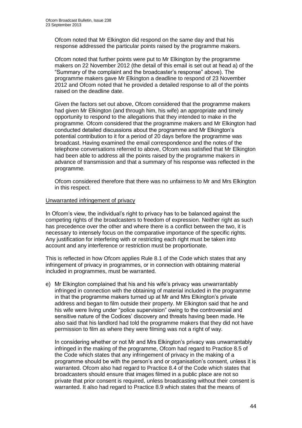Ofcom noted that Mr Elkington did respond on the same day and that his response addressed the particular points raised by the programme makers.

Ofcom noted that further points were put to Mr Elkington by the programme makers on 22 November 2012 (the detail of this email is set out at head a) of the "Summary of the complaint and the broadcaster's response" above). The programme makers gave Mr Elkington a deadline to respond of 23 November 2012 and Ofcom noted that he provided a detailed response to all of the points raised on the deadline date.

Given the factors set out above, Ofcom considered that the programme makers had given Mr Elkington (and through him, his wife) an appropriate and timely opportunity to respond to the allegations that they intended to make in the programme. Ofcom considered that the programme makers and Mr Elkington had conducted detailed discussions about the programme and Mr Elkington's potential contribution to it for a period of 20 days before the programme was broadcast. Having examined the email correspondence and the notes of the telephone conversations referred to above, Ofcom was satisfied that Mr Elkington had been able to address all the points raised by the programme makers in advance of transmission and that a summary of his response was reflected in the programme.

Ofcom considered therefore that there was no unfairness to Mr and Mrs Elkington in this respect.

### Unwarranted infringement of privacy

In Ofcom's view, the individual's right to privacy has to be balanced against the competing rights of the broadcasters to freedom of expression. Neither right as such has precedence over the other and where there is a conflict between the two, it is necessary to intensely focus on the comparative importance of the specific rights. Any justification for interfering with or restricting each right must be taken into account and any interference or restriction must be proportionate.

This is reflected in how Ofcom applies Rule 8.1 of the Code which states that any infringement of privacy in programmes, or in connection with obtaining material included in programmes, must be warranted.

e) Mr Elkington complained that his and his wife's privacy was unwarrantably infringed in connection with the obtaining of material included in the programme in that the programme makers turned up at Mr and Mrs Elkington's private address and began to film outside their property. Mr Elkington said that he and his wife were living under "police supervision" owing to the controversial and sensitive nature of the Codices' discovery and threats having been made. He also said that his landlord had told the programme makers that they did not have permission to film as where they were filming was not a right of way.

In considering whether or not Mr and Mrs Elkington's privacy was unwarrantably infringed in the making of the programme, Ofcom had regard to Practice 8.5 of the Code which states that any infringement of privacy in the making of a programme should be with the person's and or organisation's consent, unless it is warranted. Ofcom also had regard to Practice 8.4 of the Code which states that broadcasters should ensure that images filmed in a public place are not so private that prior consent is required, unless broadcasting without their consent is warranted. It also had regard to Practice 8.9 which states that the means of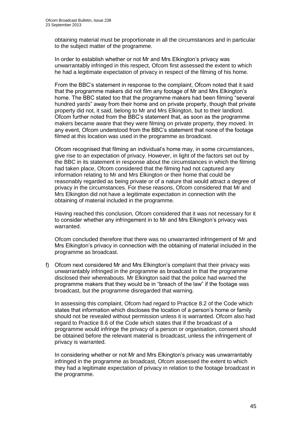obtaining material must be proportionate in all the circumstances and in particular to the subject matter of the programme.

In order to establish whether or not Mr and Mrs Elkington's privacy was unwarrantably infringed in this respect, Ofcom first assessed the extent to which he had a legitimate expectation of privacy in respect of the filming of his home.

From the BBC's statement in response to the complaint, Ofcom noted that it said that the programme makers did not film any footage of Mr and Mrs Elkington's home. The BBC stated too that the programme makers had been filming "several hundred yards" away from their home and on private property, though that private property did not, it said, belong to Mr and Mrs Elkington, but to their landlord. Ofcom further noted from the BBC's statement that, as soon as the programme makers became aware that they were filming on private property, they moved. In any event, Ofcom understood from the BBC's statement that none of the footage filmed at this location was used in the programme as broadcast.

Ofcom recognised that filming an individual's home may, in some circumstances, give rise to an expectation of privacy. However, in light of the factors set out by the BBC in its statement in response about the circumstances in which the filming had taken place, Ofcom considered that the filming had not captured any information relating to Mr and Mrs Elkington or their home that could be reasonably regarded as being private or of a nature that would attract a degree of privacy in the circumstances. For these reasons, Ofcom considered that Mr and Mrs Elkington did not have a legitimate expectation in connection with the obtaining of material included in the programme.

Having reached this conclusion, Ofcom considered that it was not necessary for it to consider whether any infringement in to Mr and Mrs Elkington's privacy was warranted.

Ofcom concluded therefore that there was no unwarranted infringement of Mr and Mrs Elkington's privacy in connection with the obtaining of material included in the programme as broadcast.

f) Ofcom next considered Mr and Mrs Elkington's complaint that their privacy was unwarrantably infringed in the programme as broadcast in that the programme disclosed their whereabouts. Mr Elkington said that the police had warned the programme makers that they would be in "breach of the law" if the footage was broadcast, but the programme disregarded that warning.

In assessing this complaint, Ofcom had regard to Practice 8.2 of the Code which states that information which discloses the location of a person's home or family should not be revealed without permission unless it is warranted. Ofcom also had regard to Practice 8.6 of the Code which states that if the broadcast of a programme would infringe the privacy of a person or organisation, consent should be obtained before the relevant material is broadcast, unless the infringement of privacy is warranted.

In considering whether or not Mr and Mrs Elkington's privacy was unwarrantably infringed in the programme as broadcast, Ofcom assessed the extent to which they had a legitimate expectation of privacy in relation to the footage broadcast in the programme.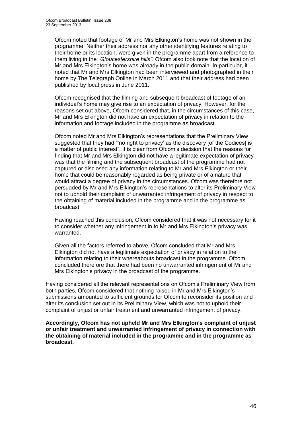Ofcom noted that footage of Mr and Mrs Elkington's home was not shown in the programme. Neither their address nor any other identifying features relating to their home or its location, were given in the programme apart from a reference to them living in the *"Gloucestershire hills"*. Ofcom also took note that the location of Mr and Mrs Elkington's home was already in the public domain. In particular, it noted that Mr and Mrs Elkington had been interviewed and photographed in their home by The Telegraph Online in March 2011 and that their address had been published by local press in June 2011.

Ofcom recognised that the filming and subsequent broadcast of footage of an individual's home may give rise to an expectation of privacy. However, for the reasons set out above, Ofcom considered that, in the circumstances of this case, Mr and Mrs Elkington did not have an expectation of privacy in relation to the information and footage included in the programme as broadcast.

Ofcom noted Mr and Mrs Elkington's representations that the Preliminary View suggested that they had "'no right to privacy' as the discovery [of the Codices] is a matter of public interest". It is clear from Ofcom's decision that the reasons for finding that Mr and Mrs Elkington did not have a legitimate expectation of privacy was that the filming and the subsequent broadcast of the programme had not captured or disclosed any information relating to Mr and Mrs Elkington or their home that could be reasonably regarded as being private or of a nature that would attract a degree of privacy in the circumstances. Ofcom was therefore not persuaded by Mr and Mrs Elkington's representations to alter its Preliminary View not to uphold their complaint of unwarranted infringement of privacy in respect to the obtaining of material included in the programme and in the programme as broadcast.

Having reached this conclusion, Ofcom considered that it was not necessary for it to consider whether any infringement in to Mr and Mrs Elkington's privacy was warranted.

Given all the factors referred to above, Ofcom concluded that Mr and Mrs Elkington did not have a legitimate expectation of privacy in relation to the information relating to their whereabouts broadcast in the programme. Ofcom concluded therefore that there had been no unwarranted infringement of Mr and Mrs Elkington's privacy in the broadcast of the programme.

Having considered all the relevant representations on Ofcom's Preliminary View from both parties, Ofcom considered that nothing raised in Mr and Mrs Elkington's submissions amounted to sufficient grounds for Ofcom to reconsider its position and alter its conclusion set out in its Preliminary View, which was not to uphold their complaint of unjust or unfair treatment and unwarranted infringement of privacy.

**Accordingly, Ofcom has not upheld Mr and Mrs Elkington's complaint of unjust or unfair treatment and unwarranted infringement of privacy in connection with the obtaining of material included in the programme and in the programme as broadcast.**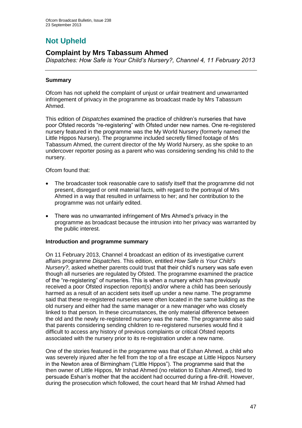# **Not Upheld**

## **Complaint by Mrs Tabassum Ahmed**

*Dispatches: How Safe is Your Child's Nursery?, Channel 4, 11 February 2013*

### **Summary**

Ofcom has not upheld the complaint of unjust or unfair treatment and unwarranted infringement of privacy in the programme as broadcast made by Mrs Tabassum Ahmed.

This edition of *Dispatches* examined the practice of children's nurseries that have poor Ofsted records "re-registering" with Ofsted under new names. One re-registered nursery featured in the programme was the My World Nursery (formerly named the Little Hippos Nursery). The programme included secretly filmed footage of Mrs Tabassum Ahmed, the current director of the My World Nursery, as she spoke to an undercover reporter posing as a parent who was considering sending his child to the nursery.

### Ofcom found that:

- The broadcaster took reasonable care to satisfy itself that the programme did not present, disregard or omit material facts, with regard to the portrayal of Mrs Ahmed in a way that resulted in unfairness to her; and her contribution to the programme was not unfairly edited.
- There was no unwarranted infringement of Mrs Ahmed's privacy in the programme as broadcast because the intrusion into her privacy was warranted by the public interest.

### **Introduction and programme summary**

On 11 February 2013, Channel 4 broadcast an edition of its investigative current affairs programme *Dispatches*. This edition, entitled *How Safe is Your Child's Nursery?*, asked whether parents could trust that their child's nursery was safe even though all nurseries are regulated by Ofsted. The programme examined the practice of the "re-registering" of nurseries. This is when a nursery which has previously received a poor Ofsted inspection report(s) and/or where a child has been seriously harmed as a result of an accident sets itself up under a new name. The programme said that these re-registered nurseries were often located in the same building as the old nursery and either had the same manager or a new manager who was closely linked to that person. In these circumstances, the only material difference between the old and the newly re-registered nursery was the name. The programme also said that parents considering sending children to re-registered nurseries would find it difficult to access any history of previous complaints or critical Ofsted reports associated with the nursery prior to its re-registration under a new name.

One of the stories featured in the programme was that of Eshan Ahmed, a child who was severely injured after he fell from the top of a fire escape at Little Hippos Nursery in the Newton area of Birmingham ("Little Hippos"). The programme said that the then owner of Little Hippos, Mr Irshad Ahmed (no relation to Eshan Ahmed), tried to persuade Eshan's mother that the accident had occurred during a fire-drill. However, during the prosecution which followed, the court heard that Mr Irshad Ahmed had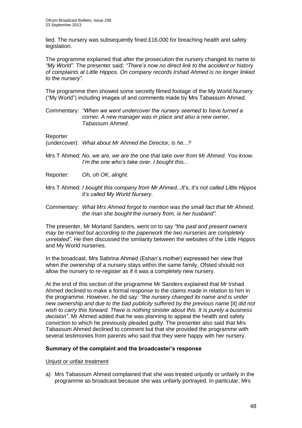lied. The nursery was subsequently fined £16,000 for breaching health and safety legislation.

The programme explained that after the prosecution the nursery changed its name to *"My World"*. The presenter said: *"There's now no direct link to the accident or history of complaints at Little Hippos. On company records Irshad Ahmed is no longer linked to the nursery".*

The programme then showed some secretly filmed footage of the My World Nursery ("My World") including images of and comments made by Mrs Tabassum Ahmed.

Commentary: *"When we went undercover the nursery seemed to have turned a corner. A new manager was in place and also a new owner, Tabassum Ahmed*.

**Reporter** 

(undercover): *What about Mr Ahmed the Director, is he...?*

- Mrs T Ahmed: *No, we are, we are the one that take over from Mr Ahmed. You know. I'm the one who's take over. I bought this...*
- Reporter: *Oh, oh OK, alright.*
- Mrs T Ahmed: *I bought this company from Mr Ahmed...It's, it's not called Little Hippos it's called My World Nursery.*
- Commentary: *What Mrs Ahmed forgot to mention was the small fact that Mr Ahmed, the man she bought the nursery from, is her husband".*

The presenter, Mr Morland Sanders, went on to say *"the past and present owners may be married but according to the paperwork the two nurseries are completely unrelated"*. He then discussed the similarity between the websites of the Little Hippos and My World nurseries.

In the broadcast, Mrs Sabrina Ahmed (Eshan's mother) expressed her view that when the ownership of a nursery stays within the same family, Ofsted should not allow the nursery to re-register as if it was a completely new nursery.

At the end of this section of the programme Mr Sanders explained that Mr Irshad Ahmed declined to make a formal response to the claims made in relation to him in the programme. However, he did say: *"the nursery changed its name and is under new ownership and due to the bad publicity suffered by the previous name* [it] *did not wish to carry this forward. There is nothing sinister about this. It is purely a business decision"*. Mr Ahmed added that he was planning to appeal the health and safety conviction to which he previously pleaded guilty. The presenter also said that Mrs Tabassum Ahmed declined to comment but that she provided the programme with several testimonies from parents who said that they were happy with her nursery.

### **Summary of the complaint and the broadcaster's response**

Unjust or unfair treatment

a) Mrs Tabassum Ahmed complained that she was treated unjustly or unfairly in the programme as broadcast because she was unfairly portrayed. In particular, Mrs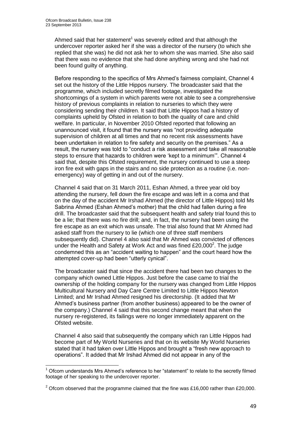1

Ahmed said that her statement<sup>1</sup> was severely edited and that although the undercover reporter asked her if she was a director of the nursery (to which she replied that she was) he did not ask her to whom she was married. She also said that there was no evidence that she had done anything wrong and she had not been found guilty of anything.

Before responding to the specifics of Mrs Ahmed's fairness complaint, Channel 4 set out the history of the Little Hippos nursery. The broadcaster said that the programme, which included secretly filmed footage, investigated the shortcomings of a system in which parents were not able to see a comprehensive history of previous complaints in relation to nurseries to which they were considering sending their children. It said that Little Hippos had a history of complaints upheld by Ofsted in relation to both the quality of care and child welfare. In particular, in November 2010 Ofsted reported that following an unannounced visit, it found that the nursery was "not providing adequate supervision of children at all times and that no recent risk assessments have been undertaken in relation to fire safety and security on the premises." As a result, the nursery was told to "conduct a risk assessment and take all reasonable steps to ensure that hazards to children were 'kept to a minimum'". Channel 4 said that, despite this Ofsted requirement, the nursery continued to use a steep iron fire exit with gaps in the stairs and no side protection as a routine (i.e. nonemergency) way of getting in and out of the nursery.

Channel 4 said that on 31 March 2011, Eshan Ahmed, a three year old boy attending the nursery, fell down the fire escape and was left in a coma and that on the day of the accident Mr Irshad Ahmed (the director of Little Hippos) told Ms Sabrina Ahmed (Eshan Ahmed's mother) that the child had fallen during a fire drill. The broadcaster said that the subsequent health and safety trial found this to be a lie; that there was no fire drill; and, in fact, the nursery had been using the fire escape as an exit which was unsafe. The trial also found that Mr Ahmed had asked staff from the nursery to lie (which one of three staff members subsequently did). Channel 4 also said that Mr Ahmed was convicted of offences under the Health and Safety at Work Act and was fined  $£20,000^2$ . The judge condemned this as an "accident waiting to happen" and the court heard how the attempted cover-up had been "utterly cynical".

The broadcaster said that since the accident there had been two changes to the company which owned Little Hippos. Just before the case came to trial the ownership of the holding company for the nursery was changed from Little Hippos Multicultural Nursery and Day Care Centre Limited to Little Hippos Newton Limited; and Mr Irshad Ahmed resigned his directorship. (It added that Mr Ahmed's business partner (from another business) appeared to be the owner of the company.) Channel 4 said that this second change meant that when the nursery re-registered, its failings were no longer immediately apparent on the Ofsted website.

Channel 4 also said that subsequently the company which ran Little Hippos had become part of My World Nurseries and that on its website My World Nurseries stated that it had taken over Little Hippos and brought a "fresh new approach to operations". It added that Mr Irshad Ahmed did not appear in any of the

<sup>1</sup> Ofcom understands Mrs Ahmed's reference to her "statement" to relate to the secretly filmed footage of her speaking to the undercover reporter.

 $2$  Ofcom observed that the programme claimed that the fine was £16,000 rather than £20,000.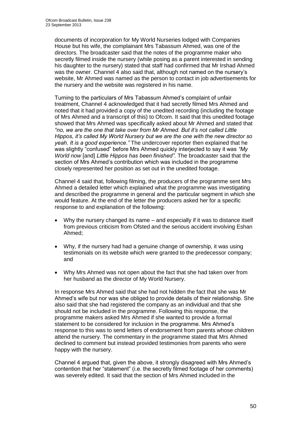documents of incorporation for My World Nurseries lodged with Companies House but his wife, the complainant Mrs Tabassum Ahmed, was one of the directors. The broadcaster said that the notes of the programme maker who secretly filmed inside the nursery (while posing as a parent interested in sending his daughter to the nursery) stated that staff had confirmed that Mr Irshad Ahmed was the owner. Channel 4 also said that, although not named on the nursery's website, Mr Ahmed was named as the person to contact in job advertisements for the nursery and the website was registered in his name.

Turning to the particulars of Mrs Tabassum Ahmed's complaint of unfair treatment, Channel 4 acknowledged that it had secretly filmed Mrs Ahmed and noted that it had provided a copy of the unedited recording (including the footage of Mrs Ahmed and a transcript of this) to Ofcom. It said that this unedited footage showed that Mrs Ahmed was specifically asked about Mr Ahmed and stated that *"no, we are the one that take over from Mr Ahmed. But it's not called Little Hippos, it's called My World Nursery but we are the one with the new director so yeah. It is a good experience."* The undercover reporter then explained that he was slightly "confused" before Mrs Ahmed quickly interjected to say it was *"My World now* [and] *Little Hippos has been finished".* The broadcaster said that the section of Mrs Ahmed's contribution which was included in the programme closely represented her position as set out in the unedited footage.

Channel 4 said that, following filming, the producers of the programme sent Mrs Ahmed a detailed letter which explained what the programme was investigating and described the programme in general and the particular segment in which she would feature. At the end of the letter the producers asked her for a specific response to and explanation of the following:

- Why the nursery changed its name and especially if it was to distance itself from previous criticism from Ofsted and the serious accident involving Eshan Ahmed;
- Why, if the nursery had had a genuine change of ownership, it was using testimonials on its website which were granted to the predecessor company; and
- Why Mrs Ahmed was not open about the fact that she had taken over from her husband as the director of My World Nursery.

In response Mrs Ahmed said that she had not hidden the fact that she was Mr Ahmed's wife but nor was she obliged to provide details of their relationship. She also said that she had registered the company as an individual and that she should not be included in the programme. Following this response, the programme makers asked Mrs Ahmed if she wanted to provide a formal statement to be considered for inclusion in the programme. Mrs Ahmed's response to this was to send letters of endorsement from parents whose children attend the nursery. The commentary in the programme stated that Mrs Ahmed declined to comment but instead provided testimonies from parents who were happy with the nursery.

Channel 4 argued that, given the above, it strongly disagreed with Mrs Ahmed's contention that her "statement" (i.e. the secretly filmed footage of her comments) was severely edited. It said that the section of Mrs Ahmed included in the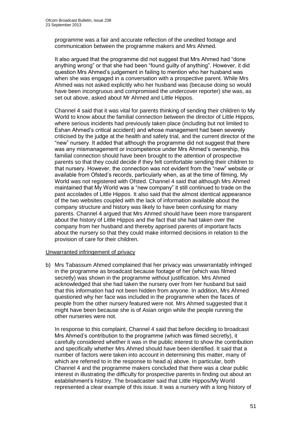programme was a fair and accurate reflection of the unedited footage and communication between the programme makers and Mrs Ahmed.

It also argued that the programme did not suggest that Mrs Ahmed had "done anything wrong" or that she had been "found guilty of anything". However, it did question Mrs Ahmed's judgement in failing to mention who her husband was when she was engaged in a conversation with a prospective parent. While Mrs Ahmed was not asked explicitly who her husband was (because doing so would have been incongruous and compromised the undercover reporter) she was, as set out above, asked about Mr Ahmed and Little Hippos.

Channel 4 said that it was vital for parents thinking of sending their children to My World to know about the familial connection between the director of Little Hippos, where serious incidents had previously taken place (including but not limited to Eshan Ahmed's critical accident) and whose management had been severely criticised by the judge at the health and safety trial, and the current director of the "new" nursery. It added that although the programme did not suggest that there was any mismanagement or incompetence under Mrs Ahmed's ownership, this familial connection should have been brought to the attention of prospective parents so that they could decide if they felt comfortable sending their children to that nursery. However, the connection was not evident from the "new" website or available from Ofsted's records, particularly when, as at the time of filming, My World was not registered with Ofsted. Channel 4 said that although Mrs Ahmed maintained that My World was a "new company" it still continued to trade on the past accolades of Little Hippos. It also said that the almost identical appearance of the two websites coupled with the lack of information available about the company structure and history was likely to have been confusing for many parents. Channel 4 argued that Mrs Ahmed should have been more transparent about the history of Little Hippos and the fact that she had taken over the company from her husband and thereby apprised parents of important facts about the nursery so that they could make informed decisions in relation to the provision of care for their children.

### Unwarranted infringement of privacy

b) Mrs Tabassum Ahmed complained that her privacy was unwarrantably infringed in the programme as broadcast because footage of her (which was filmed secretly) was shown in the programme without justification. Mrs Ahmed acknowledged that she had taken the nursery over from her husband but said that this information had not been hidden from anyone. In addition, Mrs Ahmed questioned why her face was included in the programme when the faces of people from the other nursery featured were not. Mrs Ahmed suggested that it might have been because she is of Asian origin while the people running the other nurseries were not.

In response to this complaint, Channel 4 said that before deciding to broadcast Mrs Ahmed's contribution to the programme (which was filmed secretly), it carefully considered whether it was in the public interest to show the contribution and specifically whether Mrs Ahmed should have been identified. It said that a number of factors were taken into account in determining this matter, many of which are referred to in the response to head a) above. In particular, both Channel 4 and the programme makers concluded that there was a clear public interest in illustrating the difficulty for prospective parents in finding out about an establishment's history. The broadcaster said that Little Hippos/My World represented a clear example of this issue. It was a nursery with a long history of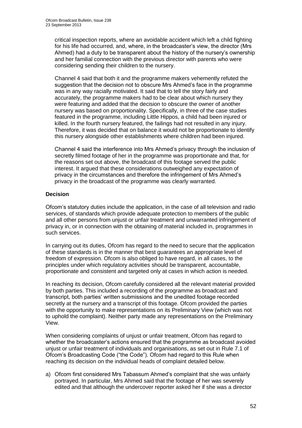critical inspection reports, where an avoidable accident which left a child fighting for his life had occurred, and, where, in the broadcaster's view, the director (Mrs Ahmed) had a duty to be transparent about the history of the nursery's ownership and her familial connection with the previous director with parents who were considering sending their children to the nursery.

Channel 4 said that both it and the programme makers vehemently refuted the suggestion that the decision not to obscure Mrs Ahmed's face in the programme was in any way racially motivated. It said that to tell the story fairly and accurately, the programme makers had to be clear about which nursery they were featuring and added that the decision to obscure the owner of another nursery was based on proportionality. Specifically, in three of the case studies featured in the programme, including Little Hippos, a child had been injured or killed. In the fourth nursery featured, the failings had not resulted in any injury. Therefore, it was decided that on balance it would not be proportionate to identify this nursery alongside other establishments where children had been injured.

Channel 4 said the interference into Mrs Ahmed's privacy through the inclusion of secretly filmed footage of her in the programme was proportionate and that, for the reasons set out above, the broadcast of this footage served the public interest. It argued that these considerations outweighed any expectation of privacy in the circumstances and therefore the infringement of Mrs Ahmed's privacy in the broadcast of the programme was clearly warranted.

### **Decision**

Ofcom's statutory duties include the application, in the case of all television and radio services, of standards which provide adequate protection to members of the public and all other persons from unjust or unfair treatment and unwarranted infringement of privacy in, or in connection with the obtaining of material included in, programmes in such services.

In carrying out its duties, Ofcom has regard to the need to secure that the application of these standards is in the manner that best guarantees an appropriate level of freedom of expression. Ofcom is also obliged to have regard, in all cases, to the principles under which regulatory activities should be transparent, accountable, proportionate and consistent and targeted only at cases in which action is needed.

In reaching its decision, Ofcom carefully considered all the relevant material provided by both parties. This included a recording of the programme as broadcast and transcript, both parties' written submissions and the unedited footage recorded secretly at the nursery and a transcript of this footage. Ofcom provided the parties with the opportunity to make representations on its Preliminary View (which was not to uphold the complaint). Neither party made any representations on the Preliminary View.

When considering complaints of unjust or unfair treatment, Ofcom has regard to whether the broadcaster's actions ensured that the programme as broadcast avoided unjust or unfair treatment of individuals and organisations, as set out in Rule 7.1 of Ofcom's Broadcasting Code ("the Code"). Ofcom had regard to this Rule when reaching its decision on the individual heads of complaint detailed below.

a) Ofcom first considered Mrs Tabassum Ahmed's complaint that she was unfairly portrayed. In particular, Mrs Ahmed said that the footage of her was severely edited and that although the undercover reporter asked her if she was a director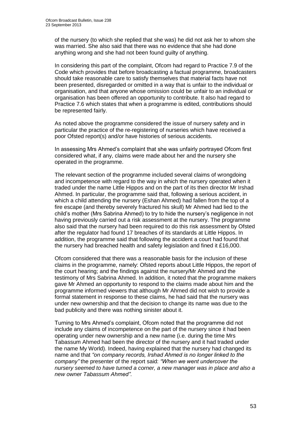of the nursery (to which she replied that she was) he did not ask her to whom she was married. She also said that there was no evidence that she had done anything wrong and she had not been found guilty of anything.

In considering this part of the complaint, Ofcom had regard to Practice 7.9 of the Code which provides that before broadcasting a factual programme, broadcasters should take reasonable care to satisfy themselves that material facts have not been presented, disregarded or omitted in a way that is unfair to the individual or organisation, and that anyone whose omission could be unfair to an individual or organisation has been offered an opportunity to contribute. It also had regard to Practice 7.6 which states that when a programme is edited, contributions should be represented fairly.

As noted above the programme considered the issue of nursery safety and in particular the practice of the re-registering of nurseries which have received a poor Ofsted report(s) and/or have histories of serious accidents.

In assessing Mrs Ahmed's complaint that she was unfairly portrayed Ofcom first considered what, if any, claims were made about her and the nursery she operated in the programme.

The relevant section of the programme included several claims of wrongdoing and incompetence with regard to the way in which the nursery operated when it traded under the name Little Hippos and on the part of its then director Mr Irshad Ahmed. In particular, the programme said that, following a serious accident, in which a child attending the nursery (Eshan Ahmed) had fallen from the top of a fire escape (and thereby severely fractured his skull) Mr Ahmed had lied to the child's mother (Mrs Sabrina Ahmed) to try to hide the nursery's negligence in not having previously carried out a risk assessment at the nursery. The programme also said that the nursery had been required to do this risk assessment by Ofsted after the regulator had found 17 breaches of its standards at Little Hippos. In addition, the programme said that following the accident a court had found that the nursery had breached health and safety legislation and fined it £16,000.

Ofcom considered that there was a reasonable basis for the inclusion of these claims in the programme, namely: Ofsted reports about Little Hippos, the report of the court hearing; and the findings against the nursery/Mr Ahmed and the testimony of Mrs Sabrina Ahmed. In addition, it noted that the programme makers gave Mr Ahmed an opportunity to respond to the claims made about him and the programme informed viewers that although Mr Ahmed did not wish to provide a formal statement in response to these claims, he had said that the nursery was under new ownership and that the decision to change its name was due to the bad publicity and there was nothing sinister about it.

Turning to Mrs Ahmed's complaint, Ofcom noted that the programme did not include any claims of incompetence on the part of the nursery since it had been operating under new ownership and a new name (i.e. during the time Mrs Tabassum Ahmed had been the director of the nursery and it had traded under the name My World). Indeed, having explained that the nursery had changed its name and that *"on company records, Irshad Ahmed is no longer linked to the company"* the presenter of the report said: *"When we went undercover the nursery seemed to have turned a corner, a new manager was in place and also a new owner Tabassum Ahmed"*.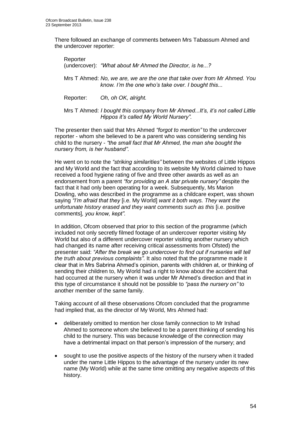There followed an exchange of comments between Mrs Tabassum Ahmed and the undercover reporter:

Reporter (undercover): *"What about Mr Ahmed the Director, is he...?*

Mrs T Ahmed: *No, we are, we are the one that take over from Mr Ahmed. You know. I'm the one who's take over. I bought this...*

Reporter: *Oh, oh OK, alright.*

Mrs T Ahmed: *I bought this company from Mr Ahmed...It's, it's not called Little Hippos it's called My World Nursery".* 

The presenter then said that Mrs Ahmed *"forgot to mention"* to the undercover reporter - whom she believed to be a parent who was considering sending his child to the nursery - *"the small fact that Mr Ahmed, the man she bought the nursery from, is her husband"*.

He went on to note the *"striking similarities"* between the websites of Little Hippos and My World and the fact that according to its website My World claimed to have received a food hygiene rating of five and three other awards as well as an endorsement from a parent *"for providing an A star private nursery"* despite the fact that it had only been operating for a week. Subsequently, Ms Marion Dowling, who was described in the programme as a childcare expert, was shown saying *"I'm afraid that they* [i.e. My World] *want it both ways. They want the unfortunate history erased and they want comments such as this* [i.e. positive comments]*, you know, kept".* 

In addition, Ofcom observed that prior to this section of the programme (which included not only secretly filmed footage of an undercover reporter visiting My World but also of a different undercover reporter visiting another nursery which had changed its name after receiving critical assessments from Ofsted) the presenter said: *"After the break we go undercover to find out if nurseries will tell the truth about previous complaints"*. It also noted that the programme made it clear that in Mrs Sabrina Ahmed's opinion, parents with children at, or thinking of sending their children to, My World had a right to know about the accident that had occurred at the nursery when it was under Mr Ahmed's direction and that in this type of circumstance it should not be possible to *"pass the nursery on"* to another member of the same family.

Taking account of all these observations Ofcom concluded that the programme had implied that, as the director of My World, Mrs Ahmed had:

- deliberately omitted to mention her close family connection to Mr Irshad Ahmed to someone whom she believed to be a parent thinking of sending his child to the nursery. This was because knowledge of the connection may have a detrimental impact on that person's impression of the nursery; and
- sought to use the positive aspects of the history of the nursery when it traded under the name Little Hippos to the advantage of the nursery under its new name (My World) while at the same time omitting any negative aspects of this history.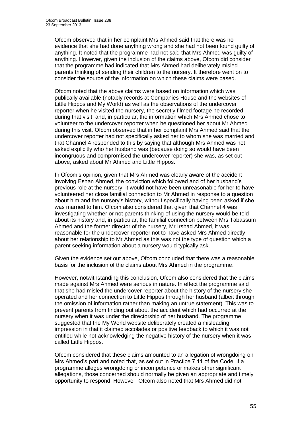Ofcom observed that in her complaint Mrs Ahmed said that there was no evidence that she had done anything wrong and she had not been found guilty of anything. It noted that the programme had not said that Mrs Ahmed was guilty of anything. However, given the inclusion of the claims above, Ofcom did consider that the programme had indicated that Mrs Ahmed had deliberately misled parents thinking of sending their children to the nursery. It therefore went on to consider the source of the information on which these claims were based.

Ofcom noted that the above claims were based on information which was publically available (notably records at Companies House and the websites of Little Hippos and My World) as well as the observations of the undercover reporter when he visited the nursery, the secretly filmed footage he recorded during that visit, and, in particular, the information which Mrs Ahmed chose to volunteer to the undercover reporter when he questioned her about Mr Ahmed during this visit. Ofcom observed that in her complaint Mrs Ahmed said that the undercover reporter had not specifically asked her to whom she was married and that Channel 4 responded to this by saying that although Mrs Ahmed was not asked explicitly who her husband was (because doing so would have been incongruous and compromised the undercover reporter) she was, as set out above, asked about Mr Ahmed and Little Hippos.

In Ofcom's opinion, given that Mrs Ahmed was clearly aware of the accident involving Eshan Ahmed, the conviction which followed and of her husband's previous role at the nursery, it would not have been unreasonable for her to have volunteered her close familial connection to Mr Ahmed in response to a question about him and the nursery's history, without specifically having been asked if she was married to him. Ofcom also considered that given that Channel 4 was investigating whether or not parents thinking of using the nursery would be told about its history and, in particular, the familial connection between Mrs Tabassum Ahmed and the former director of the nursery, Mr Irshad Ahmed, it was reasonable for the undercover reporter not to have asked Mrs Ahmed directly about her relationship to Mr Ahmed as this was not the type of question which a parent seeking information about a nursery would typically ask.

Given the evidence set out above, Ofcom concluded that there was a reasonable basis for the inclusion of the claims about Mrs Ahmed in the programme.

However, notwithstanding this conclusion, Ofcom also considered that the claims made against Mrs Ahmed were serious in nature. In effect the programme said that she had misled the undercover reporter about the history of the nursery she operated and her connection to Little Hippos through her husband (albeit through the omission of information rather than making an untrue statement). This was to prevent parents from finding out about the accident which had occurred at the nursery when it was under the directorship of her husband. The programme suggested that the My World website deliberately created a misleading impression in that it claimed accolades or positive feedback to which it was not entitled while not acknowledging the negative history of the nursery when it was called Little Hippos.

Ofcom considered that these claims amounted to an allegation of wrongdoing on Mrs Ahmed's part and noted that, as set out in Practice 7.11 of the Code, if a programme alleges wrongdoing or incompetence or makes other significant allegations, those concerned should normally be given an appropriate and timely opportunity to respond. However, Ofcom also noted that Mrs Ahmed did not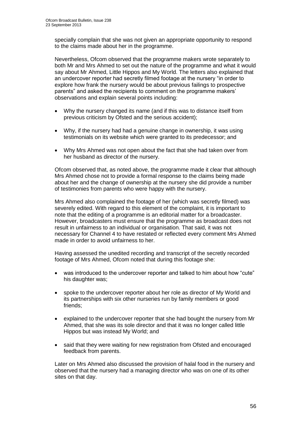specially complain that she was not given an appropriate opportunity to respond to the claims made about her in the programme.

Nevertheless, Ofcom observed that the programme makers wrote separately to both Mr and Mrs Ahmed to set out the nature of the programme and what it would say about Mr Ahmed, Little Hippos and My World. The letters also explained that an undercover reporter had secretly filmed footage at the nursery "in order to explore how frank the nursery would be about previous failings to prospective parents" and asked the recipients to comment on the programme makers' observations and explain several points including:

- Why the nursery changed its name (and if this was to distance itself from previous criticism by Ofsted and the serious accident);
- Why, if the nursery had had a genuine change in ownership, it was using testimonials on its website which were granted to its predecessor; and
- Why Mrs Ahmed was not open about the fact that she had taken over from her husband as director of the nursery.

Ofcom observed that, as noted above, the programme made it clear that although Mrs Ahmed chose not to provide a formal response to the claims being made about her and the change of ownership at the nursery she did provide a number of testimonies from parents who were happy with the nursery.

Mrs Ahmed also complained the footage of her (which was secretly filmed) was severely edited. With regard to this element of the complaint, it is important to note that the editing of a programme is an editorial matter for a broadcaster. However, broadcasters must ensure that the programme as broadcast does not result in unfairness to an individual or organisation. That said, it was not necessary for Channel 4 to have restated or reflected every comment Mrs Ahmed made in order to avoid unfairness to her.

Having assessed the unedited recording and transcript of the secretly recorded footage of Mrs Ahmed, Ofcom noted that during this footage she:

- was introduced to the undercover reporter and talked to him about how "cute" his daughter was;
- spoke to the undercover reporter about her role as director of My World and its partnerships with six other nurseries run by family members or good friends;
- explained to the undercover reporter that she had bought the nursery from Mr Ahmed, that she was its sole director and that it was no longer called little Hippos but was instead My World; and
- said that they were waiting for new registration from Ofsted and encouraged feedback from parents.

Later on Mrs Ahmed also discussed the provision of halal food in the nursery and observed that the nursery had a managing director who was on one of its other sites on that day.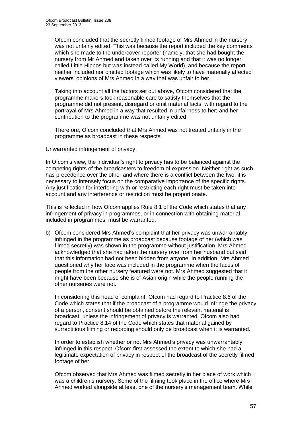Ofcom concluded that the secretly filmed footage of Mrs Ahmed in the nursery was not unfairly edited. This was because the report included the key comments which she made to the undercover reporter (namely, that she had bought the nursery from Mr Ahmed and taken over its running and that it was no longer called Little Hippos but was instead called My World), and because the report neither included nor omitted footage which was likely to have materially affected viewers' opinions of Mrs Ahmed in a way that was unfair to her.

Taking into account all the factors set out above, Ofcom considered that the programme makers took reasonable care to satisfy themselves that the programme did not present, disregard or omit material facts, with regard to the portrayal of Mrs Ahmed in a way that resulted in unfairness to her; and her contribution to the programme was not unfairly edited.

Therefore, Ofcom concluded that Mrs Ahmed was not treated unfairly in the programme as broadcast in these respects.

### Unwarranted infringement of privacy

In Ofcom's view, the individual's right to privacy has to be balanced against the competing rights of the broadcasters to freedom of expression. Neither right as such has precedence over the other and where there is a conflict between the two, it is necessary to intensely focus on the comparative importance of the specific rights. Any justification for interfering with or restricting each right must be taken into account and any interference or restriction must be proportionate.

This is reflected in how Ofcom applies Rule 8.1 of the Code which states that any infringement of privacy in programmes, or in connection with obtaining material included in programmes, must be warranted.

b) Ofcom considered Mrs Ahmed's complaint that her privacy was unwarrantably infringed in the programme as broadcast because footage of her (which was filmed secretly) was shown in the programme without justification. Mrs Ahmed acknowledged that she had taken the nursery over from her husband but said that this information had not been hidden from anyone. In addition, Mrs Ahmed questioned why her face was included in the programme when the faces of people from the other nursery featured were not. Mrs Ahmed suggested that it might have been because she is of Asian origin while the people running the other nurseries were not.

In considering this head of complaint, Ofcom had regard to Practice 8.6 of the Code which states that if the broadcast of a programme would infringe the privacy of a person, consent should be obtained before the relevant material is broadcast, unless the infringement of privacy is warranted. Ofcom also had regard to Practice 8.14 of the Code which states that material gained by surreptitious filming or recording should only be broadcast when it is warranted.

In order to establish whether or not Mrs Ahmed's privacy was unwarrantably infringed in this respect, Ofcom first assessed the extent to which she had a legitimate expectation of privacy in respect of the broadcast of the secretly filmed footage of her.

Ofcom observed that Mrs Ahmed was filmed secretly in her place of work which was a children's nursery. Some of the filming took place in the office where Mrs Ahmed worked alongside at least one of the nursery's management team. While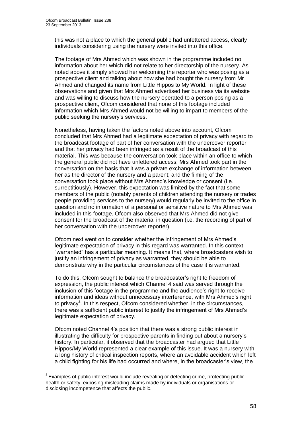1

this was not a place to which the general public had unfettered access, clearly individuals considering using the nursery were invited into this office.

The footage of Mrs Ahmed which was shown in the programme included no information about her which did not relate to her directorship of the nursery. As noted above it simply showed her welcoming the reporter who was posing as a prospective client and talking about how she had bought the nursery from Mr Ahmed and changed its name from Little Hippos to My World. In light of these observations and given that Mrs Ahmed advertised her business via its website and was willing to discuss how the nursery operated to a person posing as a prospective client, Ofcom considered that none of this footage included information which Mrs Ahmed would not be willing to impart to members of the public seeking the nursery's services.

Nonetheless, having taken the factors noted above into account, Ofcom concluded that Mrs Ahmed had a legitimate expectation of privacy with regard to the broadcast footage of part of her conversation with the undercover reporter and that her privacy had been infringed as a result of the broadcast of this material. This was because the conversation took place within an office to which the general public did not have unfettered access; Mrs Ahmed took part in the conversation on the basis that it was a private exchange of information between her as the director of the nursery and a parent; and the filming of the conversation took place without Mrs Ahmed's knowledge or consent (i.e. surreptitiously). However, this expectation was limited by the fact that some members of the public (notably parents of children attending the nursery or trades people providing services to the nursery) would regularly be invited to the office in question and no information of a personal or sensitive nature to Mrs Ahmed was included in this footage. Ofcom also observed that Mrs Ahmed did not give consent for the broadcast of the material in question (i.e. the recording of part of her conversation with the undercover reporter).

Ofcom next went on to consider whether the infringement of Mrs Ahmed's legitimate expectation of privacy in this regard was warranted. In this context "warranted" has a particular meaning. It means that, where broadcasters wish to justify an infringement of privacy as warranted, they should be able to demonstrate why in the particular circumstances of the case it is warranted.

To do this, Ofcom sought to balance the broadcaster's right to freedom of expression, the public interest which Channel 4 said was served through the inclusion of this footage in the programme and the audience's right to receive information and ideas without unnecessary interference, with Mrs Ahmed's right to privacy<sup>3</sup>. In this respect, Ofcom considered whether, in the circumstances, there was a sufficient public interest to justify the infringement of Mrs Ahmed's legitimate expectation of privacy.

Ofcom noted Channel 4's position that there was a strong public interest in illustrating the difficulty for prospective parents in finding out about a nursery's history. In particular, it observed that the broadcaster had argued that Little Hippos/My World represented a clear example of this issue. It was a nursery with a long history of critical inspection reports, where an avoidable accident which left a child fighting for his life had occurred and where, in the broadcaster's view, the

 $3$  Examples of public interest would include revealing or detecting crime, protecting public health or safety, exposing misleading claims made by individuals or organisations or disclosing incompetence that affects the public.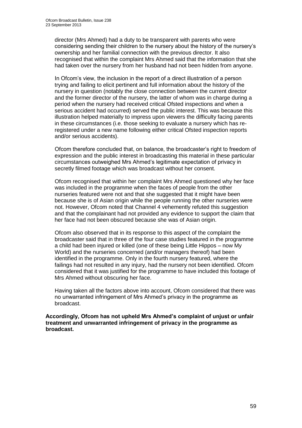director (Mrs Ahmed) had a duty to be transparent with parents who were considering sending their children to the nursery about the history of the nursery's ownership and her familial connection with the previous director. It also recognised that within the complaint Mrs Ahmed said that the information that she had taken over the nursery from her husband had not been hidden from anyone.

In Ofcom's view, the inclusion in the report of a direct illustration of a person trying and failing to elicit pertinent and full information about the history of the nursery in question (notably the close connection between the current director and the former director of the nursery, the latter of whom was in charge during a period when the nursery had received critical Ofsted inspections and when a serious accident had occurred) served the public interest. This was because this illustration helped materially to impress upon viewers the difficulty facing parents in these circumstances (i.e. those seeking to evaluate a nursery which has reregistered under a new name following either critical Ofsted inspection reports and/or serious accidents).

Ofcom therefore concluded that, on balance, the broadcaster's right to freedom of expression and the public interest in broadcasting this material in these particular circumstances outweighed Mrs Ahmed's legitimate expectation of privacy in secretly filmed footage which was broadcast without her consent.

Ofcom recognised that within her complaint Mrs Ahmed questioned why her face was included in the programme when the faces of people from the other nurseries featured were not and that she suggested that it might have been because she is of Asian origin while the people running the other nurseries were not. However, Ofcom noted that Channel 4 vehemently refuted this suggestion and that the complainant had not provided any evidence to support the claim that her face had not been obscured because she was of Asian origin.

Ofcom also observed that in its response to this aspect of the complaint the broadcaster said that in three of the four case studies featured in the programme a child had been injured or killed (one of these being Little Hippos – now My World) and the nurseries concerned (and/or managers thereof) had been identified in the programme. Only in the fourth nursery featured, where the failings had not resulted in any injury, had the nursery not been identified. Ofcom considered that it was justified for the programme to have included this footage of Mrs Ahmed without obscuring her face.

Having taken all the factors above into account, Ofcom considered that there was no unwarranted infringement of Mrs Ahmed's privacy in the programme as broadcast.

**Accordingly, Ofcom has not upheld Mrs Ahmed's complaint of unjust or unfair treatment and unwarranted infringement of privacy in the programme as broadcast.**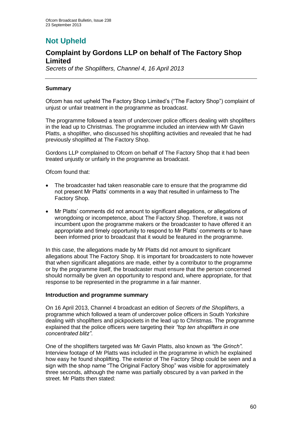# **Not Upheld**

### **Complaint by Gordons LLP on behalf of The Factory Shop Limited**

*Secrets of the Shoplifters, Channel 4, 16 April 2013*

### **Summary**

Ofcom has not upheld The Factory Shop Limited's ("The Factory Shop") complaint of unjust or unfair treatment in the programme as broadcast.

The programme followed a team of undercover police officers dealing with shoplifters in the lead up to Christmas. The programme included an interview with Mr Gavin Platts, a shoplifter, who discussed his shoplifting activities and revealed that he had previously shoplifted at The Factory Shop.

Gordons LLP complained to Ofcom on behalf of The Factory Shop that it had been treated unjustly or unfairly in the programme as broadcast.

Ofcom found that:

- The broadcaster had taken reasonable care to ensure that the programme did not present Mr Platts' comments in a way that resulted in unfairness to The Factory Shop.
- Mr Platts' comments did not amount to significant allegations, or allegations of wrongdoing or incompetence, about The Factory Shop. Therefore, it was not incumbent upon the programme makers or the broadcaster to have offered it an appropriate and timely opportunity to respond to Mr Platts' comments or to have been informed prior to broadcast that it would be featured in the programme.

In this case, the allegations made by Mr Platts did not amount to significant allegations about The Factory Shop. It is important for broadcasters to note however that when significant allegations are made, either by a contributor to the programme or by the programme itself, the broadcaster must ensure that the person concerned should normally be given an opportunity to respond and, where appropriate, for that response to be represented in the programme in a fair manner.

### **Introduction and programme summary**

On 16 April 2013, Channel 4 broadcast an edition of *Secrets of the Shoplifters*, a programme which followed a team of undercover police officers in South Yorkshire dealing with shoplifters and pickpockets in the lead up to Christmas. The programme explained that the police officers were targeting their *"top ten shoplifters in one concentrated blitz"*.

One of the shoplifters targeted was Mr Gavin Platts, also known as *"the Grinch"*. Interview footage of Mr Platts was included in the programme in which he explained how easy he found shoplifting. The exterior of The Factory Shop could be seen and a sign with the shop name "The Original Factory Shop" was visible for approximately three seconds, although the name was partially obscured by a van parked in the street. Mr Platts then stated: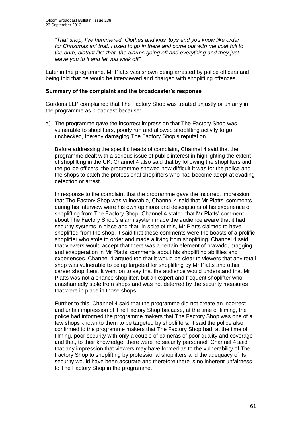*"That shop, I've hammered. Clothes and kids' toys and you know like order for Christmas an' that. I used to go in there and come out with me coat full to the brim, blatant like that, the alarms going off and everything and they just leave you to it and let you walk off".*

Later in the programme, Mr Platts was shown being arrested by police officers and being told that he would be interviewed and charged with shoplifting offences.

#### **Summary of the complaint and the broadcaster's response**

Gordons LLP complained that The Factory Shop was treated unjustly or unfairly in the programme as broadcast because:

a) The programme gave the incorrect impression that The Factory Shop was vulnerable to shoplifters, poorly run and allowed shoplifting activity to go unchecked, thereby damaging The Factory Shop's reputation.

Before addressing the specific heads of complaint, Channel 4 said that the programme dealt with a serious issue of public interest in highlighting the extent of shoplifting in the UK. Channel 4 also said that by following the shoplifters and the police officers, the programme showed how difficult it was for the police and the shops to catch the professional shoplifters who had become adept at evading detection or arrest.

In response to the complaint that the programme gave the incorrect impression that The Factory Shop was vulnerable, Channel 4 said that Mr Platts' comments during his interview were his own opinions and descriptions of his experience of shoplifting from The Factory Shop. Channel 4 stated that Mr Platts' comment about The Factory Shop's alarm system made the audience aware that it had security systems in place and that, in spite of this, Mr Platts claimed to have shoplifted from the shop. It said that these comments were the boasts of a prolific shoplifter who stole to order and made a living from shoplifting. Channel 4 said that viewers would accept that there was a certain element of bravado, bragging and exaggeration in Mr Platts' comments about his shoplifting abilities and experiences. Channel 4 argued too that it would be clear to viewers that any retail shop was vulnerable to being targeted for shoplifting by Mr Platts and other career shoplifters. It went on to say that the audience would understand that Mr Platts was not a chance shoplifter, but an expert and frequent shoplifter who unashamedly stole from shops and was not deterred by the security measures that were in place in those shops.

Further to this, Channel 4 said that the programme did not create an incorrect and unfair impression of The Factory Shop because, at the time of filming, the police had informed the programme makers that The Factory Shop was one of a few shops known to them to be targeted by shoplifters. It said the police also confirmed to the programme makers that The Factory Shop had, at the time of filming, poor security with only a couple of cameras of poor quality and coverage and that, to their knowledge, there were no security personnel. Channel 4 said that any impression that viewers may have formed as to the vulnerability of The Factory Shop to shoplifting by professional shoplifters and the adequacy of its security would have been accurate and therefore there is no inherent unfairness to The Factory Shop in the programme.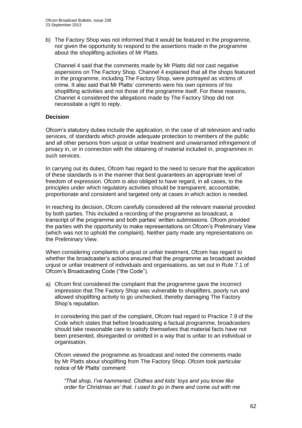b) The Factory Shop was not informed that it would be featured in the programme, nor given the opportunity to respond to the assertions made in the programme about the shoplifting activities of Mr Platts.

Channel 4 said that the comments made by Mr Platts did not cast negative aspersions on The Factory Shop. Channel 4 explained that all the shops featured in the programme, including The Factory Shop, were portrayed as victims of crime. It also said that Mr Platts' comments were his own opinions of his shoplifting activities and not those of the programme itself. For these reasons, Channel 4 considered the allegations made by The Factory Shop did not necessitate a right to reply.

### **Decision**

Ofcom's statutory duties include the application, in the case of all television and radio services, of standards which provide adequate protection to members of the public and all other persons from unjust or unfair treatment and unwarranted infringement of privacy in, or in connection with the obtaining of material included in, programmes in such services.

In carrying out its duties, Ofcom has regard to the need to secure that the application of these standards is in the manner that best guarantees an appropriate level of freedom of expression. Ofcom is also obliged to have regard, in all cases, to the principles under which regulatory activities should be transparent, accountable, proportionate and consistent and targeted only at cases in which action is needed.

In reaching its decision, Ofcom carefully considered all the relevant material provided by both parties. This included a recording of the programme as broadcast, a transcript of the programme and both parties' written submissions. Ofcom provided the parties with the opportunity to make representations on Ofcom's Preliminary View (which was not to uphold the complaint). Neither party made any representations on the Preliminary View.

When considering complaints of unjust or unfair treatment, Ofcom has regard to whether the broadcaster's actions ensured that the programme as broadcast avoided unjust or unfair treatment of individuals and organisations, as set out in Rule 7.1 of Ofcom's Broadcasting Code ("the Code").

a) Ofcom first considered the complaint that the programme gave the incorrect impression that The Factory Shop was vulnerable to shoplifters, poorly run and allowed shoplifting activity to go unchecked, thereby damaging The Factory Shop's reputation.

In considering this part of the complaint, Ofcom had regard to Practice 7.9 of the Code which states that before broadcasting a factual programme, broadcasters should take reasonable care to satisfy themselves that material facts have not been presented, disregarded or omitted in a way that is unfair to an individual or organisation.

Ofcom viewed the programme as broadcast and noted the comments made by Mr Platts about shoplifting from The Factory Shop. Ofcom took particular notice of Mr Platts' comment:

*"That shop, I've hammered. Clothes and kids' toys and you know like order for Christmas an' that. I used to go in there and come out with me*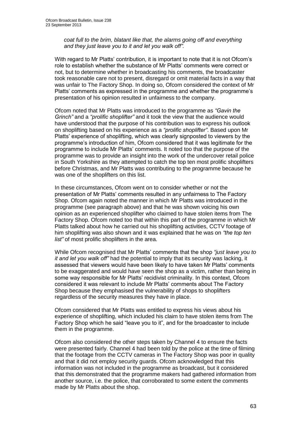*coat full to the brim, blatant like that, the alarms going off and everything and they just leave you to it and let you walk off".*

With regard to Mr Platts' contribution, it is important to note that it is not Ofcom's role to establish whether the substance of Mr Platts' comments were correct or not, but to determine whether in broadcasting his comments, the broadcaster took reasonable care not to present, disregard or omit material facts in a way that was unfair to The Factory Shop. In doing so, Ofcom considered the context of Mr Platts' comments as expressed in the programme and whether the programme's presentation of his opinion resulted in unfairness to the company.

Ofcom noted that Mr Platts was introduced to the programme as *"Gavin the Grinch"* and a *"prolific shoplifter"* and it took the view that the audience would have understood that the purpose of his contribution was to express his outlook on shoplifting based on his experience as a *"prolific shoplifter"*. Based upon Mr Platts' experience of shoplifting, which was clearly signposted to viewers by the programme's introduction of him, Ofcom considered that it was legitimate for the programme to include Mr Platts' comments. It noted too that the purpose of the programme was to provide an insight into the work of the undercover retail police in South Yorkshire as they attempted to catch the top ten most prolific shoplifters before Christmas, and Mr Platts was contributing to the programme because he was one of the shoplifters on this list.

In these circumstances, Ofcom went on to consider whether or not the presentation of Mr Platts' comments resulted in any unfairness to The Factory Shop. Ofcom again noted the manner in which Mr Platts was introduced in the programme (see paragraph above) and that he was shown voicing his own opinion as an experienced shoplifter who claimed to have stolen items from The Factory Shop. Ofcom noted too that within this part of the programme in which Mr Platts talked about how he carried out his shoplifting activities, CCTV footage of him shoplifting was also shown and it was explained that he was on *"the top ten list"* of most prolific shoplifters in the area.

While Ofcom recognised that Mr Platts' comments that the shop *"just leave you to it and let you walk off"* had the potential to imply that its security was lacking, it assessed that viewers would have been likely to have taken Mr Platts' comments to be exaggerated and would have seen the shop as a victim, rather than being in some way responsible for Mr Platts' recidivist criminality. In this context, Ofcom considered it was relevant to include Mr Platts' comments about The Factory Shop because they emphasised the vulnerability of shops to shoplifters regardless of the security measures they have in place.

Ofcom considered that Mr Platts was entitled to express his views about his experience of shoplifting, which included his claim to have stolen items from The Factory Shop which he said "leave you to it", and for the broadcaster to include them in the programme.

Ofcom also considered the other steps taken by Channel 4 to ensure the facts were presented fairly. Channel 4 had been told by the police at the time of filming that the footage from the CCTV cameras in The Factory Shop was poor in quality and that it did not employ security guards. Ofcom acknowledged that this information was not included in the programme as broadcast, but it considered that this demonstrated that the programme makers had gathered information from another source, i.e. the police, that corroborated to some extent the comments made by Mr Platts about the shop.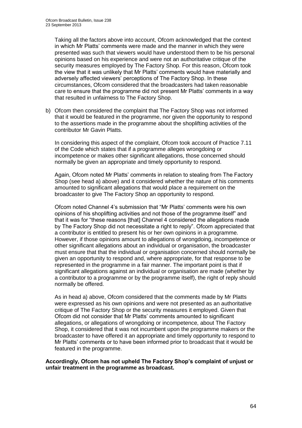Taking all the factors above into account, Ofcom acknowledged that the context in which Mr Platts' comments were made and the manner in which they were presented was such that viewers would have understood them to be his personal opinions based on his experience and were not an authoritative critique of the security measures employed by The Factory Shop. For this reason, Ofcom took the view that it was unlikely that Mr Platts' comments would have materially and adversely affected viewers' perceptions of The Factory Shop. In these circumstances, Ofcom considered that the broadcasters had taken reasonable care to ensure that the programme did not present Mr Platts' comments in a way that resulted in unfairness to The Factory Shop.

b) Ofcom then considered the complaint that The Factory Shop was not informed that it would be featured in the programme, nor given the opportunity to respond to the assertions made in the programme about the shoplifting activities of the contributor Mr Gavin Platts.

In considering this aspect of the complaint, Ofcom took account of Practice 7.11 of the Code which states that if a programme alleges wrongdoing or incompetence or makes other significant allegations, those concerned should normally be given an appropriate and timely opportunity to respond.

Again, Ofcom noted Mr Platts' comments in relation to stealing from The Factory Shop (see head a) above) and it considered whether the nature of his comments amounted to significant allegations that would place a requirement on the broadcaster to give The Factory Shop an opportunity to respond.

Ofcom noted Channel 4's submission that "Mr Platts' comments were his own opinions of his shoplifting activities and not those of the programme itself" and that it was for "these reasons [that] Channel 4 considered the allegations made by The Factory Shop did not necessitate a right to reply". Ofcom appreciated that a contributor is entitled to present his or her own opinions in a programme. However, if those opinions amount to allegations of wrongdoing, incompetence or other significant allegations about an individual or organisation, the broadcaster must ensure that that the individual or organisation concerned should normally be given an opportunity to respond and, where appropriate, for that response to be represented in the programme in a fair manner. The important point is that if significant allegations against an individual or organisation are made (whether by a contributor to a programme or by the programme itself), the right of reply should normally be offered.

As in head a) above, Ofcom considered that the comments made by Mr Platts were expressed as his own opinions and were not presented as an authoritative critique of The Factory Shop or the security measures it employed. Given that Ofcom did not consider that Mr Platts' comments amounted to significant allegations, or allegations of wrongdoing or incompetence, about The Factory Shop, it considered that it was not incumbent upon the programme makers or the broadcaster to have offered it an appropriate and timely opportunity to respond to Mr Platts' comments or to have been informed prior to broadcast that it would be featured in the programme.

**Accordingly, Ofcom has not upheld The Factory Shop's complaint of unjust or unfair treatment in the programme as broadcast.**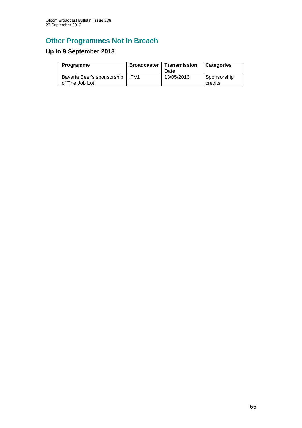## **Other Programmes Not in Breach**

## **Up to 9 September 2013**

| Programme                                           | <b>Broadcaster   Transmission</b><br>Date | <b>Categories</b>      |
|-----------------------------------------------------|-------------------------------------------|------------------------|
| Bavaria Beer's sponsorship   ITV1<br>of The Job Lot | 13/05/2013                                | Sponsorship<br>credits |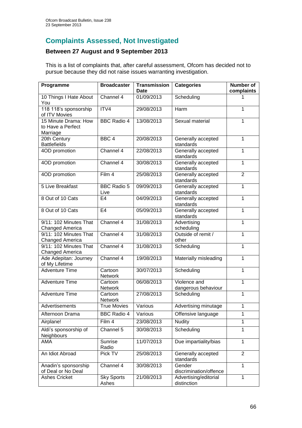## **Complaints Assessed, Not Investigated**

### **Between 27 August and 9 September 2013**

This is a list of complaints that, after careful assessment, Ofcom has decided not to pursue because they did not raise issues warranting investigation.

| Programme                                             | <b>Broadcaster</b>         | <b>Transmission</b><br>Date | <b>Categories</b>                    | Number of<br>complaints |
|-------------------------------------------------------|----------------------------|-----------------------------|--------------------------------------|-------------------------|
| 10 Things I Hate About<br>You                         | Channel 4                  | 01/09/2013                  | Scheduling                           | 1                       |
| 118 118's sponsorship<br>of ITV Movies                | ITV4                       | 29/08/2013                  | Harm                                 | 1                       |
| 15 Minute Drama: How<br>to Have a Perfect<br>Marriage | <b>BBC Radio 4</b>         | 13/08/2013                  | Sexual material                      | 1                       |
| 20th Century<br><b>Battlefields</b>                   | BBC <sub>4</sub>           | 20/08/2013                  | Generally accepted<br>standards      | 1                       |
| 4OD promotion                                         | Channel 4                  | 22/08/2013                  | Generally accepted<br>standards      | $\mathbf{1}$            |
| 4OD promotion                                         | Channel 4                  | 30/08/2013                  | Generally accepted<br>standards      | $\mathbf{1}$            |
| 4OD promotion                                         | Film 4                     | 25/08/2013                  | Generally accepted<br>standards      | $\overline{2}$          |
| 5 Live Breakfast                                      | <b>BBC Radio 5</b><br>Live | 09/09/2013                  | Generally accepted<br>standards      | $\overline{1}$          |
| 8 Out of 10 Cats                                      | E <sub>4</sub>             | 04/09/2013                  | Generally accepted<br>standards      | $\overline{1}$          |
| 8 Out of 10 Cats                                      | E <sub>4</sub>             | 05/09/2013                  | Generally accepted<br>standards      | $\mathbf{1}$            |
| 9/11: 102 Minutes That<br>Changed America             | Channel 4                  | 31/08/2013                  | Advertising<br>scheduling            | $\mathbf{1}$            |
| 9/11: 102 Minutes That<br>Changed America             | Channel 4                  | 31/08/2013                  | Outside of remit /<br>other          | $\mathbf{1}$            |
| 9/11: 102 Minutes That<br>Changed America             | Channel 4                  | 31/08/2013                  | Scheduling                           | $\mathbf{1}$            |
| Ade Adepitan: Journey<br>of My Lifetime               | Channel 4                  | 19/08/2013                  | Materially misleading                | $\mathbf{1}$            |
| <b>Adventure Time</b>                                 | Cartoon<br><b>Network</b>  | 30/07/2013                  | Scheduling                           | $\mathbf{1}$            |
| <b>Adventure Time</b>                                 | Cartoon<br><b>Network</b>  | 06/08/2013                  | Violence and<br>dangerous behaviour  | 1                       |
| <b>Adventure Time</b>                                 | Cartoon<br>Network         | 27/08/2013                  | Scheduling                           | 1                       |
| Advertisements                                        | <b>True Movies</b>         | Various                     | Advertising minutage                 | $\overline{1}$          |
| Afternoon Drama                                       | <b>BBC Radio 4</b>         | Various                     | Offensive language                   | 1                       |
| Airplane!                                             | Film 4                     | 23/08/2013                  | Nudity                               | 1                       |
| Aldi's sponsorship of<br>Neighbours                   | Channel 5                  | 30/08/2013                  | Scheduling                           | $\overline{1}$          |
| AMA                                                   | Sunrise<br>Radio           | 11/07/2013                  | Due impartiality/bias                | $\mathbf{1}$            |
| An Idiot Abroad                                       | Pick TV                    | 25/08/2013                  | Generally accepted<br>standards      | $\overline{2}$          |
| Anadin's sponsorship<br>of Deal or No Deal            | Channel 4                  | 30/08/2013                  | Gender<br>discrimination/offence     | $\mathbf{1}$            |
| <b>Ashes Cricket</b>                                  | <b>Sky Sports</b><br>Ashes | 21/08/2013                  | Advertising/editorial<br>distinction | $\mathbf 1$             |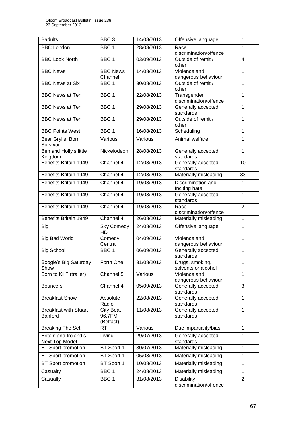| <b>Badults</b>                                 | BBC <sub>3</sub>                        | 14/08/2013 | Offensive language                          | $\mathbf{1}$   |
|------------------------------------------------|-----------------------------------------|------------|---------------------------------------------|----------------|
| <b>BBC London</b>                              | BBC <sub>1</sub>                        | 28/08/2013 | Race<br>discrimination/offence              | 1              |
| <b>BBC Look North</b>                          | BBC <sub>1</sub>                        | 03/09/2013 | Outside of remit /<br>other                 | $\overline{4}$ |
| <b>BBC News</b>                                | <b>BBC News</b><br>Channel              | 14/08/2013 | Violence and<br>dangerous behaviour         | $\mathbf{1}$   |
| <b>BBC News at Six</b>                         | BBC <sub>1</sub>                        | 30/08/2013 | Outside of remit /<br>other                 | 1              |
| <b>BBC News at Ten</b>                         | BBC 1                                   | 22/08/2013 | Transgender<br>discrimination/offence       | $\mathbf{1}$   |
| <b>BBC News at Ten</b>                         | BBC <sub>1</sub>                        | 29/08/2013 | Generally accepted<br>standards             | $\mathbf{1}$   |
| <b>BBC News at Ten</b>                         | BBC <sub>1</sub>                        | 29/08/2013 | Outside of remit /<br>other                 | $\mathbf{1}$   |
| <b>BBC Points West</b>                         | BBC <sub>1</sub>                        | 16/08/2013 | Scheduling                                  | $\mathbf{1}$   |
| Bear Grylls: Born<br>Survivor                  | Various                                 | Various    | Animal welfare                              | 1              |
| Ben and Holly's little<br>Kingdom              | Nickelodeon                             | 28/08/2013 | Generally accepted<br>standards             | $\mathbf{1}$   |
| <b>Benefits Britain 1949</b>                   | Channel 4                               | 12/08/2013 | Generally accepted<br>standards             | 10             |
| Benefits Britain 1949                          | Channel 4                               | 12/08/2013 | Materially misleading                       | 33             |
| Benefits Britain 1949                          | Channel 4                               | 19/08/2013 | Discrimination and<br>Inciting hate         | $\mathbf{1}$   |
| Benefits Britain 1949                          | Channel 4                               | 19/08/2013 | Generally accepted<br>standards             | $\mathbf{1}$   |
| Benefits Britain 1949                          | Channel 4                               | 19/08/2013 | Race<br>discrimination/offence              | $\overline{2}$ |
| <b>Benefits Britain 1949</b>                   | Channel 4                               | 26/08/2013 | Materially misleading                       | $\overline{1}$ |
| Big                                            | <b>Sky Comedy</b><br>HD                 | 24/08/2013 | Offensive language                          | $\mathbf{1}$   |
| <b>Big Bad World</b>                           | Comedy<br>Central                       | 04/09/2013 | Violence and<br>dangerous behaviour         | $\mathbf{1}$   |
| <b>Big School</b>                              | BBC 1                                   | 06/09/2013 | Generally accepted<br>standards             | $\mathbf{1}$   |
| Boogie's Big Saturday<br>Show                  | Forth One                               | 31/08/2013 | Drugs, smoking,<br>solvents or alcohol      | 1.             |
| Born to Kill? (trailer)                        | Channel 5                               | Various    | Violence and<br>dangerous behaviour         | $\mathbf{1}$   |
| <b>Bouncers</b>                                | Channel 4                               | 05/09/2013 | Generally accepted<br>standards             | 3              |
| <b>Breakfast Show</b>                          | Absolute<br>Radio                       | 22/08/2013 | Generally accepted<br>standards             | 1              |
| <b>Breakfast with Stuart</b><br><b>Banford</b> | <b>City Beat</b><br>96.7FM<br>(Belfast) | 11/08/2013 | Generally accepted<br>standards             | 1              |
| <b>Breaking The Set</b>                        | RT                                      | Various    | Due impartiality/bias                       | $\mathbf{1}$   |
| Britain and Ireland's<br>Next Top Model        | Living                                  | 29/07/2013 | Generally accepted<br>standards             | 1              |
| BT Sport promotion                             | BT Sport 1                              | 30/07/2013 | Materially misleading                       | 1              |
| <b>BT</b> Sport promotion                      | BT Sport 1                              | 05/08/2013 | Materially misleading                       | $\mathbf{1}$   |
| <b>BT</b> Sport promotion                      | BT Sport 1                              | 10/08/2013 | Materially misleading                       | $\mathbf{1}$   |
| Casualty                                       | BBC <sub>1</sub>                        | 24/08/2013 | Materially misleading                       | 1              |
| Casualty                                       | BBC <sub>1</sub>                        | 31/08/2013 | <b>Disability</b><br>discrimination/offence | 2              |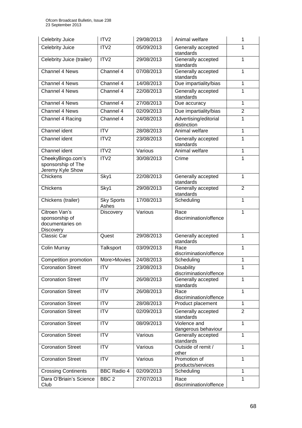| <b>Celebrity Juice</b>                                                  | ITV <sub>2</sub>           | 29/08/2013 | Animal welfare                              | 1              |
|-------------------------------------------------------------------------|----------------------------|------------|---------------------------------------------|----------------|
| <b>Celebrity Juice</b>                                                  | ITV <sub>2</sub>           | 05/09/2013 | Generally accepted<br>standards             | 1              |
| Celebrity Juice (trailer)                                               | ITV2                       | 29/08/2013 | Generally accepted<br>standards             | 1              |
| Channel 4 News                                                          | Channel 4                  | 07/08/2013 | Generally accepted<br>standards             | 1              |
| Channel 4 News                                                          | Channel 4                  | 14/08/2013 | Due impartiality/bias                       | $\mathbf{1}$   |
| Channel 4 News                                                          | Channel 4                  | 22/08/2013 | Generally accepted<br>standards             | $\mathbf{1}$   |
| Channel 4 News                                                          | Channel 4                  | 27/08/2013 | Due accuracy                                | $\mathbf{1}$   |
| Channel 4 News                                                          | Channel 4                  | 02/09/2013 | Due impartiality/bias                       | $\overline{2}$ |
| Channel 4 Racing                                                        | Channel 4                  | 24/08/2013 | Advertising/editorial<br>distinction        | $\mathbf{1}$   |
| Channel ident                                                           | <b>ITV</b>                 | 28/08/2013 | Animal welfare                              | $\mathbf{1}$   |
| Channel ident                                                           | ITV2                       | 23/08/2013 | Generally accepted<br>standards             | 1              |
| Channel ident                                                           | ITV <sub>2</sub>           | Various    | Animal welfare                              | $\mathbf{1}$   |
| CheekyBingo.com's<br>sponsorship of The<br>Jeremy Kyle Show             | ITV <sub>2</sub>           | 30/08/2013 | Crime                                       | 1              |
| Chickens                                                                | Sky1                       | 22/08/2013 | Generally accepted<br>standards             | $\mathbf{1}$   |
| Chickens                                                                | Sky1                       | 29/08/2013 | Generally accepted<br>standards             | $\overline{2}$ |
| Chickens (trailer)                                                      | <b>Sky Sports</b><br>Ashes | 17/08/2013 | Scheduling                                  | $\mathbf{1}$   |
| Citroen Van's<br>sponsorship of<br>documentaries on<br><b>Discovery</b> | <b>Discovery</b>           | Various    | Race<br>discrimination/offence              | 1              |
| Classic Car                                                             | Quest                      | 29/08/2013 | Generally accepted<br>standards             | 1              |
| Colin Murray                                                            | Talksport                  | 03/09/2013 | Race<br>discrimination/offence              | $\mathbf{1}$   |
| Competition promotion                                                   | More>Movies                | 24/08/2013 | Scheduling                                  | $\mathbf{1}$   |
| <b>Coronation Street</b>                                                | <b>ITV</b>                 | 23/08/2013 | <b>Disability</b><br>discrimination/offence | 1              |
| <b>Coronation Street</b>                                                | <b>ITV</b>                 | 26/08/2013 | Generally accepted<br>standards             | 1              |
| <b>Coronation Street</b>                                                | <b>ITV</b>                 | 26/08/2013 | Race<br>discrimination/offence              | $\mathbf{1}$   |
| <b>Coronation Street</b>                                                | <b>ITV</b>                 | 28/08/2013 | Product placement                           | $\mathbf{1}$   |
| <b>Coronation Street</b>                                                | <b>ITV</b>                 | 02/09/2013 | Generally accepted<br>standards             | $\overline{2}$ |
| <b>Coronation Street</b>                                                | <b>ITV</b>                 | 08/09/2013 | Violence and<br>dangerous behaviour         | $\mathbf{1}$   |
| <b>Coronation Street</b>                                                | <b>ITV</b>                 | Various    | Generally accepted<br>standards             | 1              |
| <b>Coronation Street</b>                                                | <b>ITV</b>                 | Various    | Outside of remit /<br>other                 | $\mathbf 1$    |
| <b>Coronation Street</b>                                                | <b>ITV</b>                 | Various    | Promotion of<br>products/services           | $\mathbf{1}$   |
| <b>Crossing Continents</b>                                              | <b>BBC Radio 4</b>         | 02/09/2013 | Scheduling                                  | $\mathbf{1}$   |
| Dara O'Briain's Science<br>Club                                         | BBC <sub>2</sub>           | 27/07/2013 | Race<br>discrimination/offence              | $\mathbf{1}$   |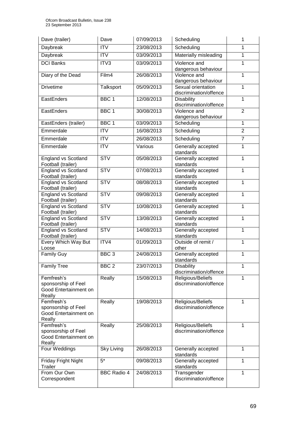| Dave (trailer)                                                       | Dave               | 07/09/2013 | Scheduling                                   | 1              |
|----------------------------------------------------------------------|--------------------|------------|----------------------------------------------|----------------|
| Daybreak                                                             | <b>ITV</b>         | 23/08/2013 | Scheduling                                   | 1              |
| Daybreak                                                             | <b>ITV</b>         | 03/09/2013 | Materially misleading                        | $\mathbf{1}$   |
| <b>DCI Banks</b>                                                     | ITV3               | 03/09/2013 | Violence and<br>dangerous behaviour          | 1              |
| Diary of the Dead                                                    | Film4              | 26/08/2013 | Violence and<br>dangerous behaviour          | $\mathbf{1}$   |
| <b>Drivetime</b>                                                     | Talksport          | 05/09/2013 | Sexual orientation<br>discrimination/offence | 1              |
| EastEnders                                                           | BBC <sub>1</sub>   | 12/08/2013 | <b>Disability</b><br>discrimination/offence  | $\overline{1}$ |
| EastEnders                                                           | BBC <sub>1</sub>   | 30/08/2013 | Violence and<br>dangerous behaviour          | $\overline{2}$ |
| EastEnders (trailer)                                                 | BBC <sub>1</sub>   | 03/09/2013 | Scheduling                                   | $\overline{1}$ |
| Emmerdale                                                            | <b>ITV</b>         | 16/08/2013 | Scheduling                                   | $\overline{2}$ |
| Emmerdale                                                            | $\overline{IV}$    | 26/08/2013 | Scheduling                                   | $\overline{7}$ |
| Emmerdale                                                            | <b>ITV</b>         | Various    | Generally accepted<br>standards              | 1              |
| <b>England vs Scotland</b><br>Football (trailer)                     | <b>STV</b>         | 05/08/2013 | Generally accepted<br>standards              | $\mathbf{1}$   |
| <b>England vs Scotland</b><br>Football (trailer)                     | <b>STV</b>         | 07/08/2013 | Generally accepted<br>standards              | $\mathbf{1}$   |
| <b>England vs Scotland</b><br>Football (trailer)                     | <b>STV</b>         | 08/08/2013 | Generally accepted<br>standards              | 1              |
| <b>England vs Scotland</b><br>Football (trailer)                     | STV                | 09/08/2013 | Generally accepted<br>standards              | 1              |
| <b>England vs Scotland</b><br>Football (trailer)                     | <b>STV</b>         | 10/08/2013 | Generally accepted<br>standards              | 1              |
| <b>England vs Scotland</b><br>Football (trailer)                     | <b>STV</b>         | 13/08/2013 | Generally accepted<br>standards              | $\mathbf{1}$   |
| <b>England vs Scotland</b><br>Football (trailer)                     | STV                | 14/08/2013 | Generally accepted<br>standards              | $\mathbf{1}$   |
| Every Which Way But<br>Loose                                         | ITV4               | 01/09/2013 | Outside of remit /<br>other                  | $\mathbf{1}$   |
| <b>Family Guy</b>                                                    | BBC <sub>3</sub>   | 24/08/2013 | Generally accepted<br>standards              | 1              |
| <b>Family Tree</b>                                                   | BBC <sub>2</sub>   | 23/07/2013 | <b>Disability</b><br>discrimination/offence  | 1              |
| Femfresh's<br>sponsorship of Feel<br>Good Entertainment on<br>Really | Really             | 15/08/2013 | Religious/Beliefs<br>discrimination/offence  | 1              |
| Femfresh's<br>sponsorship of Feel<br>Good Entertainment on<br>Really | Really             | 19/08/2013 | Religious/Beliefs<br>discrimination/offence  | 1              |
| Femfresh's<br>sponsorship of Feel<br>Good Entertainment on<br>Really | Really             | 25/08/2013 | Religious/Beliefs<br>discrimination/offence  | 1              |
| Four Weddings                                                        | Sky Living         | 26/08/2013 | Generally accepted<br>standards              | $\mathbf{1}$   |
| Friday Fright Night<br>Trailer                                       | $5*$               | 09/08/2013 | Generally accepted<br>standards              | 1              |
| From Our Own<br>Correspondent                                        | <b>BBC Radio 4</b> | 24/08/2013 | Transgender<br>discrimination/offence        | 1              |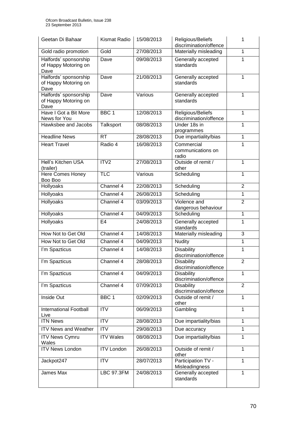| Geetan Di Bahaar                                      | <b>Kismat Radio</b> | 15/08/2013 | Religious/Beliefs<br>discrimination/offence | 1              |
|-------------------------------------------------------|---------------------|------------|---------------------------------------------|----------------|
| Gold radio promotion                                  | Gold                | 27/08/2013 | Materially misleading                       | 1              |
| Halfords' sponsorship<br>of Happy Motoring on<br>Dave | Dave                | 09/08/2013 | Generally accepted<br>standards             | 1              |
| Halfords' sponsorship<br>of Happy Motoring on<br>Dave | Dave                | 21/08/2013 | Generally accepted<br>standards             | $\mathbf{1}$   |
| Halfords' sponsorship<br>of Happy Motoring on<br>Dave | Dave                | Various    | Generally accepted<br>standards             | $\mathbf{1}$   |
| Have I Got a Bit More<br>News for You                 | BBC <sub>1</sub>    | 12/08/2013 | Religious/Beliefs<br>discrimination/offence | $\mathbf{1}$   |
| Hawksbee and Jacobs                                   | Talksport           | 08/08/2013 | Under 18s in<br>programmes                  | 1              |
| <b>Headline News</b>                                  | <b>RT</b>           | 28/08/2013 | Due impartiality/bias                       | 1              |
| <b>Heart Travel</b>                                   | Radio 4             | 16/08/2013 | Commercial<br>communications on<br>radio    | 1              |
| Hell's Kitchen USA<br>(trailer)                       | ITV2                | 27/08/2013 | Outside of remit /<br>other                 | 1              |
| Here Comes Honey<br>Boo Boo                           | <b>TLC</b>          | Various    | Scheduling                                  | $\mathbf{1}$   |
| Hollyoaks                                             | Channel 4           | 22/08/2013 | Scheduling                                  | $\overline{2}$ |
| Hollyoaks                                             | Channel 4           | 26/08/2013 | Scheduling                                  | $\mathbf{1}$   |
| Hollyoaks                                             | Channel 4           | 03/09/2013 | Violence and<br>dangerous behaviour         | $\overline{2}$ |
| Hollyoaks                                             | Channel 4           | 04/09/2013 | Scheduling                                  | $\overline{1}$ |
| Hollyoaks                                             | E <sub>4</sub>      | 24/08/2013 | Generally accepted<br>standards             | 1              |
| How Not to Get Old                                    | Channel 4           | 14/08/2013 | Materially misleading                       | 3              |
| How Not to Get Old                                    | Channel 4           | 04/09/2013 | <b>Nudity</b>                               | $\mathbf{1}$   |
| I'm Spazticus                                         | Channel 4           | 14/08/2013 | <b>Disability</b><br>discrimination/offence | 1              |
| I'm Spazticus                                         | Channel 4           | 28/08/2013 | <b>Disability</b><br>discrimination/offence | $\overline{2}$ |
| I'm Spazticus                                         | Channel 4           | 04/09/2013 | <b>Disability</b><br>discrimination/offence | 1              |
| I'm Spazticus                                         | Channel 4           | 07/09/2013 | <b>Disability</b><br>discrimination/offence | $\overline{2}$ |
| Inside Out                                            | BBC <sub>1</sub>    | 02/09/2013 | Outside of remit /<br>other                 | $\mathbf{1}$   |
| <b>International Football</b><br>Live                 | ITV                 | 06/09/2013 | Gambling                                    | $\mathbf{1}$   |
| <b>ITN News</b>                                       | $\overline{ITV}$    | 28/08/2013 | Due impartiality/bias                       | $\mathbf{1}$   |
| <b>ITV News and Weather</b>                           | <b>ITV</b>          | 29/08/2013 | Due accuracy                                | $\mathbf{1}$   |
| <b>ITV News Cymru</b><br>Wales                        | <b>ITV Wales</b>    | 08/08/2013 | Due impartiality/bias                       | $\mathbf{1}$   |
| <b>ITV News London</b>                                | <b>ITV London</b>   | 26/08/2013 | Outside of remit /<br>other                 | 1              |
| Jackpot247                                            | <b>ITV</b>          | 28/07/2013 | Participation TV -<br>Misleadingness        | $\mathbf{1}$   |
| James Max                                             | <b>LBC 97.3FM</b>   | 24/08/2013 | Generally accepted<br>standards             | $\mathbf{1}$   |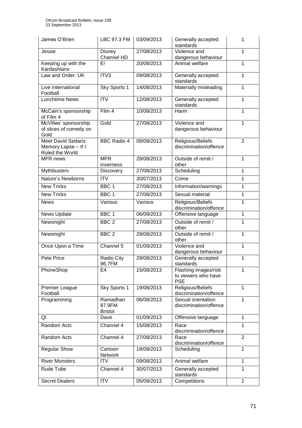| James O'Brien                                                        | LBC 97.3 FM                          | 03/09/2013 | Generally accepted<br>standards                           | 1              |
|----------------------------------------------------------------------|--------------------------------------|------------|-----------------------------------------------------------|----------------|
| Jessie                                                               | Disney<br>Channel HD                 | 27/08/2013 | Violence and<br>dangerous behaviour                       | $\mathbf{1}$   |
| Keeping up with the<br>Kardashians                                   | Ε!                                   | 20/08/2013 | Animal welfare                                            | 1              |
| Law and Order: UK                                                    | ITV3                                 | 09/08/2013 | Generally accepted<br>standards                           | 1              |
| Live International<br>Football                                       | Sky Sports 1                         | 14/08/2013 | Materially misleading                                     | 1              |
| <b>Lunchtime News</b>                                                | <b>ITV</b>                           | 12/08/2013 | Generally accepted<br>standards                           | 1              |
| McCain's sponsorship<br>of Film 4                                    | Film 4                               | 10/08/2013 | Harm                                                      | 1              |
| McVities' sponsorship<br>of slices of comedy on<br>Gold              | Gold                                 | 27/08/2013 | Violence and<br>dangerous behaviour                       | $\mathbf{1}$   |
| <b>Meet David Sedaris:</b><br>Memory Lapse - If I<br>Ruled the World | <b>BBC Radio 4</b>                   | 08/08/2013 | Religious/Beliefs<br>discrimination/offence               | $\overline{2}$ |
| <b>MFR</b> news                                                      | <b>MFR</b><br>Inverness              | 28/08/2013 | Outside of remit /<br>other                               | $\mathbf{1}$   |
| Mythbusters                                                          | <b>Discovery</b>                     | 27/08/2013 | Scheduling                                                | 1              |
| Nature's Newborns                                                    | <b>ITV</b>                           | 30/07/2013 | Crime                                                     | 1              |
| <b>New Tricks</b>                                                    | BBC <sub>1</sub>                     | 27/08/2013 | Information/warnings                                      | $\mathbf{1}$   |
| <b>New Tricks</b>                                                    | BBC <sub>1</sub>                     | 27/08/2013 | Sexual material                                           | 1              |
| <b>News</b>                                                          | Various                              | Various    | Religious/Beliefs<br>discrimination/offence               | $\mathbf{1}$   |
| News Update                                                          | BBC <sub>1</sub>                     | 06/09/2013 | Offensive language                                        | 1              |
| Newsnight                                                            | BBC <sub>2</sub>                     | 27/08/2013 | Outside of remit /<br>other                               | $\mathbf{1}$   |
| Newsnight                                                            | BBC <sub>2</sub>                     | 29/08/2013 | Outside of remit /<br>other                               | 1              |
| Once Upon a Time                                                     | Channel 5                            | 01/09/2013 | Violence and<br>dangerous behaviour                       | 1              |
| Pete Price                                                           | Radio City<br>96.7FM                 | 29/08/2013 | Generally accepted<br>standards                           | 1              |
| PhoneShop                                                            | E4                                   | 15/08/2013 | Flashing images/risk<br>to viewers who have<br><b>PSE</b> | 1              |
| <b>Premier League</b><br>Football                                    | Sky Sports 1                         | 19/08/2013 | Religious/Beliefs<br>discrimination/offence               | 1              |
| Programming                                                          | Ramadhan<br>87.9FM<br><b>Bristol</b> | 06/08/2013 | Sexual orientation<br>discrimination/offence              | 1              |
| QI                                                                   | Dave                                 | 01/09/2013 | Offensive language                                        | $\mathbf{1}$   |
| <b>Random Acts</b>                                                   | Channel 4                            | 15/08/2013 | Race<br>discrimination/offence                            | 1              |
| Random Acts                                                          | Channel 4                            | 27/08/2013 | Race<br>discrimination/offence                            | $\overline{2}$ |
| <b>Regular Show</b>                                                  | Cartoon<br><b>Network</b>            | 18/08/2013 | Scheduling                                                | 1              |
| <b>River Monsters</b>                                                | <b>ITV</b>                           | 09/08/2013 | Animal welfare                                            | $\mathbf{1}$   |
| Rude Tube                                                            | Channel 4                            | 30/07/2013 | Generally accepted<br>standards                           | 1              |
| <b>Secret Dealers</b>                                                | <b>ITV</b>                           | 05/08/2013 | Competitions                                              | $\mathbf{1}$   |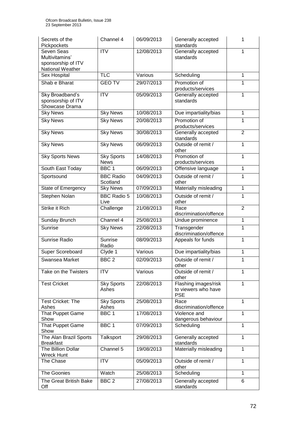| Secrets of the<br>Pickpockets              | Channel 4                    | 06/09/2013 | Generally accepted<br>standards             | 1              |
|--------------------------------------------|------------------------------|------------|---------------------------------------------|----------------|
| Seven Seas                                 | <b>ITV</b>                   | 12/08/2013 | Generally accepted                          | 1              |
| Multivitamins'                             |                              |            | standards                                   |                |
| sponsorship of ITV                         |                              |            |                                             |                |
| National Weather<br>Sex Hospital           | <b>TLC</b>                   | Various    | Scheduling                                  | $\overline{1}$ |
|                                            |                              |            |                                             |                |
| Shab e Bharat                              | <b>GEO TV</b>                | 29/07/2013 | Promotion of<br>products/services           | 1              |
| Sky Broadband's                            | <b>ITV</b>                   | 05/09/2013 | Generally accepted                          | 1              |
| sponsorship of ITV                         |                              |            | standards                                   |                |
| Showcase Drama                             |                              | 10/08/2013 |                                             |                |
| <b>Sky News</b>                            | <b>Sky News</b>              |            | Due impartiality/bias                       | 1              |
| <b>Sky News</b>                            | <b>Sky News</b>              | 20/08/2013 | Promotion of<br>products/services           | 1              |
| <b>Sky News</b>                            | <b>Sky News</b>              | 30/08/2013 | Generally accepted<br>standards             | $\overline{2}$ |
| <b>Sky News</b>                            | <b>Sky News</b>              | 06/09/2013 | Outside of remit /<br>other                 | 1              |
| <b>Sky Sports News</b>                     | <b>Sky Sports</b>            | 14/08/2013 | Promotion of                                | 1              |
|                                            | <b>News</b>                  |            | products/services                           |                |
| South East Today                           | BBC <sub>1</sub>             | 06/09/2013 | Offensive language                          | 1              |
| Sportsound                                 | <b>BBC Radio</b><br>Scotland | 04/09/2013 | Outside of remit /<br>other                 | 1              |
| State of Emergency                         | <b>Sky News</b>              | 07/09/2013 | Materially misleading                       | $\overline{1}$ |
| Stephen Nolan                              | <b>BBC Radio 5</b>           | 10/08/2013 | Outside of remit /                          | 1              |
|                                            | Live                         |            | other                                       |                |
| <b>Strike it Rich</b>                      | Challenge                    | 21/08/2013 | Race<br>discrimination/offence              | $\overline{2}$ |
| Sunday Brunch                              | Channel 4                    | 25/08/2013 | Undue prominence                            | $\mathbf{1}$   |
| Sunrise                                    | <b>Sky News</b>              | 22/08/2013 | Transgender                                 | 1              |
|                                            |                              |            | discrimination/offence                      |                |
| Sunrise Radio                              | <b>Sunrise</b>               | 08/09/2013 | Appeals for funds                           | 1              |
|                                            | Radio                        |            |                                             |                |
| Super Scoreboard                           | Clyde 1                      | Various    | Due impartiality/bias                       | 1              |
| Swansea Market                             | BBC <sub>2</sub>             | 02/09/2013 | Outside of remit /<br>other                 | 1              |
| Take on the Twisters                       | <b>ITV</b>                   | Various    | Outside of remit /                          | 1              |
|                                            |                              |            | other                                       |                |
| <b>Test Cricket</b>                        | <b>Sky Sports</b><br>Ashes   | 22/08/2013 | Flashing images/risk<br>to viewers who have | 1              |
|                                            |                              |            | <b>PSE</b>                                  |                |
| <b>Test Cricket: The</b>                   | <b>Sky Sports</b>            | 25/08/2013 | Race                                        | 1              |
| Ashes                                      | Ashes                        |            | discrimination/offence                      |                |
| That Puppet Game<br>Show                   | BBC <sub>1</sub>             | 17/08/2013 | Violence and<br>dangerous behaviour         | 1              |
| That Puppet Game                           | BBC 1                        | 07/09/2013 | Scheduling                                  | 1              |
| Show                                       |                              |            |                                             |                |
| The Alan Brazil Sports<br><b>Breakfast</b> | Talksport                    | 29/08/2013 | Generally accepted<br>standards             | $\mathbf{1}$   |
| The Billion Dollar<br><b>Wreck Hunt</b>    | Channel 5                    | 19/08/2013 | Materially misleading                       | $\mathbf{1}$   |
| The Chase                                  | <b>ITV</b>                   | 05/09/2013 | Outside of remit /<br>other                 | 1              |
| The Goonies                                | Watch                        | 25/08/2013 | Scheduling                                  | $\mathbf{1}$   |
| The Great British Bake                     | BBC <sub>2</sub>             | 27/08/2013 | Generally accepted                          | 6              |
| Off                                        |                              |            | standards                                   |                |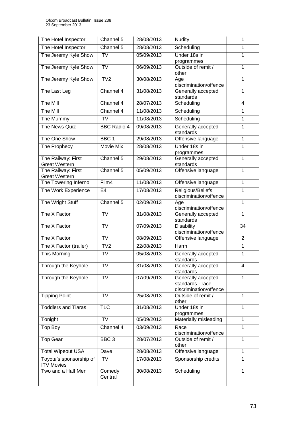| The Hotel Inspector                          | Channel 5              | 28/08/2013 | <b>Nudity</b>                                                    | 1              |
|----------------------------------------------|------------------------|------------|------------------------------------------------------------------|----------------|
| The Hotel Inspector                          | Channel 5              | 28/08/2013 | Scheduling                                                       | 1              |
| The Jeremy Kyle Show                         | $\overline{\text{IV}}$ | 05/09/2013 | Under 18s in                                                     | 1              |
| The Jeremy Kyle Show                         | $\overline{IV}$        | 06/09/2013 | programmes<br>Outside of remit /<br>other                        | $\overline{1}$ |
| The Jeremy Kyle Show                         | ITV <sub>2</sub>       | 30/08/2013 | Age<br>discrimination/offence                                    | $\mathbf{1}$   |
| The Last Leg                                 | Channel 4              | 31/08/2013 | Generally accepted<br>$\mathbf{1}$<br>standards                  |                |
| The Mill                                     | Channel 4              | 28/07/2013 | Scheduling<br>$\overline{4}$                                     |                |
| The Mill                                     | Channel 4              | 11/08/2013 | Scheduling                                                       | $\mathbf{1}$   |
| The Mummy                                    | <b>ITV</b>             | 11/08/2013 | Scheduling                                                       | 1              |
| The News Quiz                                | <b>BBC Radio 4</b>     | 09/08/2013 | Generally accepted<br>standards                                  | 1              |
| The One Show                                 | BBC <sub>1</sub>       | 29/08/2013 | Offensive language                                               | $\mathbf{1}$   |
| The Prophecy                                 | Movie Mix              | 28/08/2013 | Under 18s in<br>programmes                                       | $\overline{1}$ |
| The Railway: First<br><b>Great Western</b>   | Channel 5              | 29/08/2013 | Generally accepted<br>standards                                  | $\mathbf{1}$   |
| The Railway: First<br><b>Great Western</b>   | Channel 5              | 05/09/2013 | Offensive language                                               | $\mathbf{1}$   |
| The Towering Inferno                         | Film4                  | 11/08/2013 | Offensive language                                               | $\mathbf{1}$   |
| The Work Experience                          | E <sub>4</sub>         | 17/08/2013 | Religious/Beliefs<br>discrimination/offence                      | 1              |
| The Wright Stuff                             | Channel 5              | 02/09/2013 | Age<br>discrimination/offence                                    | $\mathbf{1}$   |
| The X Factor                                 | <b>ITV</b>             | 31/08/2013 | Generally accepted<br>standards                                  | $\mathbf{1}$   |
| The X Factor                                 | <b>ITV</b>             | 07/09/2013 | <b>Disability</b><br>discrimination/offence                      | 34             |
| The X Factor                                 | <b>ITV</b>             | 08/09/2013 | Offensive language                                               | $\overline{2}$ |
| The X Factor (trailer)                       | ITV2                   | 22/08/2013 | Harm                                                             | $\mathbf{1}$   |
| This Morning                                 | <b>ITV</b>             | 05/08/2013 | Generally accepted<br>standards                                  | $\mathbf{1}$   |
| Through the Keyhole                          | <b>ITV</b>             | 31/08/2013 | Generally accepted<br>4<br>standards                             |                |
| Through the Keyhole                          | <b>ITV</b>             | 07/09/2013 | Generally accepted<br>standards - race<br>discrimination/offence | $\mathbf{1}$   |
| <b>Tipping Point</b>                         | <b>ITV</b>             | 25/08/2013 | Outside of remit /<br>other                                      | $\mathbf{1}$   |
| <b>Toddlers and Tiaras</b>                   | <b>TLC</b>             | 31/08/2013 | Under 18s in<br>programmes                                       | $\mathbf{1}$   |
| Tonight                                      | <b>ITV</b>             | 05/09/2013 | Materially misleading                                            | $\mathbf{1}$   |
| Top Boy                                      | Channel 4              | 03/09/2013 | Race<br>discrimination/offence                                   | $\mathbf{1}$   |
| <b>Top Gear</b>                              | BBC <sub>3</sub>       | 28/07/2013 | Outside of remit /<br>other                                      | $\mathbf{1}$   |
| <b>Total Wipeout USA</b>                     | Dave                   | 28/08/2013 | Offensive language                                               | $\mathbf{1}$   |
| Toyota's sponsorship of<br><b>ITV Movies</b> | <b>ITV</b>             | 17/08/2013 | Sponsorship credits<br>$\mathbf{1}$                              |                |
| Two and a Half Men                           | Comedy<br>Central      | 30/08/2013 | Scheduling                                                       | 1              |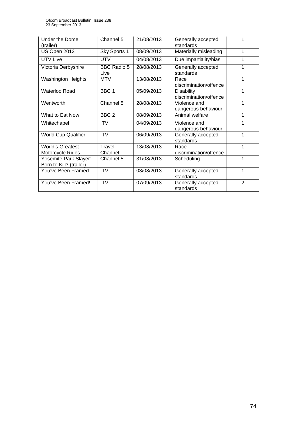| Under the Dome<br>(trailer)                      | Channel 5                  | 21/08/2013 | Generally accepted<br>standards             |   |
|--------------------------------------------------|----------------------------|------------|---------------------------------------------|---|
| US Open 2013                                     | Sky Sports 1               | 08/09/2013 | Materially misleading                       | 1 |
| <b>UTV Live</b>                                  | <b>UTV</b>                 | 04/08/2013 | Due impartiality/bias                       |   |
| Victoria Derbyshire                              | <b>BBC Radio 5</b><br>Live | 28/08/2013 | Generally accepted<br>standards             |   |
| <b>Washington Heights</b>                        | <b>MTV</b>                 | 13/08/2013 | Race<br>discrimination/offence              | 1 |
| Waterloo Road                                    | BBC <sub>1</sub>           | 05/09/2013 | <b>Disability</b><br>discrimination/offence | 1 |
| Wentworth                                        | Channel 5                  | 28/08/2013 | Violence and<br>dangerous behaviour         | 1 |
| What to Eat Now                                  | BBC <sub>2</sub>           | 08/09/2013 | Animal welfare                              | 1 |
| Whitechapel                                      | <b>ITV</b>                 | 04/09/2013 | Violence and<br>dangerous behaviour         |   |
| <b>World Cup Qualifier</b>                       | <b>ITV</b>                 | 06/09/2013 | Generally accepted<br>standards             | 1 |
| <b>World's Greatest</b><br>Motorcycle Rides      | Travel<br>Channel          | 13/08/2013 | Race<br>discrimination/offence              | 1 |
| Yosemite Park Slayer:<br>Born to Kill? (trailer) | Channel 5                  | 31/08/2013 | Scheduling                                  | 1 |
| You've Been Framed                               | <b>ITV</b>                 | 03/08/2013 | Generally accepted<br>standards             | 1 |
| You've Been Framed!                              | <b>ITV</b>                 | 07/09/2013 | Generally accepted<br>standards             | 2 |